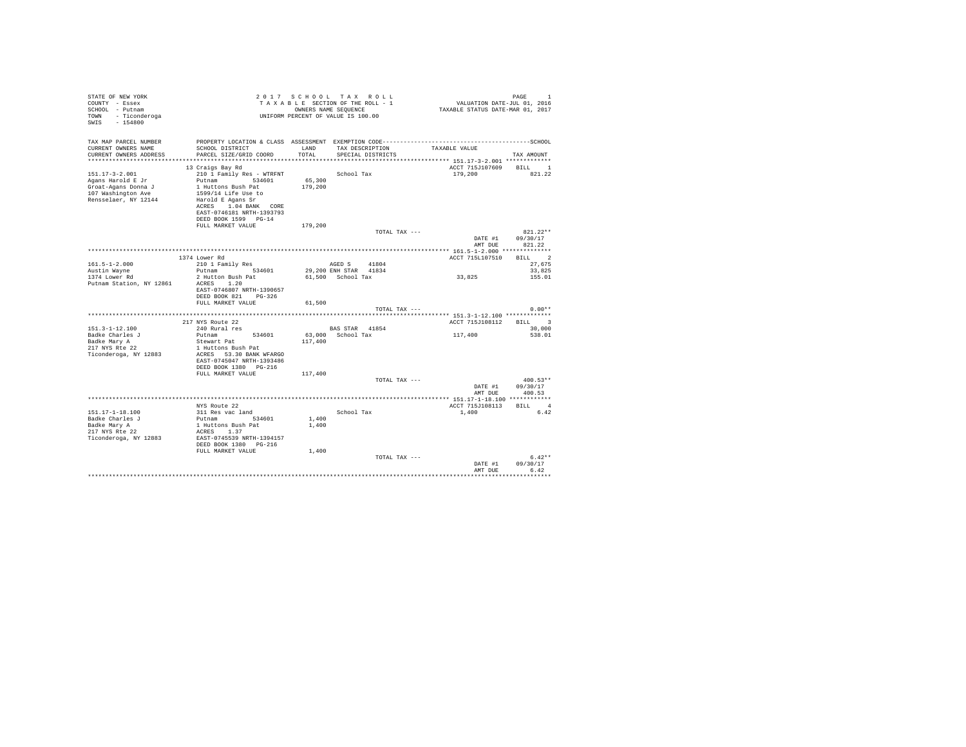| STATE OF NEW YORK<br>COUNTY - Essex<br>SCHOOL - Putnam<br>TOWN - Ticonderoga<br>SWIS - 154800 | UNIFORM PERCENT OF VALUE IS 100.00                 |         |                                          |               |                                 |                      |
|-----------------------------------------------------------------------------------------------|----------------------------------------------------|---------|------------------------------------------|---------------|---------------------------------|----------------------|
| TAX MAP PARCEL NUMBER<br>CURRENT OWNERS NAME                                                  | SCHOOL DISTRICT                                    | LAND    | TAX DESCRIPTION                          |               | TAXABLE VALUE                   |                      |
| CURRENT OWNERS ADDRESS                                                                        | PARCEL SIZE/GRID COORD                             | TOTAL   | SPECIAL DISTRICTS                        |               |                                 | TAX AMOUNT           |
|                                                                                               |                                                    |         |                                          |               |                                 |                      |
|                                                                                               | 13 Craigs Bay Rd                                   |         |                                          |               | ACCT 715J107609                 | BILL 1               |
| $151.17 - 3 - 2.001$<br>Agans Harold E Jr                                                     | 210 1 Family Res - WTRFNT<br>Putnam 534601         | 65,300  | School Tax                               |               | 179,200                         | 821.22               |
| Groat-Agans Donna J                                                                           | 1 Huttons Bush Pat                                 | 179,200 |                                          |               |                                 |                      |
| 107 Washington Ave                                                                            | 1599/14 Life Use to                                |         |                                          |               |                                 |                      |
| Rensselaer, NY 12144                                                                          | Harold E Agans Sr                                  |         |                                          |               |                                 |                      |
|                                                                                               | ACRES 1.04 BANK CORE                               |         |                                          |               |                                 |                      |
|                                                                                               | EAST-0746181 NRTH-1393793                          |         |                                          |               |                                 |                      |
|                                                                                               | DEED BOOK 1599 PG-14<br>FULL MARKET VALUE          | 179,200 |                                          |               |                                 |                      |
|                                                                                               |                                                    |         |                                          | TOTAL TAX --- |                                 | $821.22**$           |
|                                                                                               |                                                    |         |                                          |               | DATE #1                         | 09/30/17             |
|                                                                                               |                                                    |         |                                          |               | AMT DUE                         | 821.22               |
|                                                                                               |                                                    |         |                                          |               |                                 |                      |
|                                                                                               | 1374 Lower Rd                                      |         |                                          |               | ACCT 715L107510                 | BILL 2               |
| $161.5 - 1 - 2.000$                                                                           | 210 1 Family Res<br>Putnam 534601                  |         | AGED S<br>41804<br>29,200 ENH STAR 41834 |               |                                 | 27.675<br>33,825     |
| Austin Wayne<br>1374 Lower Rd                                                                 | 2 Hutton Bush Pat                                  |         | 61.500 School Tax                        |               | 33,825                          | 155.01               |
| Putnam Station, NY 12861                                                                      | ACRES 1.20                                         |         |                                          |               |                                 |                      |
|                                                                                               | EAST-0746807 NRTH-1390657                          |         |                                          |               |                                 |                      |
|                                                                                               | DEED BOOK 821 PG-326                               |         |                                          |               |                                 |                      |
|                                                                                               | FULL MARKET VALUE                                  | 61,500  |                                          |               |                                 |                      |
|                                                                                               |                                                    |         |                                          | TOTAL TAX --- |                                 | $0.00**$             |
|                                                                                               | 217 NYS Route 22                                   |         |                                          |               | ACCT 715J108112 BILL 3          |                      |
| $151.3 - 1 - 12.100$                                                                          | 240 Rural res                                      |         | BAS STAR 41854                           |               |                                 | 30,000               |
| Badke Charles J                                                                               | Putnam<br>534601                                   |         | 63,000 School Tax                        |               | 117,400                         | 538.01               |
| Badke Mary A                                                                                  | Stewart Pat                                        | 117,400 |                                          |               |                                 |                      |
| 217 NYS Rte 22                                                                                | 1 Huttons Bush Pat                                 |         |                                          |               |                                 |                      |
| Ticonderoga, NY 12883                                                                         | ACRES 53.30 BANK WFARGO                            |         |                                          |               |                                 |                      |
|                                                                                               | EAST-0745047 NRTH-1393486<br>DEED BOOK 1380 PG-216 |         |                                          |               |                                 |                      |
|                                                                                               | FULL MARKET VALUE                                  | 117,400 |                                          |               |                                 |                      |
|                                                                                               |                                                    |         |                                          | TOTAL TAX --- |                                 | $400.53**$           |
|                                                                                               |                                                    |         |                                          |               | DATE #1                         | 09/30/17             |
|                                                                                               |                                                    |         |                                          |               | AMT DUE                         | 400.53               |
|                                                                                               |                                                    |         |                                          |               |                                 |                      |
| 151.17-1-18.100                                                                               | NYS Route 22<br>311 Res vac land                   |         | School Tax                               |               | ACCT 715J108113 BILL 4<br>1,400 | 6.42                 |
| Badke Charles J                                                                               | Putnam 534601                                      | 1,400   |                                          |               |                                 |                      |
| Badke Mary A                                                                                  | 1 Huttons Bush Pat                                 | 1,400   |                                          |               |                                 |                      |
| 217 NYS Rte 22                                                                                | ACRES 1.37                                         |         |                                          |               |                                 |                      |
| Ticonderoga, NY 12883                                                                         | EAST-0745539 NRTH-1394157                          |         |                                          |               |                                 |                      |
|                                                                                               | DEED BOOK 1380 PG-216                              |         |                                          |               |                                 |                      |
|                                                                                               | FULL MARKET VALUE                                  | 1,400   |                                          |               |                                 |                      |
|                                                                                               |                                                    |         |                                          | TOTAL TAX --- | DATE #1                         | $6.42**$<br>09/30/17 |
|                                                                                               |                                                    |         |                                          |               | AMT DUE                         | 6.42                 |
|                                                                                               |                                                    |         |                                          |               |                                 |                      |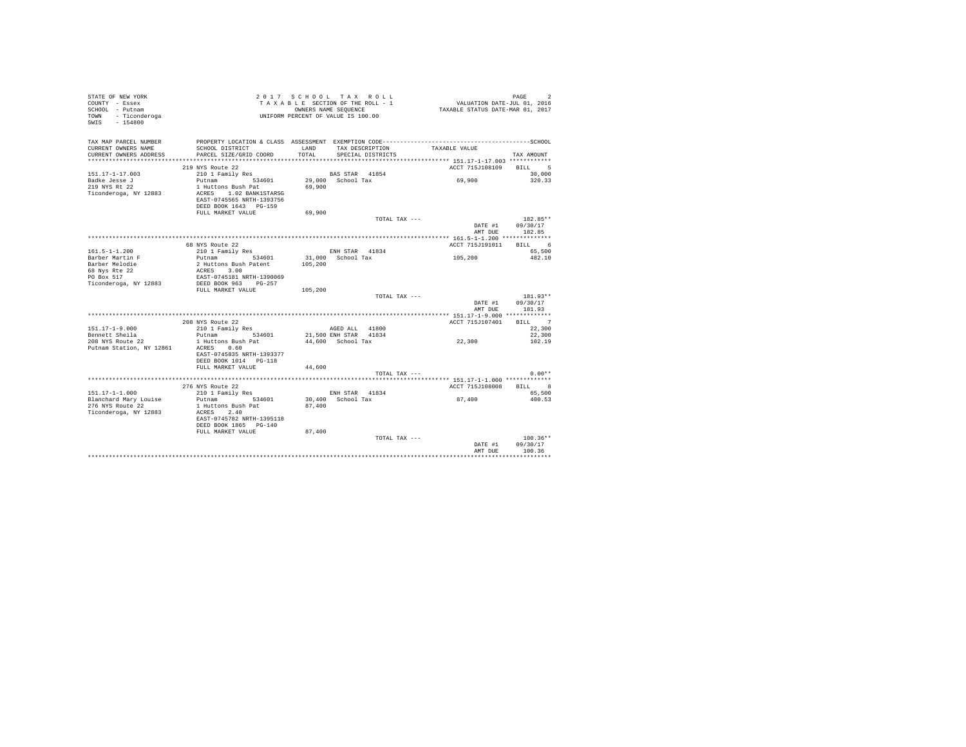| STATE OF NEW YORK        |                                                                                              |         | 2017 SCHOOL TAX ROLL               |                 |                                  | PAGE             |
|--------------------------|----------------------------------------------------------------------------------------------|---------|------------------------------------|-----------------|----------------------------------|------------------|
| COUNTY - Essex           |                                                                                              |         | TAXABLE SECTION OF THE ROLL - 1    |                 | VALUATION DATE-JUL 01, 2016      |                  |
| SCHOOL - Putnam          |                                                                                              |         | OWNERS NAME SEQUENCE               |                 | TAXABLE STATUS DATE-MAR 01, 2017 |                  |
| TOWN - Ticonderoga       |                                                                                              |         | UNIFORM PERCENT OF VALUE IS 100.00 |                 |                                  |                  |
| SWIS - 154800            |                                                                                              |         |                                    |                 |                                  |                  |
|                          |                                                                                              |         |                                    |                 |                                  |                  |
|                          |                                                                                              |         |                                    |                 |                                  |                  |
| TAX MAP PARCEL NUMBER    | PROPERTY LOCATION & CLASS ASSESSMENT EXEMPTION CODE-----------------------------------SCHOOL |         |                                    |                 |                                  |                  |
| CURRENT OWNERS NAME      | SCHOOL DISTRICT                                                                              | LAND    | TAX DESCRIPTION                    |                 | TAXABLE VALUE                    |                  |
| CURRENT OWNERS ADDRESS   | PARCEL SIZE/GRID COORD                                                                       | TOTAL   | SPECIAL DISTRICTS                  |                 |                                  | TAX AMOUNT       |
|                          |                                                                                              |         |                                    |                 |                                  |                  |
|                          | 219 NYS Route 22                                                                             |         |                                    |                 | ACCT 715J108109                  | BILL 5           |
| $151.17 - 1 - 17.003$    | 210 1 Family Res                                                                             |         | BAS STAR 41854                     |                 |                                  | 30,000           |
| Badke Jesse J            | Putnam 534601                                                                                |         | 29.000 School Tax                  |                 | 69,900                           | 320.33           |
| 219 NYS Rt 22            | 1 Huttons Bush Pat                                                                           | 69,900  |                                    |                 |                                  |                  |
| Ticonderoga, NY 12883    | ACRES 1.02 BANK1STARSG                                                                       |         |                                    |                 |                                  |                  |
|                          | EAST-0745565 NRTH-1393756                                                                    |         |                                    |                 |                                  |                  |
|                          | DEED BOOK 1643 PG-159                                                                        |         |                                    |                 |                                  |                  |
|                          | FULL MARKET VALUE                                                                            | 69,900  |                                    |                 |                                  |                  |
|                          |                                                                                              |         |                                    | TOTAL TAX ---   |                                  | 182.85**         |
|                          |                                                                                              |         |                                    |                 | DATE #1                          | 09/30/17         |
|                          |                                                                                              |         |                                    |                 | AMT DUE                          | 182.85           |
|                          |                                                                                              |         |                                    |                 |                                  |                  |
|                          | 68 NYS Route 22                                                                              |         |                                    |                 | ACCT 715J191011                  | <b>BILL</b><br>6 |
| $161.5 - 1 - 1.200$      | 210 1 Family Res                                                                             |         | ENH STAR 41834                     |                 |                                  | 65,500           |
| Barber Martin F          | 534601<br>Putnam                                                                             |         | 31,000 School Tax                  |                 | 105,200                          | 482.10           |
| Barber Melodie           | 2 Huttons Bush Patent                                                                        | 105,200 |                                    |                 |                                  |                  |
| 68 Nys Rte 22            | ACRES 3.00                                                                                   |         |                                    |                 |                                  |                  |
| PO Box 517               | EAST-0745181 NRTH-1390069                                                                    |         |                                    |                 |                                  |                  |
| Ticonderoga, NY 12883    | DEED BOOK 963 PG-257                                                                         |         |                                    |                 |                                  |                  |
|                          | FULL MARKET VALUE                                                                            | 105,200 |                                    |                 |                                  |                  |
|                          |                                                                                              |         |                                    | TOTAL TAX ---   |                                  | 181.93**         |
|                          |                                                                                              |         |                                    |                 | DATE #1                          | 09/30/17         |
|                          |                                                                                              |         |                                    |                 | AMT DUE                          | 181.93           |
|                          |                                                                                              |         |                                    |                 |                                  |                  |
|                          | 208 NYS Route 22                                                                             |         |                                    |                 | ACCT 715J107401                  | BILL 7           |
| $151.17 - 1 - 9.000$     | 210 1 Family Res                                                                             |         | AGED ALL 41800                     |                 |                                  | 22,300           |
| Bennett Sheila           | Putnam 534601                                                                                |         | 21,500 ENH STAR 41834              |                 |                                  | 22,300           |
| 208 NYS Route 22         | 1 Huttons Bush Pat                                                                           |         | 44,600 School Tax                  |                 | 22,300                           | 102.19           |
| Putnam Station, NY 12861 | ACRES 0.60                                                                                   |         |                                    |                 |                                  |                  |
|                          | EAST-0745835 NRTH-1393377                                                                    |         |                                    |                 |                                  |                  |
|                          | DEED BOOK 1014 PG-118                                                                        |         |                                    |                 |                                  |                  |
|                          | FULL MARKET VALUE                                                                            | 44,600  |                                    |                 |                                  |                  |
|                          |                                                                                              |         |                                    | TOTAL TAX ---   |                                  | $0.00**$         |
|                          |                                                                                              |         |                                    |                 |                                  |                  |
|                          | 276 NYS Route 22                                                                             |         |                                    |                 | ACCT 715J108008                  | 8<br><b>BILL</b> |
| $151.17 - 1 - 1.000$     | 210 1 Family Res                                                                             |         | ENH STAR 41834                     |                 |                                  | 65,500           |
| Blanchard Mary Louise    | Putnam 534601                                                                                |         | 30,400 School Tax                  |                 | 87,400                           | 400.53           |
|                          |                                                                                              |         |                                    |                 |                                  |                  |
| 276 NYS Route 22         | 1 Huttons Bush Pat                                                                           | 87,400  |                                    |                 |                                  |                  |
| Ticonderoga, NY 12883    | ACRES 2.40                                                                                   |         |                                    |                 |                                  |                  |
|                          | EAST-0745782 NRTH-1395118                                                                    |         |                                    |                 |                                  |                  |
|                          | DEED BOOK 1865 PG-140                                                                        |         |                                    |                 |                                  |                  |
|                          | FULL MARKET VALUE                                                                            | 87,400  |                                    |                 |                                  |                  |
|                          |                                                                                              |         |                                    | TOTAL TAX $---$ |                                  | $100.36**$       |
|                          |                                                                                              |         |                                    |                 | DATE #1                          | 09/30/17         |
|                          |                                                                                              |         |                                    |                 | AMT DUE                          | 100.36           |
|                          |                                                                                              |         |                                    |                 |                                  |                  |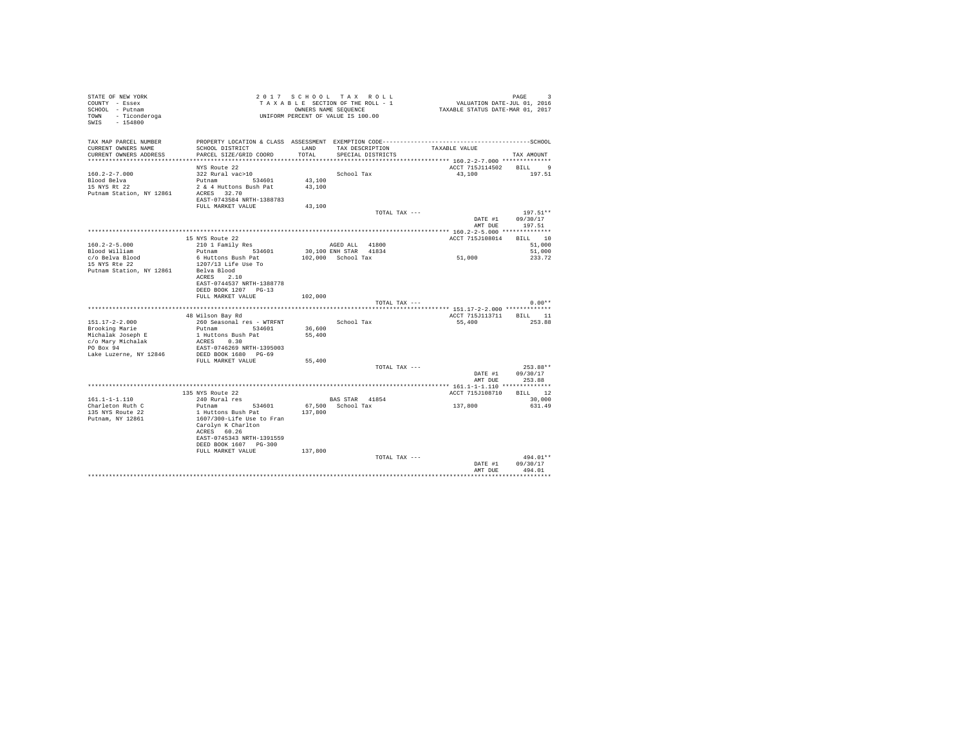| STATE OF NEW YORK<br>COUNTY - Essex<br>SCHOOL - Putnam<br>TOWN - Ticonderoga<br>SWIS - 154800 |                                                                                                                 | 2017 SCHOOL TAX ROLL<br>TAXABLE SECTION OF THE ROLL - 1<br>OWNERS NAME SEQUENCE<br>UNIFORM PERCENT OF VALUE IS 100.00 |                                               |                   |               | PAGE 9<br>101, VALUATION DATE-JUL 01, 2016<br>2017 TAXABLE STATUS DATE-MAR | PAGE<br>-3         |  |
|-----------------------------------------------------------------------------------------------|-----------------------------------------------------------------------------------------------------------------|-----------------------------------------------------------------------------------------------------------------------|-----------------------------------------------|-------------------|---------------|----------------------------------------------------------------------------|--------------------|--|
| TAX MAP PARCEL NUMBER<br>CURRENT OWNERS NAME                                                  | PROPERTY LOCATION & CLASS ASSESSMENT EXEMPTION CODE-----------------------------------SCHOOL<br>SCHOOL DISTRICT | LAND                                                                                                                  |                                               | TAX DESCRIPTION   |               | TAXABLE VALUE                                                              |                    |  |
| CURRENT OWNERS ADDRESS                                                                        | PARCEL SIZE/GRID COORD                                                                                          | TOTAL                                                                                                                 |                                               | SPECIAL DISTRICTS |               |                                                                            | TAX AMOUNT         |  |
|                                                                                               | NYS Route 22                                                                                                    |                                                                                                                       |                                               |                   |               | ACCT 715J114502 BILL 9                                                     |                    |  |
| $160.2 - 2 - 7.000$                                                                           | 322 Rural vac>10                                                                                                |                                                                                                                       | School Tax                                    |                   |               | 43,100 197.51                                                              |                    |  |
| Blood Belva                                                                                   | Putnam 534601                                                                                                   | 43,100                                                                                                                |                                               |                   |               |                                                                            |                    |  |
| 15 NYS Rt 22                                                                                  | 2 & 4 Huttons Bush Pat                                                                                          | 43,100                                                                                                                |                                               |                   |               |                                                                            |                    |  |
| Putnam Station, NY 12861                                                                      | ACRES 32.70                                                                                                     |                                                                                                                       |                                               |                   |               |                                                                            |                    |  |
|                                                                                               | EAST-0743584 NRTH-1388783                                                                                       |                                                                                                                       |                                               |                   |               |                                                                            |                    |  |
|                                                                                               | FULL MARKET VALUE                                                                                               | 43,100                                                                                                                |                                               |                   | TOTAL TAX --- |                                                                            | 197.51**           |  |
|                                                                                               |                                                                                                                 |                                                                                                                       |                                               |                   |               | DATE #1                                                                    | 09/30/17           |  |
|                                                                                               |                                                                                                                 |                                                                                                                       |                                               |                   |               | AMT DUR                                                                    | 197.51             |  |
|                                                                                               |                                                                                                                 |                                                                                                                       |                                               |                   |               |                                                                            |                    |  |
|                                                                                               | 15 NYS Route 22                                                                                                 |                                                                                                                       |                                               |                   |               | ACCT 715J108014 BILL 10                                                    |                    |  |
| $160.2 - 2 - 5.000$                                                                           | 210 1 Family Res                                                                                                |                                                                                                                       | AGED ALL 41800                                |                   |               |                                                                            | 51,000<br>51,000   |  |
| Blood William<br>c/o Belva Blood                                                              | Putnam 534601<br>6 Huttons Bush Pat                                                                             |                                                                                                                       | 30,100 ENH STAR 41834<br>$102.000$ School Tax |                   |               | 51,000                                                                     | 233.72             |  |
| 15 NYS Rte 22                                                                                 | 1207/13 Life Use To                                                                                             |                                                                                                                       |                                               |                   |               |                                                                            |                    |  |
| Putnam Station, NY 12861                                                                      | Belva Blood                                                                                                     |                                                                                                                       |                                               |                   |               |                                                                            |                    |  |
|                                                                                               | ACRES 2.10                                                                                                      |                                                                                                                       |                                               |                   |               |                                                                            |                    |  |
|                                                                                               | EAST-0744537 NRTH-1388778                                                                                       |                                                                                                                       |                                               |                   |               |                                                                            |                    |  |
|                                                                                               | DEED BOOK 1207 PG-13<br>FULL MARKET VALUE                                                                       |                                                                                                                       |                                               |                   |               |                                                                            |                    |  |
|                                                                                               |                                                                                                                 | 102,000                                                                                                               |                                               |                   | TOTAL TAX --- |                                                                            | $0.00**$           |  |
|                                                                                               |                                                                                                                 |                                                                                                                       |                                               |                   |               |                                                                            |                    |  |
|                                                                                               | 48 Wilson Bay Rd                                                                                                |                                                                                                                       |                                               |                   |               | ACCT 715J113711 BILL 11                                                    |                    |  |
| $151.17 - 2 - 2.000$                                                                          | 260 Seasonal res - WTRFNT                                                                                       |                                                                                                                       | School Tax                                    |                   |               | 55,400                                                                     | 253.88             |  |
| Brooking Marie                                                                                | Putnam 534601                                                                                                   | 36,600                                                                                                                |                                               |                   |               |                                                                            |                    |  |
| Michalak Joseph E<br>c/o Marv Michalak                                                        | 1 Huttons Bush Pat                                                                                              | 55,400                                                                                                                |                                               |                   |               |                                                                            |                    |  |
| PO Box 94                                                                                     | ACRES 0.30<br>EAST-0746269 NRTH-1395003                                                                         |                                                                                                                       |                                               |                   |               |                                                                            |                    |  |
| Lake Luzerne, NY 12846                                                                        | DEED BOOK 1680 PG-69                                                                                            |                                                                                                                       |                                               |                   |               |                                                                            |                    |  |
|                                                                                               | FULL MARKET VALUE                                                                                               | 55,400                                                                                                                |                                               |                   |               |                                                                            |                    |  |
|                                                                                               |                                                                                                                 |                                                                                                                       |                                               |                   | TOTAL TAX --- |                                                                            | 253.88**           |  |
|                                                                                               |                                                                                                                 |                                                                                                                       |                                               |                   |               | DATE #1                                                                    | 09/30/17           |  |
|                                                                                               |                                                                                                                 |                                                                                                                       |                                               |                   |               | AMT DUE                                                                    | 253.88             |  |
|                                                                                               | 135 NYS Route 22                                                                                                |                                                                                                                       |                                               |                   |               | ACCT 715J108710 BILL 12                                                    |                    |  |
| $161.1 - 1 - 1.110$                                                                           | 240 Rural res                                                                                                   |                                                                                                                       | BAS STAR 41854                                |                   |               |                                                                            | 30,000             |  |
| Charleton Ruth C                                                                              | Putnam 534601                                                                                                   |                                                                                                                       | 67,500 School Tax                             |                   |               | 137,800                                                                    | 631.49             |  |
| 135 NYS Route 22                                                                              | 1 Huttons Bush Pat                                                                                              | 137,800                                                                                                               |                                               |                   |               |                                                                            |                    |  |
| Putnam, NY 12861                                                                              | 1607/300-Life Use to Fran                                                                                       |                                                                                                                       |                                               |                   |               |                                                                            |                    |  |
|                                                                                               | Carolyn K Charlton<br>ACRES 60.26                                                                               |                                                                                                                       |                                               |                   |               |                                                                            |                    |  |
|                                                                                               | EAST-0745343 NRTH-1391559                                                                                       |                                                                                                                       |                                               |                   |               |                                                                            |                    |  |
|                                                                                               | DEED BOOK 1607 PG-300                                                                                           |                                                                                                                       |                                               |                   |               |                                                                            |                    |  |
|                                                                                               | FULL MARKET VALUE                                                                                               | 137,800                                                                                                               |                                               |                   |               |                                                                            |                    |  |
|                                                                                               |                                                                                                                 |                                                                                                                       |                                               |                   | TOTAL TAX --- |                                                                            | 494.01**           |  |
|                                                                                               |                                                                                                                 |                                                                                                                       |                                               |                   |               | DATE #1<br>AMT DUE                                                         | 09/30/17<br>494.01 |  |
|                                                                                               |                                                                                                                 |                                                                                                                       |                                               |                   |               |                                                                            |                    |  |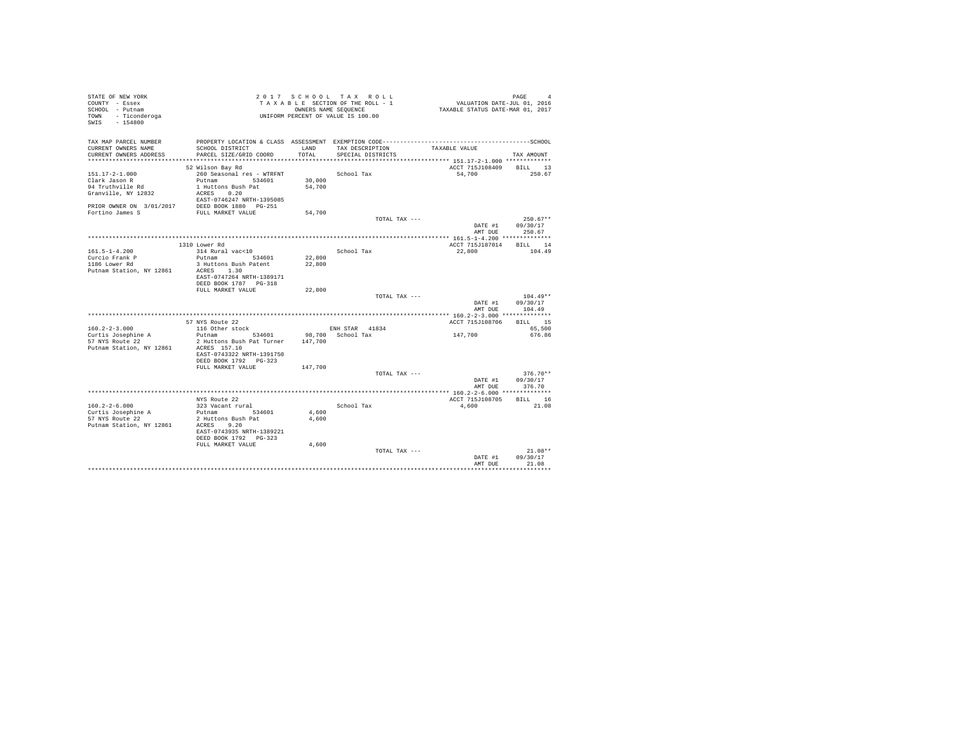| STATE OF NEW YORK<br>COUNTY - Essex<br>SCHOOL - Putnam<br>- Ticonderoga<br>TOWN<br>SWIS - 154800 |                                                                                                                                           |                  | 2017 SCHOOL TAX ROLL<br>TAXABLE SECTION OF THE ROLL - 1<br>OWNERS NAME SEOUENCE<br>UNIFORM PERCENT OF VALUE IS 100.00 | 4<br>VALUATION DATE-JUL 01, 2016<br>TAXABLE STATUS DATE-MAR 01, 2017 | PAGE<br>$\overline{4}$           |
|--------------------------------------------------------------------------------------------------|-------------------------------------------------------------------------------------------------------------------------------------------|------------------|-----------------------------------------------------------------------------------------------------------------------|----------------------------------------------------------------------|----------------------------------|
| TAX MAP PARCEL NUMBER<br>CURRENT OWNERS NAME<br>CURRENT OWNERS ADDRESS                           | PROPERTY LOCATION & CLASS ASSESSMENT EXEMPTION CODE-----------------------------------SCHOOL<br>SCHOOL DISTRICT<br>PARCEL SIZE/GRID COORD | LAND<br>TOTAL    | TAX DESCRIPTION<br>SPECIAL DISTRICTS                                                                                  | TAXABLE VALUE                                                        | TAX AMOUNT                       |
|                                                                                                  |                                                                                                                                           |                  |                                                                                                                       | *************************** 151.17-2-1.000 ************              |                                  |
|                                                                                                  | 52 Wilson Bay Rd                                                                                                                          |                  |                                                                                                                       | ACCT 715J108409 BILL 13                                              |                                  |
| $151.17 - 2 - 1.000$<br>Clark Jason R                                                            | 260 Seasonal res - WTRFNT<br>Putnam 534601                                                                                                | 30,000           | School Tax                                                                                                            | 54,700                                                               | 250.67                           |
| 94 Truthville Rd                                                                                 | 1 Huttons Bush Pat                                                                                                                        | 54,700           |                                                                                                                       |                                                                      |                                  |
| Granville, NY 12832                                                                              | ACRES 0.20<br>EAST-0746247 NRTH-1395085                                                                                                   |                  |                                                                                                                       |                                                                      |                                  |
| PRIOR OWNER ON 3/01/2017                                                                         | DEED BOOK 1880 PG-251                                                                                                                     |                  |                                                                                                                       |                                                                      |                                  |
| Fortino James S                                                                                  | FULL MARKET VALUE                                                                                                                         | 54,700           |                                                                                                                       |                                                                      |                                  |
|                                                                                                  |                                                                                                                                           |                  | TOTAL TAX ---                                                                                                         | DATE #1<br>AMT DUE                                                   | $250.67**$<br>09/30/17<br>250.67 |
|                                                                                                  |                                                                                                                                           |                  |                                                                                                                       |                                                                      |                                  |
|                                                                                                  | 1310 Lower Rd                                                                                                                             |                  |                                                                                                                       | ACCT 715J187014 BILL 14                                              |                                  |
| $161.5 - 1 - 4.200$                                                                              | 314 Rural vac<10                                                                                                                          |                  | School Tax                                                                                                            | 22,800                                                               | 104.49                           |
| Curcio Frank P<br>1186 Lower Rd                                                                  | Putnam 534601<br>3 Huttons Bush Patent                                                                                                    | 22,800<br>22,800 |                                                                                                                       |                                                                      |                                  |
| Putnam Station, NY 12861                                                                         | ACRES 1.30<br>EAST-0747264 NRTH-1389171                                                                                                   |                  |                                                                                                                       |                                                                      |                                  |
|                                                                                                  | DEED BOOK 1787 PG-318                                                                                                                     |                  |                                                                                                                       |                                                                      |                                  |
|                                                                                                  | FULL MARKET VALUE                                                                                                                         | 22,800           | TOTAL TAX ---                                                                                                         |                                                                      | $104.49**$                       |
|                                                                                                  |                                                                                                                                           |                  |                                                                                                                       | DATE #1<br>AMT DUE                                                   | 09/30/17<br>104.49               |
|                                                                                                  |                                                                                                                                           |                  |                                                                                                                       |                                                                      |                                  |
|                                                                                                  | 57 NYS Route 22                                                                                                                           |                  |                                                                                                                       | ACCT 715J108706 BILL 15                                              |                                  |
| $160.2 - 2 - 3.000$                                                                              | 116 Other stock                                                                                                                           |                  | ENH STAR 41834<br>98,700 School Tax                                                                                   | 147,700                                                              | 65,500                           |
| Curtis Josephine A<br>57 NYS Route 22<br>Putnam Station, NY 12861                                | Putnam 534601<br>2 Huttons Bush Pat Turner 147,700<br>ACRES 157.10<br>EAST-0743322 NRTH-1391750                                           |                  |                                                                                                                       |                                                                      | 676.86                           |
|                                                                                                  | DEED BOOK 1792 PG-323                                                                                                                     |                  |                                                                                                                       |                                                                      |                                  |
|                                                                                                  | FULL MARKET VALUE                                                                                                                         | 147,700          |                                                                                                                       |                                                                      |                                  |
|                                                                                                  |                                                                                                                                           |                  | TOTAL TAX ---                                                                                                         |                                                                      | $376.70**$                       |
|                                                                                                  |                                                                                                                                           |                  |                                                                                                                       | DATE #1<br>AMT DUE                                                   | 09/30/17<br>376.70               |
|                                                                                                  | NYS Route 22                                                                                                                              |                  |                                                                                                                       | ACCT 715J108705 BILL 16                                              |                                  |
| $160.2 - 2 - 6.000$                                                                              | 323 Vacant rural                                                                                                                          |                  | School Tax                                                                                                            | 4,600                                                                | 21.08                            |
| Curtis Josephine A                                                                               | Putnam 534601                                                                                                                             | 4,600            |                                                                                                                       |                                                                      |                                  |
| 57 NYS Route 22<br>Putnam Station, NY 12861                                                      | 2 Huttons Bush Pat<br>ACRES 9.20<br>EAST-0743935 NRTH-1389221<br>DEED BOOK 1792 PG-323                                                    | 4,600            |                                                                                                                       |                                                                      |                                  |
|                                                                                                  |                                                                                                                                           |                  |                                                                                                                       |                                                                      |                                  |
|                                                                                                  |                                                                                                                                           |                  |                                                                                                                       |                                                                      |                                  |
|                                                                                                  | FULL MARKET VALUE                                                                                                                         | 4,600            | TOTAL TAX ---                                                                                                         | DATE #1<br>AMT DUE                                                   | $21.08**$<br>09/30/17<br>21.08   |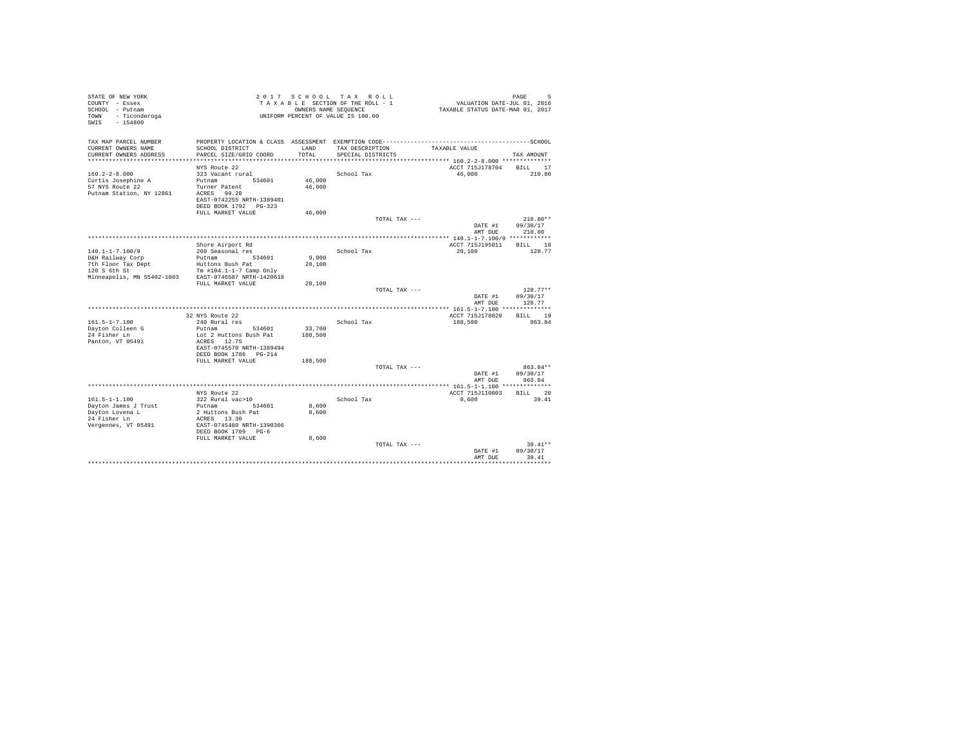| STATE OF NEW YORK<br>COUNTY - Essex<br>SCHOOL - Putnam<br>- Ticonderoga<br>TOWN<br>SWIS<br>$-154800$ |                                           |               | 2017 SCHOOL TAX ROLL<br>TAXABLE SECTION OF THE ROLL - 1<br>OWNERS NAME SEQUENCE<br>UNIFORM PERCENT OF VALUE IS 100.00 | VALUATION DATE-JUL 01, 2016<br>TAXABLE STATUS DATE-MAR 01, 2017 | PAGE<br>5            |
|------------------------------------------------------------------------------------------------------|-------------------------------------------|---------------|-----------------------------------------------------------------------------------------------------------------------|-----------------------------------------------------------------|----------------------|
| TAX MAP PARCEL NUMBER                                                                                |                                           |               |                                                                                                                       |                                                                 |                      |
| CURRENT OWNERS NAME<br>CURRENT OWNERS ADDRESS                                                        | SCHOOL DISTRICT<br>PARCEL SIZE/GRID COORD | LAND<br>TOTAL | TAX DESCRIPTION<br>SPECIAL DISTRICTS                                                                                  | TAXABLE VALUE                                                   | TAX AMOUNT           |
| ************************                                                                             |                                           |               |                                                                                                                       |                                                                 |                      |
|                                                                                                      | NYS Route 22                              |               |                                                                                                                       | ACCT 715J178704                                                 | BILL 17              |
| $160.2 - 2 - 8.000$                                                                                  | 323 Vacant rural                          |               | School Tax                                                                                                            | 46,000                                                          | 210.80               |
| Curtis Josephine A                                                                                   | Putnam<br>534601                          | 46,000        |                                                                                                                       |                                                                 |                      |
| 57 NYS Route 22                                                                                      | Turner Patent                             | 46,000        |                                                                                                                       |                                                                 |                      |
| Putnam Station, NY 12861                                                                             | ACRES 99.20<br>EAST-0742255 NRTH-1389401  |               |                                                                                                                       |                                                                 |                      |
|                                                                                                      | DEED BOOK 1792 PG-323                     |               |                                                                                                                       |                                                                 |                      |
|                                                                                                      | FULL MARKET VALUE                         | 46,000        |                                                                                                                       |                                                                 |                      |
|                                                                                                      |                                           |               | TOTAL TAX ---                                                                                                         |                                                                 | $210.80**$           |
|                                                                                                      |                                           |               |                                                                                                                       | DATE #1                                                         | 09/30/17             |
|                                                                                                      |                                           |               |                                                                                                                       | AMT DUE                                                         | 210.80               |
|                                                                                                      |                                           |               |                                                                                                                       |                                                                 |                      |
| $140.1 - 1 - 7.100/9$                                                                                | Shore Airport Rd<br>260 Seasonal res      |               | School Tax                                                                                                            | ACCT 715J195011<br>28,100                                       | BILL 18<br>128.77    |
| D&H Railway Corp                                                                                     | Putnam 534601                             | 9.000         |                                                                                                                       |                                                                 |                      |
| 7th Floor Tax Dept                                                                                   | Huttons Bush Pat                          | 28,100        |                                                                                                                       |                                                                 |                      |
| 120 S 6th St                                                                                         | Tm $#104.1 - 1 - 7$ Camp Only             |               |                                                                                                                       |                                                                 |                      |
| Minneapolis, MN 55402-1803                                                                           | EAST-0746587 NRTH-1420618                 |               |                                                                                                                       |                                                                 |                      |
|                                                                                                      | FULL MARKET VALUE                         | 28,100        | TOTAL TAX ---                                                                                                         |                                                                 | $128.77**$           |
|                                                                                                      |                                           |               |                                                                                                                       | DATE #1                                                         | 09/30/17             |
|                                                                                                      |                                           |               |                                                                                                                       | AMT DUE                                                         | 128.77               |
|                                                                                                      |                                           |               |                                                                                                                       |                                                                 |                      |
|                                                                                                      | 32 NYS Route 22                           |               |                                                                                                                       | ACCT 715J178020                                                 | BTLL.<br>-19         |
| $161.5 - 1 - 7.100$<br>Dayton Colleen G                                                              | 240 Rural res<br>Putnam<br>534601         | 33,700        | School Tax                                                                                                            | 188,500                                                         | 863.84               |
| 24 Fisher Ln                                                                                         | Lot 2 Huttons Bush Pat                    | 188,500       |                                                                                                                       |                                                                 |                      |
| Panton, VT 05491                                                                                     | ACRES 12.75                               |               |                                                                                                                       |                                                                 |                      |
|                                                                                                      | EAST-0745570 NRTH-1389494                 |               |                                                                                                                       |                                                                 |                      |
|                                                                                                      | DEED BOOK 1786 PG-214                     |               |                                                                                                                       |                                                                 |                      |
|                                                                                                      | FULL MARKET VALUE                         | 188,500       |                                                                                                                       |                                                                 |                      |
|                                                                                                      |                                           |               | TOTAL TAX ---                                                                                                         | DATE #1                                                         | 863.84**<br>09/30/17 |
|                                                                                                      |                                           |               |                                                                                                                       | AMT DUE                                                         | 863.84               |
|                                                                                                      |                                           |               |                                                                                                                       | ******** 161.5-1-1.100 **************                           |                      |
|                                                                                                      | NYS Route 22                              |               |                                                                                                                       | ACCT 715J110003                                                 | BILL 20              |
| $161.5 - 1 - 1.100$                                                                                  | 322 Rural vac>10                          |               | School Tax                                                                                                            | 8,600                                                           | 39.41                |
| Dayton James J Trust                                                                                 | Putnam 534601                             | 8,600         |                                                                                                                       |                                                                 |                      |
| Dayton Lovena L<br>24 Fisher Ln                                                                      | 2 Huttons Bush Pat<br>ACRES 13.30         | 8,600         |                                                                                                                       |                                                                 |                      |
| Vergennes, VT 05491                                                                                  | EAST-0745480 NRTH-1390366                 |               |                                                                                                                       |                                                                 |                      |
|                                                                                                      | DEED BOOK 1709 PG-6                       |               |                                                                                                                       |                                                                 |                      |
|                                                                                                      | FULL MARKET VALUE                         | 8,600         |                                                                                                                       |                                                                 |                      |
|                                                                                                      |                                           |               | TOTAL TAX ---                                                                                                         |                                                                 | $39.41**$            |
|                                                                                                      |                                           |               |                                                                                                                       | DATE #1<br>AMT DUE                                              | 09/30/17<br>39.41    |
|                                                                                                      |                                           |               |                                                                                                                       |                                                                 |                      |
|                                                                                                      |                                           |               |                                                                                                                       |                                                                 |                      |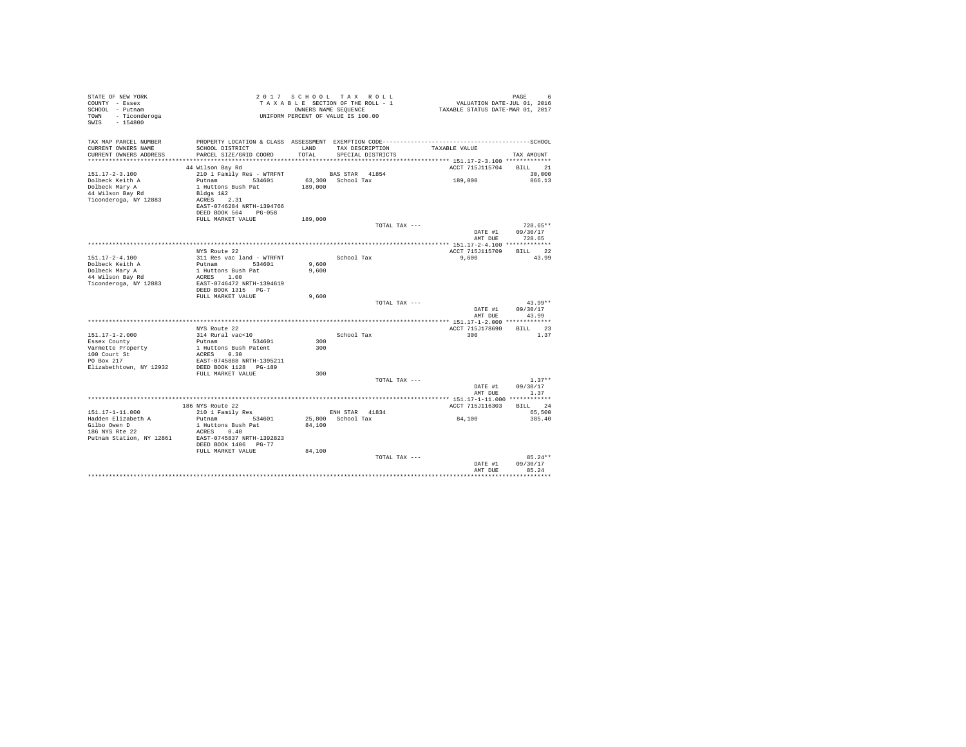| STATE OF NEW YORK                     |                                                   |         | 2017 SCHOOL TAX ROLL                                       | PAGE 6<br>VALUATION DATE-JUL 01, 2016       |            |
|---------------------------------------|---------------------------------------------------|---------|------------------------------------------------------------|---------------------------------------------|------------|
| COUNTY - Essex                        |                                                   |         | TAXABLE SECTION OF THE ROLL - 1                            |                                             |            |
| SCHOOL - Putnam<br>TOWN - Ticonderoga |                                                   |         | OWNERS NAME SEQUENCE<br>UNIFORM PERCENT OF VALUE IS 100.00 | TAXABLE STATUS DATE-MAR 01, 2017            |            |
| SWIS - 154800                         |                                                   |         |                                                            |                                             |            |
|                                       |                                                   |         |                                                            |                                             |            |
| TAX MAP PARCEL NUMBER                 |                                                   |         |                                                            |                                             |            |
| CURRENT OWNERS NAME                   | SCHOOL DISTRICT                                   | LAND    | TAX DESCRIPTION                                            | TAXABLE VALUE                               |            |
| CURRENT OWNERS ADDRESS                | PARCEL SIZE/GRID COORD                            | TOTAL   | SPECIAL DISTRICTS                                          |                                             | TAX AMOUNT |
|                                       |                                                   |         |                                                            |                                             |            |
|                                       | 44 Wilson Bay Rd                                  |         |                                                            | ACCT 715J115704 BILL 21                     |            |
| $151.17 - 2 - 3.100$                  | 210 1 Family Res - WTRFNT                         |         | BAS STAR 41854                                             |                                             | 30,000     |
| Dolbeck Keith A                       | Putnam 534601                                     |         | 63,300 School Tax                                          | 189,000                                     | 866.13     |
| Dolbeck Mary A                        | 1 Huttons Bush Pat                                | 189,000 |                                                            |                                             |            |
| 44 Wilson Bay Rd                      | Bldgs 1&2                                         |         |                                                            |                                             |            |
| Ticonderoga, NY 12883                 | ACRES 2.31                                        |         |                                                            |                                             |            |
|                                       | EAST-0746284 NRTH-1394766                         |         |                                                            |                                             |            |
|                                       | DEED BOOK 564 PG-058                              |         |                                                            |                                             |            |
|                                       | FULL MARKET VALUE                                 | 189,000 | TOTAL TAX ---                                              |                                             | $728.65**$ |
|                                       |                                                   |         |                                                            | DATE #1                                     | 09/30/17   |
|                                       |                                                   |         |                                                            | AMT DUE                                     | 728.65     |
|                                       |                                                   |         |                                                            |                                             |            |
|                                       | NYS Route 22                                      |         |                                                            | ACCT 715J115709                             | BILL 22    |
| $151.17 - 2 - 4.100$                  | 311 Res vac land - WTRFNT                         |         | School Tax                                                 | 9,600                                       | 43.99      |
| Dolbeck Keith A                       | Putnam 534601                                     | 9,600   |                                                            |                                             |            |
| Dolbeck Mary A                        | 1 Huttons Bush Pat                                | 9,600   |                                                            |                                             |            |
| 44 Wilson Bay Rd                      | ACRES 1.00                                        |         |                                                            |                                             |            |
| Ticonderoga, NY 12883                 | EAST-0746472 NRTH-1394619                         |         |                                                            |                                             |            |
|                                       | DEED BOOK 1315 PG-7<br>FULL MARKET VALUE          |         |                                                            |                                             |            |
|                                       |                                                   | 9,600   | TOTAL TAX ---                                              |                                             | $43.99**$  |
|                                       |                                                   |         |                                                            | DATE #1                                     | 09/30/17   |
|                                       |                                                   |         |                                                            | AMT DUE                                     | 43.99      |
|                                       |                                                   |         |                                                            |                                             |            |
|                                       | NYS Route 22                                      |         |                                                            | ACCT 715J178690                             | BILL 23    |
| $151.17 - 1 - 2.000$                  | 314 Rural vac<10                                  |         | School Tax                                                 | 300                                         | 1.37       |
| Essex County                          | Putnam 534601                                     | 300     |                                                            |                                             |            |
| Varmette Property                     | 1 Huttons Bush Patent                             | 300     |                                                            |                                             |            |
| 100 Court St<br>PO Box 217            | ACRES 0.30                                        |         |                                                            |                                             |            |
|                                       | EAST-0745888 NRTH-1395211                         |         |                                                            |                                             |            |
| Elizabethtown, NY 12932               | DEED BOOK 1128 PG-189<br>FULL MARKET VALUE        | 300     |                                                            |                                             |            |
|                                       |                                                   |         | TOTAL TAX ---                                              |                                             | $1.37**$   |
|                                       |                                                   |         |                                                            | DATE #1                                     | 09/30/17   |
|                                       |                                                   |         |                                                            | AMT DUE                                     | 1.37       |
|                                       |                                                   |         |                                                            | ************** 151.17-1-11.000 ************ |            |
|                                       | 186 NYS Route 22                                  |         |                                                            | ACCT 715J116303                             | BILL 24    |
| 151.17-1-11.000                       | 210 1 Family Res                                  |         | ENH STAR 41834                                             |                                             | 65,500     |
| Hadden Elizabeth A                    | Putnam 534601                                     |         | 25,800 School Tax                                          | 84,100                                      | 385.40     |
| Gilbo Owen D<br>186 NYS Rte 22        | 1 Huttons Bush Pat                                | 84,100  |                                                            |                                             |            |
|                                       | ACRES 0.40                                        |         |                                                            |                                             |            |
| Putnam Station, NY 12861              | EAST-0745837 NRTH-1392823<br>DEED BOOK 1406 PG-77 |         |                                                            |                                             |            |
|                                       | FULL MARKET VALUE                                 | 84,100  |                                                            |                                             |            |
|                                       |                                                   |         | TOTAL TAX ---                                              |                                             | $85.24**$  |
|                                       |                                                   |         |                                                            | DATE #1                                     | 09/30/17   |
|                                       |                                                   |         |                                                            | AMT DUE                                     | 85.24      |
|                                       |                                                   |         |                                                            |                                             |            |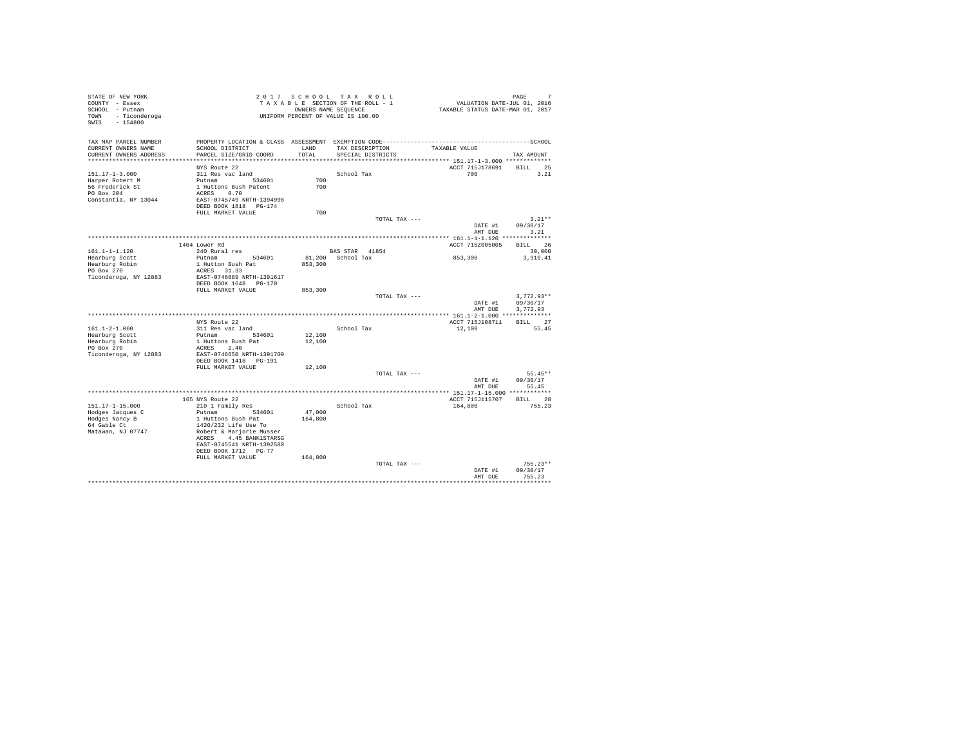| STATE OF NEW YORK<br>COUNTY - Essex          |                                               |         | 2017 SCHOOL TAX ROLL<br>TAXABLE SECTION OF THE ROLL - 1 |               | VALUATION DATE-JUL 01, 2016                          | PAGE         |  |
|----------------------------------------------|-----------------------------------------------|---------|---------------------------------------------------------|---------------|------------------------------------------------------|--------------|--|
| SCHOOL - Putnam                              |                                               |         | OWNERS NAME SEQUENCE                                    |               | TAXABLE STATUS DATE-MAR 01, 2017                     |              |  |
| TOWN - Ticonderoga                           |                                               |         | UNIFORM PERCENT OF VALUE IS 100.00                      |               |                                                      |              |  |
| $-154800$<br>SWIS                            |                                               |         |                                                         |               |                                                      |              |  |
|                                              |                                               |         |                                                         |               |                                                      |              |  |
|                                              |                                               |         |                                                         |               |                                                      |              |  |
| TAX MAP PARCEL NUMBER<br>CURRENT OWNERS NAME | SCHOOL DISTRICT                               | LAND    | TAX DESCRIPTION                                         |               | TAXABLE VALUE                                        |              |  |
| CURRENT OWNERS ADDRESS                       | PARCEL SIZE/GRID COORD                        | TOTAL   | SPECIAL DISTRICTS                                       |               |                                                      | TAX AMOUNT   |  |
| ************************                     |                                               |         |                                                         |               | *********************** 151.17-1-3.000 ************* |              |  |
|                                              | NYS Route 22                                  |         |                                                         |               | ACCT 715J178691                                      | BILL 25      |  |
| $151.17 - 1 - 3.000$                         | 311 Res vac land                              |         | School Tax                                              |               | 700 700                                              | 3.21         |  |
| Harper Robert M                              | Putnam 534601                                 | 700     |                                                         |               |                                                      |              |  |
| 56 Frederick St                              | 1 Huttons Bush Patent                         | 700     |                                                         |               |                                                      |              |  |
| PO Box 204                                   | ACRES 0.70                                    |         |                                                         |               |                                                      |              |  |
| Constantia, NY 13044                         | EAST-0745749 NRTH-1394998                     |         |                                                         |               |                                                      |              |  |
|                                              | DEED BOOK 1818 PG-174                         |         |                                                         |               |                                                      |              |  |
|                                              | FULL MARKET VALUE                             | 700     |                                                         |               |                                                      |              |  |
|                                              |                                               |         |                                                         | TOTAL TAX --- |                                                      | $3.21**$     |  |
|                                              |                                               |         |                                                         |               | DATE #1                                              | 09/30/17     |  |
|                                              |                                               |         |                                                         |               | AMT DUE                                              | 3.21         |  |
|                                              |                                               |         |                                                         |               |                                                      |              |  |
|                                              | 1404 Lower Rd                                 |         |                                                         |               | ACCT 715Z005005                                      | BILL 26      |  |
| 161.1-1-1.120                                | 240 Rural res<br>Putnam 534601                |         | BAS STAR 41854<br>81,200 School Tax                     |               |                                                      | 30,000       |  |
| Hearburg Scott<br>Hearburg Robin             | 1 Hutton Bush Pat                             | 853,300 |                                                         |               | 853,300                                              | 3,910.41     |  |
| PO Box 270                                   | ACRES 31.33                                   |         |                                                         |               |                                                      |              |  |
| Ticonderoga, NY 12883                        | EAST-0746089 NRTH-1391617                     |         |                                                         |               |                                                      |              |  |
|                                              | DEED BOOK 1648 PG-170                         |         |                                                         |               |                                                      |              |  |
|                                              | FULL MARKET VALUE                             | 853,300 |                                                         |               |                                                      |              |  |
|                                              |                                               |         |                                                         | TOTAL TAX --- |                                                      | $3.772.93**$ |  |
|                                              |                                               |         |                                                         |               | DATE #1                                              | 09/30/17     |  |
|                                              |                                               |         |                                                         |               | AMT DUE                                              | 3.772.93     |  |
|                                              |                                               |         |                                                         |               |                                                      |              |  |
|                                              | NYS Route 22                                  |         |                                                         |               | ACCT 715J108711                                      | BILL 27      |  |
| $161.1 - 2 - 1.000$                          | 311 Res vac land                              |         | School Tax                                              |               | 12,100                                               | 55.45        |  |
| Hearburg Scott                               | Putnam 534601                                 | 12,100  |                                                         |               |                                                      |              |  |
| Hearburg Robin                               | 1 Huttons Bush Pat                            | 12,100  |                                                         |               |                                                      |              |  |
| PO Box 270                                   | ACRES 2.40                                    |         |                                                         |               |                                                      |              |  |
| Ticonderoga, NY 12883                        | EAST-0746650 NRTH-1391709                     |         |                                                         |               |                                                      |              |  |
|                                              | DEED BOOK 1418    PG-191<br>FULL MARKET VALUE | 12,100  |                                                         |               |                                                      |              |  |
|                                              |                                               |         |                                                         | TOTAL TAX --- |                                                      | $55.45**$    |  |
|                                              |                                               |         |                                                         |               | DATE #1                                              | 09/30/17     |  |
|                                              |                                               |         |                                                         |               | AMT DUE                                              | 55.45        |  |
|                                              |                                               |         |                                                         |               |                                                      |              |  |
|                                              | 165 NYS Route 22                              |         |                                                         |               | ACCT 715J115707                                      | BILL 28      |  |
| 151.17-1-15.000                              | 210 1 Family Res                              |         | School Tax                                              |               | 164,800                                              | 755.23       |  |
| Hodges Jacques C                             | Putnam 534601                                 | 47,000  |                                                         |               |                                                      |              |  |
| Hodges Nancy B                               | 1 Huttons Bush Pat                            | 164,800 |                                                         |               |                                                      |              |  |
| 64 Gable Ct                                  | 1420/232 Life Use To                          |         |                                                         |               |                                                      |              |  |
| Matawan, NJ 07747                            | Robert & Marjorie Musser                      |         |                                                         |               |                                                      |              |  |
|                                              | ACRES 4.45 BANK1STARSG                        |         |                                                         |               |                                                      |              |  |
|                                              | EAST-0745541 NRTH-1392580                     |         |                                                         |               |                                                      |              |  |
|                                              | DEED BOOK 1712 PG-77                          |         |                                                         |               |                                                      |              |  |
|                                              | FULL MARKET VALUE                             | 164,800 |                                                         |               |                                                      | $755.23**$   |  |
|                                              |                                               |         |                                                         | TOTAL TAX --- |                                                      | 09/30/17     |  |
|                                              |                                               |         |                                                         |               | DATE #1<br>AMT DUE                                   | 755.23       |  |
|                                              |                                               |         |                                                         |               |                                                      |              |  |
|                                              |                                               |         |                                                         |               |                                                      |              |  |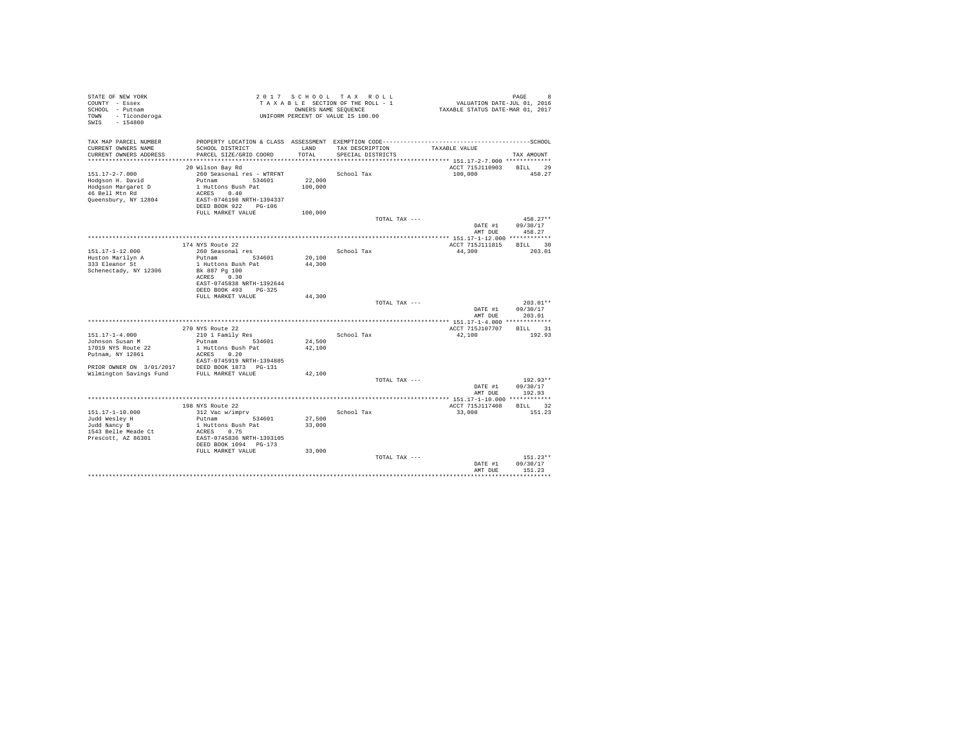| STATE OF NEW YORK<br>COUNTY - Essex<br>SCHOOL - Putnam<br>TOWN - Ticonderoga<br>SWIS<br>$-154800$ |                                                |                  | 2017 SCHOOL TAX ROLL<br>TAXABLE SECTION OF THE ROLL - 1<br>OWNERS NAME SEQUENCE<br>UNIFORM PERCENT OF VALUE IS 100.00 | VALUATION DATE-JUL 01, 2016<br>TAXABLE STATUS DATE-MAR 01, 2017 | PAGE<br>8          |
|---------------------------------------------------------------------------------------------------|------------------------------------------------|------------------|-----------------------------------------------------------------------------------------------------------------------|-----------------------------------------------------------------|--------------------|
|                                                                                                   |                                                |                  |                                                                                                                       |                                                                 |                    |
| TAX MAP PARCEL NUMBER                                                                             |                                                |                  |                                                                                                                       |                                                                 |                    |
| CURRENT OWNERS NAME                                                                               | SCHOOL DISTRICT                                | LAND             | TAX DESCRIPTION                                                                                                       | TAXABLE VALUE                                                   |                    |
| CURRENT OWNERS ADDRESS                                                                            | PARCEL SIZE/GRID COORD                         | TOTAL            | SPECIAL DISTRICTS                                                                                                     |                                                                 | TAX AMOUNT         |
|                                                                                                   | 20 Wilson Bay Rd                               |                  |                                                                                                                       | ACCT 715J110903                                                 | BILL 29            |
| 151.17-2-7.000                                                                                    | 260 Seasonal res - WTRFNT                      |                  | School Tax                                                                                                            | 100,000                                                         | 458.27             |
| Hodgson H. David                                                                                  | Putnam 534601                                  | 22,000           |                                                                                                                       |                                                                 |                    |
| Hodgson Margaret D                                                                                | 1 Huttons Bush Pat                             | 100,000          |                                                                                                                       |                                                                 |                    |
| 46 Bell Mtn Rd                                                                                    | ACRES 0.40                                     |                  |                                                                                                                       |                                                                 |                    |
| Queensbury, NY 12804                                                                              | EAST-0746198 NRTH-1394337                      |                  |                                                                                                                       |                                                                 |                    |
|                                                                                                   | DEED BOOK 922 PG-106<br>FULL MARKET VALUE      | 100,000          |                                                                                                                       |                                                                 |                    |
|                                                                                                   |                                                |                  | TOTAL TAX ---                                                                                                         |                                                                 | $458.27**$         |
|                                                                                                   |                                                |                  |                                                                                                                       | DATE #1                                                         | 09/30/17           |
|                                                                                                   |                                                |                  |                                                                                                                       | AMT DUE                                                         | 458.27             |
|                                                                                                   |                                                |                  |                                                                                                                       |                                                                 |                    |
|                                                                                                   | 174 NYS Route 22                               |                  |                                                                                                                       | ACCT 715J111815                                                 | BILL 30            |
| 151.17-1-12.000                                                                                   | 260 Seasonal res                               |                  | School Tax                                                                                                            | 44,300                                                          | 203.01             |
| Huston Marilyn A<br>333 Eleanor St                                                                | Putnam 534601<br>1 Huttons Bush Pat            | 20,100<br>44,300 |                                                                                                                       |                                                                 |                    |
| Schenectady, NY 12306                                                                             | Bk 887 Pg 100                                  |                  |                                                                                                                       |                                                                 |                    |
|                                                                                                   | ACRES<br>0.30                                  |                  |                                                                                                                       |                                                                 |                    |
|                                                                                                   | EAST-0745838 NRTH-1392644                      |                  |                                                                                                                       |                                                                 |                    |
|                                                                                                   | DEED BOOK 493 PG-325                           |                  |                                                                                                                       |                                                                 |                    |
|                                                                                                   | FULL MARKET VALUE                              | 44,300           | TOTAL TAX ---                                                                                                         |                                                                 | $203.01**$         |
|                                                                                                   |                                                |                  |                                                                                                                       | DATE #1                                                         | 09/30/17           |
|                                                                                                   |                                                |                  |                                                                                                                       | AMT DUE                                                         | 203.01             |
|                                                                                                   |                                                |                  |                                                                                                                       |                                                                 |                    |
|                                                                                                   | 270 NYS Route 22                               |                  |                                                                                                                       | ACCT 715J107707                                                 | BILL 31            |
| $151.17 - 1 - 4.000$                                                                              | 210 1 Family Res                               |                  | School Tax                                                                                                            | 42,100                                                          | 192.93             |
| Johnson Susan M<br>17019 NYS Route 22                                                             | Putnam 534601<br>1 Huttons Bush Pat            | 24,500<br>42,100 |                                                                                                                       |                                                                 |                    |
| Putnam, NY 12861                                                                                  | ACRES 0.20                                     |                  |                                                                                                                       |                                                                 |                    |
|                                                                                                   | EAST-0745919 NRTH-1394885                      |                  |                                                                                                                       |                                                                 |                    |
|                                                                                                   | PRIOR OWNER ON 3/01/2017 DEED BOOK 1873 PG-131 |                  |                                                                                                                       |                                                                 |                    |
| Wilmington Savings Fund FULL MARKET VALUE                                                         |                                                | 42,100           |                                                                                                                       |                                                                 |                    |
|                                                                                                   |                                                |                  | TOTAL TAX ---                                                                                                         |                                                                 | $192.93**$         |
|                                                                                                   |                                                |                  |                                                                                                                       | DATE #1<br>AMT DUE                                              | 09/30/17<br>192.93 |
|                                                                                                   |                                                |                  |                                                                                                                       |                                                                 |                    |
|                                                                                                   | 198 NYS Route 22                               |                  |                                                                                                                       | ACCT 715J117408                                                 | BILL 32            |
| 151.17-1-10.000                                                                                   | 312 Vac w/imprv                                |                  | School Tax                                                                                                            | 33,000                                                          | 151.23             |
| Judd Wesley H                                                                                     | Putnam 534601                                  | 27,500           |                                                                                                                       |                                                                 |                    |
| Judd Nancy B                                                                                      | 1 Huttons Bush Pat                             | 33,000           |                                                                                                                       |                                                                 |                    |
| 1543 Belle Meade Ct<br>Prescott, AZ 86301                                                         | ACRES 0.75<br>EAST-0745836 NRTH-1393105        |                  |                                                                                                                       |                                                                 |                    |
|                                                                                                   | DEED BOOK 1094 PG-173                          |                  |                                                                                                                       |                                                                 |                    |
|                                                                                                   | FULL MARKET VALUE                              | 33,000           |                                                                                                                       |                                                                 |                    |
|                                                                                                   |                                                |                  | TOTAL TAX ---                                                                                                         |                                                                 | $151.23**$         |
|                                                                                                   |                                                |                  |                                                                                                                       | DATE #1                                                         | 09/30/17           |
|                                                                                                   |                                                |                  |                                                                                                                       | AMT DUE                                                         | 151.23             |
|                                                                                                   |                                                |                  |                                                                                                                       |                                                                 |                    |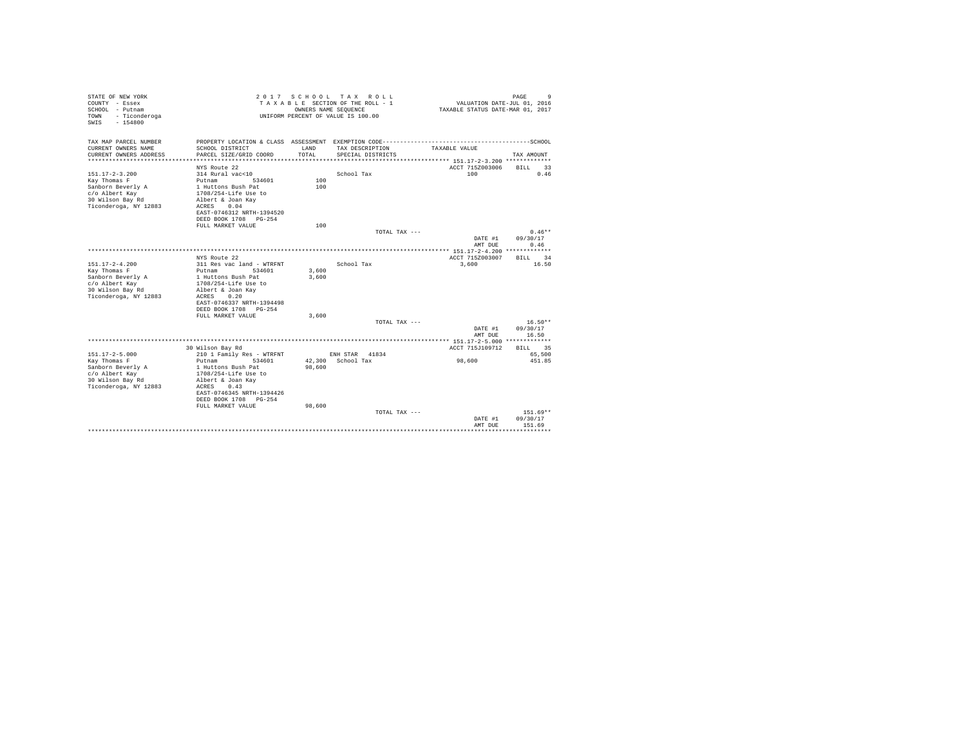| STATE OF NEW YORK<br>COUNTY - Essex<br>SCHOOL - Putnam<br>- Ticonderoga<br>TOWN<br>$-154800$<br>SWTS |                                                                   | OWNERS NAME SEQUENCE | 2017 SCHOOL TAX ROLL<br>TAXABLE SECTION OF THE ROLL - 1<br>UNIFORM PERCENT OF VALUE IS 100.00 | VALUATION DATE-JUL 01, 2016<br>TAXABLE STATUS DATE-MAR 01, 2017 | 9<br>PAGE                |
|------------------------------------------------------------------------------------------------------|-------------------------------------------------------------------|----------------------|-----------------------------------------------------------------------------------------------|-----------------------------------------------------------------|--------------------------|
| TAX MAP PARCEL NUMBER                                                                                | PROPERTY LOCATION & CLASS ASSESSMENT EXEMPTION CODE-------------- |                      |                                                                                               |                                                                 | ------------------SCHOOL |
| CURRENT OWNERS NAME<br>CURRENT OWNERS ADDRESS                                                        | SCHOOL DISTRICT<br>PARCEL SIZE/GRID COORD                         | LAND<br>TOTAL        | TAX DESCRIPTION<br>SPECIAL DISTRICTS                                                          | TAXABLE VALUE                                                   | TAX AMOUNT               |
|                                                                                                      |                                                                   |                      |                                                                                               |                                                                 |                          |
|                                                                                                      | NYS Route 22                                                      |                      |                                                                                               | ACCT 715Z003006                                                 | <b>BILL</b><br>33        |
| $151.17 - 2 - 3.200$                                                                                 | 314 Rural vac<10                                                  |                      | School Tax                                                                                    | 100                                                             | 0.46                     |
| Kay Thomas F<br>Sanborn Beverly A                                                                    | Putnam<br>534601<br>1 Huttons Bush Pat                            | 100<br>100           |                                                                                               |                                                                 |                          |
| c/o Albert Kay                                                                                       | 1708/254-Life Use to                                              |                      |                                                                                               |                                                                 |                          |
| 30 Wilson Bay Rd                                                                                     | Albert & Joan Kav                                                 |                      |                                                                                               |                                                                 |                          |
| Ticonderoga, NY 12883                                                                                | 0.04<br>ACRES                                                     |                      |                                                                                               |                                                                 |                          |
|                                                                                                      | EAST-0746312 NRTH-1394520                                         |                      |                                                                                               |                                                                 |                          |
|                                                                                                      | DEED BOOK 1708 PG-254                                             |                      |                                                                                               |                                                                 |                          |
|                                                                                                      | FULL MARKET VALUE                                                 | 100                  |                                                                                               |                                                                 |                          |
|                                                                                                      |                                                                   |                      | TOTAL TAX ---                                                                                 |                                                                 | $0.46**$                 |
|                                                                                                      |                                                                   |                      |                                                                                               | DATE #1                                                         | 09/30/17                 |
|                                                                                                      |                                                                   |                      |                                                                                               | AMT DUE                                                         | 0.46                     |
|                                                                                                      |                                                                   |                      |                                                                                               |                                                                 |                          |
|                                                                                                      | NYS Route 22                                                      |                      |                                                                                               | ACCT 715Z003007                                                 | 34<br><b>BILL</b>        |
| $151.17 - 2 - 4.200$                                                                                 | 311 Res vac land - WTRFNT                                         |                      | School Tax                                                                                    | 3,600                                                           | 16.50                    |
| Kay Thomas F                                                                                         | Putnam<br>534601                                                  | 3,600                |                                                                                               |                                                                 |                          |
| Sanborn Beverly A                                                                                    | 1 Huttons Bush Pat                                                | 3,600                |                                                                                               |                                                                 |                          |
| c/o Albert Kay                                                                                       | 1708/254-Life Use to                                              |                      |                                                                                               |                                                                 |                          |
| 30 Wilson Bay Rd                                                                                     | Albert & Joan Kav                                                 |                      |                                                                                               |                                                                 |                          |
| Ticonderoga, NY 12883                                                                                | 0.20<br>ACRES                                                     |                      |                                                                                               |                                                                 |                          |
|                                                                                                      | EAST-0746337 NRTH-1394498                                         |                      |                                                                                               |                                                                 |                          |
|                                                                                                      | DEED BOOK 1708 PG-254                                             |                      |                                                                                               |                                                                 |                          |
|                                                                                                      | FULL MARKET VALUE                                                 | 3,600                | TOTAL TAX ---                                                                                 |                                                                 | $16.50**$                |
|                                                                                                      |                                                                   |                      |                                                                                               | DATE #1                                                         | 09/30/17                 |
|                                                                                                      |                                                                   |                      |                                                                                               | AMT DUE                                                         | 16.50                    |
|                                                                                                      |                                                                   |                      |                                                                                               |                                                                 |                          |
|                                                                                                      | 30 Wilson Bay Rd                                                  |                      |                                                                                               | ACCT 715J109712                                                 | 35<br><b>BILL</b>        |
| $151.17 - 2 - 5.000$                                                                                 | 210 1 Family Res - WTRFNT                                         |                      | ENH STAR 41834                                                                                |                                                                 | 65,500                   |
| Kay Thomas F                                                                                         | Putnam<br>534601                                                  |                      | 42.300 School Tax                                                                             | 98,600                                                          | 451.85                   |
| Sanborn Beverly A                                                                                    | 1 Huttons Bush Pat                                                | 98,600               |                                                                                               |                                                                 |                          |
| c/o Albert Kay                                                                                       | 1708/254-Life Use to                                              |                      |                                                                                               |                                                                 |                          |
| 30 Wilson Bay Rd                                                                                     | Albert & Joan Kav                                                 |                      |                                                                                               |                                                                 |                          |
| Ticonderoga, NY 12883                                                                                | ACRES<br>0.43                                                     |                      |                                                                                               |                                                                 |                          |
|                                                                                                      | EAST-0746345 NRTH-1394426                                         |                      |                                                                                               |                                                                 |                          |
|                                                                                                      | DEED BOOK 1708 PG-254                                             |                      |                                                                                               |                                                                 |                          |
|                                                                                                      | FULL MARKET VALUE                                                 | 98,600               |                                                                                               |                                                                 |                          |
|                                                                                                      |                                                                   |                      | TOTAL TAX ---                                                                                 |                                                                 | 151.69**                 |
|                                                                                                      |                                                                   |                      |                                                                                               | DATE #1                                                         | 09/30/17                 |
|                                                                                                      |                                                                   |                      |                                                                                               | AMT DUE                                                         | 151.69                   |
|                                                                                                      |                                                                   |                      |                                                                                               |                                                                 |                          |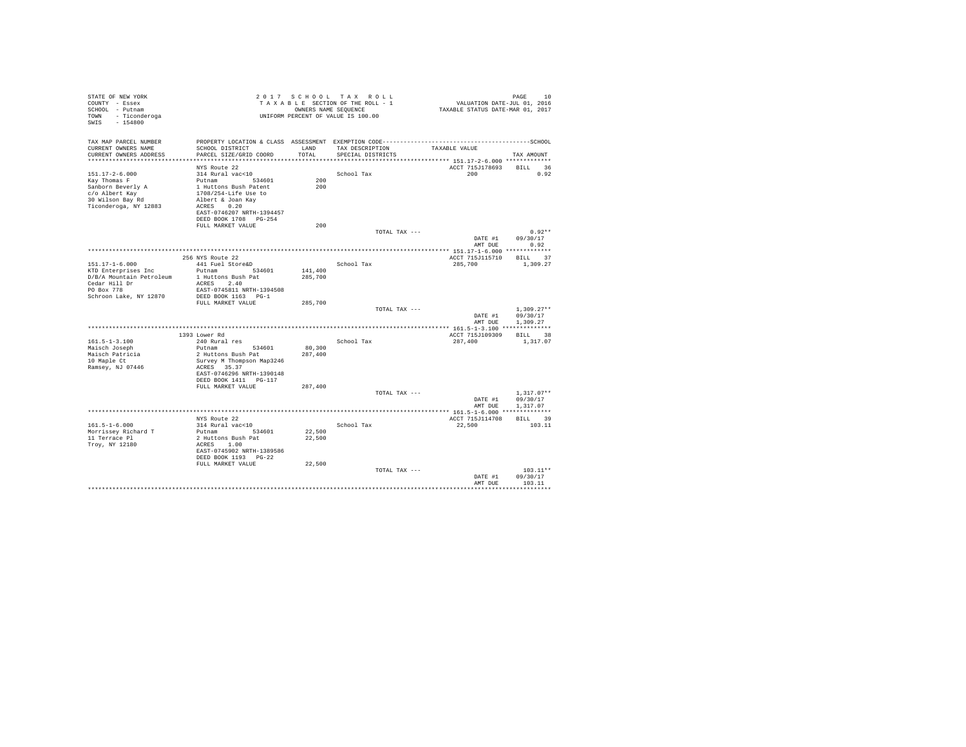| STATE OF NEW YORK<br>COUNTY - Essex<br>SCHOOL - Putnam<br>- Ticonderoga<br>TOWN<br>$-154800$<br>SWIS |                                          |                  | 2017 SCHOOL TAX ROLL<br>TAXABLE SECTION OF THE ROLL - 1<br>OWNERS NAME SEQUENCE<br>UNIFORM PERCENT OF VALUE IS 100.00 | VALUATION DATE-JUL 01, 2016<br>TAXABLE STATUS DATE-MAR 01, 2017 | PAGE<br>10         |
|------------------------------------------------------------------------------------------------------|------------------------------------------|------------------|-----------------------------------------------------------------------------------------------------------------------|-----------------------------------------------------------------|--------------------|
| TAX MAP PARCEL NUMBER                                                                                |                                          |                  |                                                                                                                       |                                                                 |                    |
| CURRENT OWNERS NAME                                                                                  | SCHOOL DISTRICT                          | LAND<br>TOTAL    | TAX DESCRIPTION                                                                                                       | TAXABLE VALUE                                                   |                    |
| CURRENT OWNERS ADDRESS<br>************************                                                   | PARCEL SIZE/GRID COORD                   |                  | SPECIAL DISTRICTS                                                                                                     |                                                                 | TAX AMOUNT         |
|                                                                                                      | NYS Route 22                             |                  |                                                                                                                       | ACCT 715J178693                                                 | BILL 36            |
| $151.17 - 2 - 6.000$                                                                                 | 314 Rural vac<10                         |                  | School Tax                                                                                                            | 200                                                             | 0.92               |
| Kay Thomas F                                                                                         | Putnam 534601                            | 200              |                                                                                                                       |                                                                 |                    |
| Sanborn Beverly A                                                                                    | 1 Huttons Bush Patent                    | 200              |                                                                                                                       |                                                                 |                    |
| c/o Albert Kay                                                                                       | 1708/254-Life Use to                     |                  |                                                                                                                       |                                                                 |                    |
| 30 Wilson Bay Rd                                                                                     | Albert & Joan Kay                        |                  |                                                                                                                       |                                                                 |                    |
| Ticonderoga, NY 12883                                                                                | ACRES 0.20<br>EAST-0746207 NRTH-1394457  |                  |                                                                                                                       |                                                                 |                    |
|                                                                                                      | DEED BOOK 1708 PG-254                    |                  |                                                                                                                       |                                                                 |                    |
|                                                                                                      | FULL MARKET VALUE                        | 200              |                                                                                                                       |                                                                 |                    |
|                                                                                                      |                                          |                  | TOTAL TAX ---                                                                                                         |                                                                 | $0.92**$           |
|                                                                                                      |                                          |                  |                                                                                                                       | DATE #1                                                         | 09/30/17           |
|                                                                                                      |                                          |                  |                                                                                                                       | AMT DUE                                                         | 0.92               |
|                                                                                                      | 256 NYS Route 22                         |                  |                                                                                                                       | ACCT 715J115710                                                 | BILL 37            |
| $151.17 - 1 - 6.000$                                                                                 | 441 Fuel Store&D                         |                  | School Tax                                                                                                            | 285,700                                                         | 1,309.27           |
| KTD Enterprises Inc                                                                                  | Putnam 534601                            | 141,400          |                                                                                                                       |                                                                 |                    |
| D/B/A Mountain Petroleum                                                                             | 1 Huttons Bush Pat                       | 285,700          |                                                                                                                       |                                                                 |                    |
| $\text{Cedar Hill Dr}$                                                                               | ACRES 2.40                               |                  |                                                                                                                       |                                                                 |                    |
| PO Box 778                                                                                           | EAST-0745811 NRTH-1394508                |                  |                                                                                                                       |                                                                 |                    |
| Schroon Lake, NY 12870                                                                               | DEED BOOK 1163 PG-1<br>FULL MARKET VALUE | 285,700          |                                                                                                                       |                                                                 |                    |
|                                                                                                      |                                          |                  | TOTAL TAX ---                                                                                                         |                                                                 | $1,309.27**$       |
|                                                                                                      |                                          |                  |                                                                                                                       | DATE #1                                                         | 09/30/17           |
|                                                                                                      |                                          |                  |                                                                                                                       | AMT DUE                                                         | 1,309.27           |
|                                                                                                      |                                          |                  |                                                                                                                       |                                                                 |                    |
|                                                                                                      | 1393 Lower Rd                            |                  |                                                                                                                       | ACCT 715J109309                                                 | BILL 38            |
| $161.5 - 1 - 3.100$<br>Maisch Joseph                                                                 | 240 Rural res<br>Putnam 534601           | 80,300           | School Tax                                                                                                            | 287,400                                                         | 1,317.07           |
| Maisch Patricia                                                                                      | 2 Huttons Bush Pat                       | 287,400          |                                                                                                                       |                                                                 |                    |
| 10 Maple Ct                                                                                          | Survey M Thompson Map3246                |                  |                                                                                                                       |                                                                 |                    |
| Ramsey, NJ 07446                                                                                     | ACRES 35.37                              |                  |                                                                                                                       |                                                                 |                    |
|                                                                                                      | EAST-0746296 NRTH-1390148                |                  |                                                                                                                       |                                                                 |                    |
|                                                                                                      | DEED BOOK 1411    PG-117                 |                  |                                                                                                                       |                                                                 |                    |
|                                                                                                      | FULL MARKET VALUE                        | 287,400          | TOTAL TAX ---                                                                                                         |                                                                 | $1.317.07**$       |
|                                                                                                      |                                          |                  |                                                                                                                       | DATE #1                                                         | 09/30/17           |
|                                                                                                      |                                          |                  |                                                                                                                       | AMT DUE                                                         | 1,317.07           |
|                                                                                                      |                                          |                  |                                                                                                                       |                                                                 |                    |
|                                                                                                      | NYS Route 22                             |                  |                                                                                                                       | ACCT 715J114708                                                 | BILL 39            |
| $161.5 - 1 - 6.000$                                                                                  | 314 Rural vac<10                         |                  | School Tax                                                                                                            | 22,500                                                          | 103.11             |
| Morrissey Richard T<br>11 Terrace Pl                                                                 | Putnam 534601<br>2 Huttons Bush Pat      | 22,500<br>22,500 |                                                                                                                       |                                                                 |                    |
| Troy, NY 12180                                                                                       | ACRES 1.00                               |                  |                                                                                                                       |                                                                 |                    |
|                                                                                                      | EAST-0745902 NRTH-1389586                |                  |                                                                                                                       |                                                                 |                    |
|                                                                                                      | DEED BOOK 1193 PG-22                     |                  |                                                                                                                       |                                                                 |                    |
|                                                                                                      | FULL MARKET VALUE                        | 22,500           |                                                                                                                       |                                                                 |                    |
|                                                                                                      |                                          |                  | TOTAL TAX ---                                                                                                         |                                                                 | $103.11**$         |
|                                                                                                      |                                          |                  |                                                                                                                       | DATE #1<br>AMT DUE                                              | 09/30/17<br>103.11 |
|                                                                                                      |                                          |                  |                                                                                                                       |                                                                 |                    |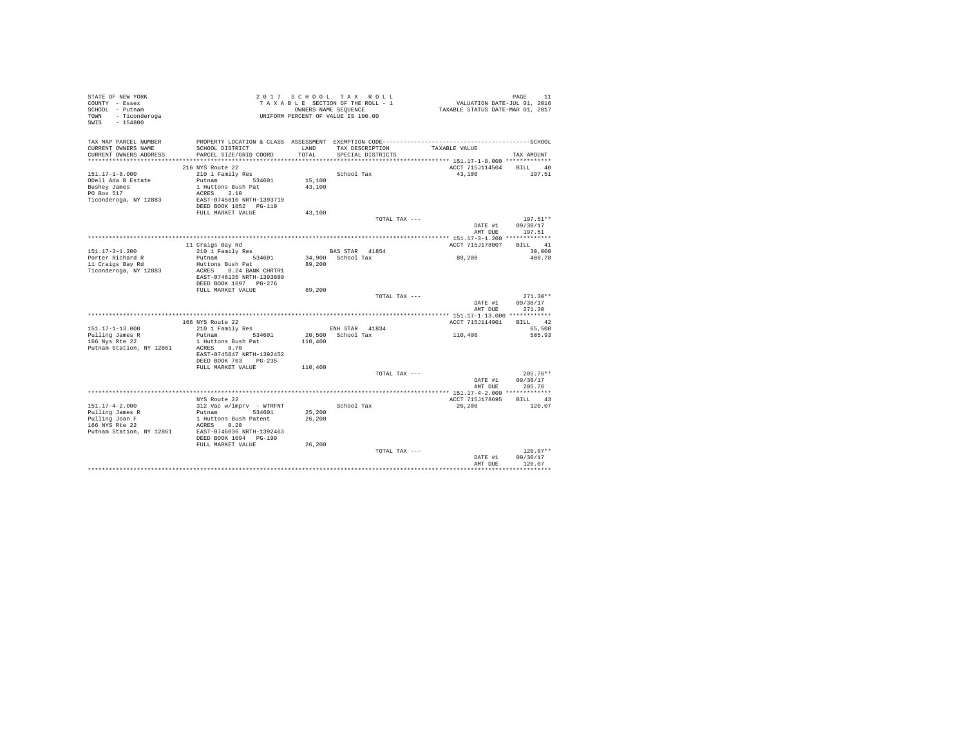| STATE OF NEW YORK<br>COUNTY - Essex<br>SCHOOL - Putnam<br>- Ticonderoga<br>TOWN<br>$-154800$<br>SWIS |                                                                                       | 2017 SCHOOL TAX ROLL<br>TAXABLE SECTION OF THE ROLL - 1<br>UNIFORM PERCENT OF VALUE IS 100.00 | OWNERS NAME SEQUENCE                |               | VALUATION DATE-JUL 01, 2016<br>TAXABLE STATUS DATE-MAR 01, 2017 | PAGE<br>11         |
|------------------------------------------------------------------------------------------------------|---------------------------------------------------------------------------------------|-----------------------------------------------------------------------------------------------|-------------------------------------|---------------|-----------------------------------------------------------------|--------------------|
| TAX MAP PARCEL NUMBER<br>CURRENT OWNERS NAME                                                         | SCHOOL DISTRICT                                                                       | LAND                                                                                          | TAX DESCRIPTION                     |               | TAXABLE VALUE                                                   |                    |
| CURRENT OWNERS ADDRESS                                                                               | PARCEL SIZE/GRID COORD                                                                | TOTAL                                                                                         | SPECIAL DISTRICTS                   |               |                                                                 | TAX AMOUNT         |
|                                                                                                      | 216 NYS Route 22                                                                      |                                                                                               |                                     |               | ACCT 715J114504                                                 | BILL 40            |
| $151.17 - 1 - 8.000$<br>ODell Ada B Estate<br>Bushey James                                           | 210 1 Family Res<br>Putnam 534601<br>1 Huttons Bush Pat                               | 15,100<br>43,100                                                                              | School Tax                          |               | 43,100                                                          | 197.51             |
| PO Box 517<br>Ticonderoga, NY 12883                                                                  | ACRES 2.10<br>EAST-0745810 NRTH-1393719<br>DEED BOOK 1852 PG-119<br>FULL MARKET VALUE | 43,100                                                                                        |                                     |               |                                                                 |                    |
|                                                                                                      |                                                                                       |                                                                                               |                                     | TOTAL TAX --- |                                                                 | $197.51**$         |
|                                                                                                      |                                                                                       |                                                                                               |                                     |               | DATE #1<br>AMT DUE                                              | 09/30/17<br>197.51 |
|                                                                                                      | 11 Craigs Bay Rd                                                                      |                                                                                               |                                     |               | ACCT 715J178007                                                 | BILL 41            |
| $151.17 - 3 - 1.200$                                                                                 | 210 1 Family Res                                                                      |                                                                                               | BAS STAR 41854                      |               |                                                                 | 30,000             |
| Porter Richard R                                                                                     | Putnam<br>534601                                                                      |                                                                                               | 34,900 School Tax                   |               | 89,200                                                          | 408.78             |
| 11 Craigs Bay Rd                                                                                     | Huttons Bush Pat                                                                      | 89,200                                                                                        |                                     |               |                                                                 |                    |
| Ticonderoga, NY 12883                                                                                | ACRES 0.24 BANK CHRTR1<br>EAST-0746135 NRTH-1393880<br>DEED BOOK 1697 PG-276          |                                                                                               |                                     |               |                                                                 |                    |
|                                                                                                      | FULL MARKET VALUE                                                                     | 89,200                                                                                        |                                     |               |                                                                 |                    |
|                                                                                                      |                                                                                       |                                                                                               |                                     | TOTAL TAX --- |                                                                 | $271.30**$         |
|                                                                                                      |                                                                                       |                                                                                               |                                     |               | DATE #1<br>AMT DUE                                              | 09/30/17<br>271.30 |
|                                                                                                      |                                                                                       |                                                                                               |                                     |               |                                                                 |                    |
|                                                                                                      | 166 NYS Route 22                                                                      |                                                                                               |                                     |               | ACCT 715J114901                                                 | BILL 42            |
| 151.17-1-13.000<br>Pulling James R                                                                   | 210 1 Family Res<br>Putnam<br>534601                                                  |                                                                                               | ENH STAR 41834<br>20,500 School Tax |               | 110,400                                                         | 65,500<br>505.93   |
| 166 Nys Rte 22                                                                                       | 1 Huttons Bush Pat                                                                    | 110,400                                                                                       |                                     |               |                                                                 |                    |
| Putnam Station, NY 12861                                                                             | ACRES 0.70<br>EAST-0745847 NRTH-1392452<br>DEED BOOK 703 PG-235                       |                                                                                               |                                     |               |                                                                 |                    |
|                                                                                                      | FULL MARKET VALUE                                                                     | 110,400                                                                                       |                                     |               |                                                                 |                    |
|                                                                                                      |                                                                                       |                                                                                               |                                     | TOTAL TAX --- |                                                                 | $205.76**$         |
|                                                                                                      |                                                                                       |                                                                                               |                                     |               | DATE #1                                                         | 09/30/17           |
|                                                                                                      |                                                                                       |                                                                                               |                                     |               | AMT DUE                                                         | 205.76             |
|                                                                                                      |                                                                                       |                                                                                               |                                     |               |                                                                 |                    |
|                                                                                                      | NYS Route 22                                                                          |                                                                                               |                                     |               | ACCT 715J178695                                                 | BILL 43            |
| $151.17 - 4 - 2.000$<br>Pulling James R<br>Pulling Joan F<br>166 NYS Rte 22                          | 312 Vac w/imprv - WTRFNT<br>Putnam 534601<br>1 Huttons Bush Patent<br>ACRES 0.20      | 25,200<br>26,200                                                                              | School Tax                          |               | 26,200                                                          | 120.07             |
| Putnam Station, NY 12861                                                                             | EAST-0746036 NRTH-1392463<br>DEED BOOK 1094 PG-199<br>FULL MARKET VALUE               | 26,200                                                                                        |                                     |               |                                                                 |                    |
|                                                                                                      |                                                                                       |                                                                                               |                                     | TOTAL TAX --- |                                                                 | $120.07**$         |
|                                                                                                      |                                                                                       |                                                                                               |                                     |               | DATE #1<br>AMT DUE                                              | 09/30/17<br>120.07 |
|                                                                                                      |                                                                                       |                                                                                               |                                     |               |                                                                 |                    |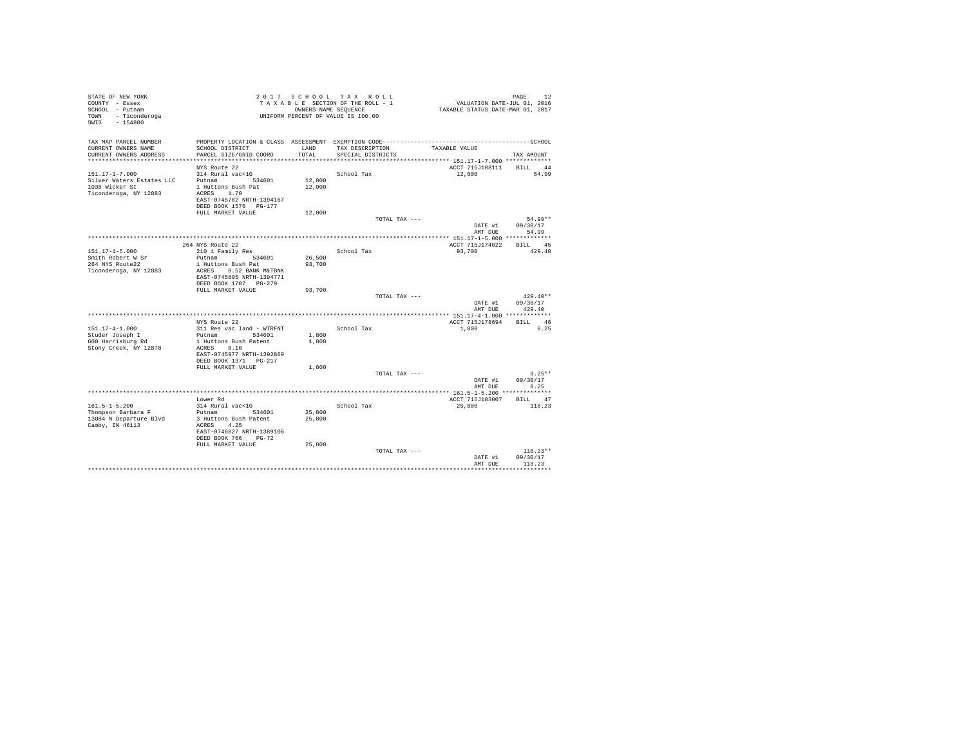| STATE OF NEW YORK<br>2017 SCHOOL TAX ROLL<br>VALUATION DATE-JUL 01, 2016<br>COUNTY - Essex<br>TAXABLE SECTION OF THE ROLL - 1<br>SCHOOL - Putnam<br>OWNERS NAME SEQUENCE<br>TAXABLE STATUS DATE-MAR 01, 2017<br>TOWN - Ticonderoga<br>UNIFORM PERCENT OF VALUE IS 100.00<br>SWIS - 154800 |                        |
|-------------------------------------------------------------------------------------------------------------------------------------------------------------------------------------------------------------------------------------------------------------------------------------------|------------------------|
| TAX MAP PARCEL NUMBER                                                                                                                                                                                                                                                                     |                        |
| CURRENT OWNERS NAME<br>SCHOOL DISTRICT<br>LAND<br>TAX DESCRIPTION<br>TAXABLE VALUE<br>CURRENT OWNERS ADDRESS<br>PARCEL SIZE/GRID COORD<br>TOTAL<br>SPECIAL DISTRICTS                                                                                                                      | TAX AMOUNT             |
|                                                                                                                                                                                                                                                                                           |                        |
| ACCT 715J108111 BILL 44<br>NYS Route 22                                                                                                                                                                                                                                                   |                        |
| $151.17 - 1 - 7.000$<br>314 Rural vac<10<br>School Tax<br>12,000<br>Putnam<br>12,000                                                                                                                                                                                                      | 54.99                  |
| Silver Waters Estates LLC<br>534601<br>1038 Wicker St<br>1 Huttons Bush Pat<br>12,000                                                                                                                                                                                                     |                        |
| Ticonderoga, NY 12883<br>ACRES 1.70                                                                                                                                                                                                                                                       |                        |
| EAST-0745782 NRTH-1394167                                                                                                                                                                                                                                                                 |                        |
| DEED BOOK 1576 PG-177                                                                                                                                                                                                                                                                     |                        |
| FULL MARKET VALUE<br>12,000                                                                                                                                                                                                                                                               |                        |
| TOTAL TAX ---<br>DATE #1                                                                                                                                                                                                                                                                  | $54.99**$<br>09/30/17  |
| AMT DUE                                                                                                                                                                                                                                                                                   | 54.99                  |
|                                                                                                                                                                                                                                                                                           |                        |
| 264 NYS Route 22<br>ACCT 715J174022                                                                                                                                                                                                                                                       | BILL 45                |
| $151.17 - 1 - 5.000$<br>School Tax<br>93,700<br>210 1 Family Res                                                                                                                                                                                                                          | 429.40                 |
| Smith Robert W Sr<br>26,500<br>Putnam<br>534601<br>264 NYS Route22<br>1 Huttons Bush Pat<br>93,700                                                                                                                                                                                        |                        |
| Ticonderoga, NY 12883<br>ACRES 0.52 BANK M&TBNK<br>EAST-0745895 NRTH-1394771                                                                                                                                                                                                              |                        |
| DEED BOOK 1707 PG-279                                                                                                                                                                                                                                                                     |                        |
| FULL MARKET VALUE<br>93,700                                                                                                                                                                                                                                                               |                        |
| TOTAL TAX ---<br>DATE #1                                                                                                                                                                                                                                                                  | $429.40**$<br>09/30/17 |
| AMT DUE                                                                                                                                                                                                                                                                                   | 429.40                 |
|                                                                                                                                                                                                                                                                                           |                        |
| NYS Route 22<br>ACCT 715J178694                                                                                                                                                                                                                                                           | BILL 46                |
| $151.17 - 4 - 1.000$<br>311 Res vac land - WTRFNT<br>School Tax<br>1,800                                                                                                                                                                                                                  | 8.25                   |
| Studer Joseph I<br>Putnam 534601<br>1,800                                                                                                                                                                                                                                                 |                        |
| 600 Harrisburg Rd<br>1 Huttons Bush Patent<br>1,800<br>Stony Creek, NY 12878<br>ACRES 0.10                                                                                                                                                                                                |                        |
| EAST-0745977 NRTH-1392869                                                                                                                                                                                                                                                                 |                        |
| DEED BOOK 1371 PG-217                                                                                                                                                                                                                                                                     |                        |
| FULL MARKET VALUE<br>1,800                                                                                                                                                                                                                                                                |                        |
| TOTAL TAX ---                                                                                                                                                                                                                                                                             | $8.25**$               |
| DATE #1<br>AMT DUE                                                                                                                                                                                                                                                                        | 09/30/17<br>8.25       |
|                                                                                                                                                                                                                                                                                           |                        |
| Lower Rd<br>ACCT 715J183007                                                                                                                                                                                                                                                               | BILL 47                |
| $161.5 - 1 - 5.200$<br>314 Rural vac<10<br>25,800<br>School Tax                                                                                                                                                                                                                           | 118.23                 |
| Thompson Barbara F<br>Putnam 534601<br>25,800                                                                                                                                                                                                                                             |                        |
| 13084 N Departure Blvd<br>3 Huttons Bush Patent<br>25,800<br>Camby, IN 46113                                                                                                                                                                                                              |                        |
| ACRES 4.25<br>EAST-0746827 NRTH-1389106                                                                                                                                                                                                                                                   |                        |
| DEED BOOK 766 PG-72                                                                                                                                                                                                                                                                       |                        |
| FULL MARKET VALUE<br>25,800                                                                                                                                                                                                                                                               |                        |
| TOTAL TAX ---                                                                                                                                                                                                                                                                             | $118.23**$             |
| DATE #1                                                                                                                                                                                                                                                                                   | 09/30/17<br>118.23     |
| AMT DUE                                                                                                                                                                                                                                                                                   |                        |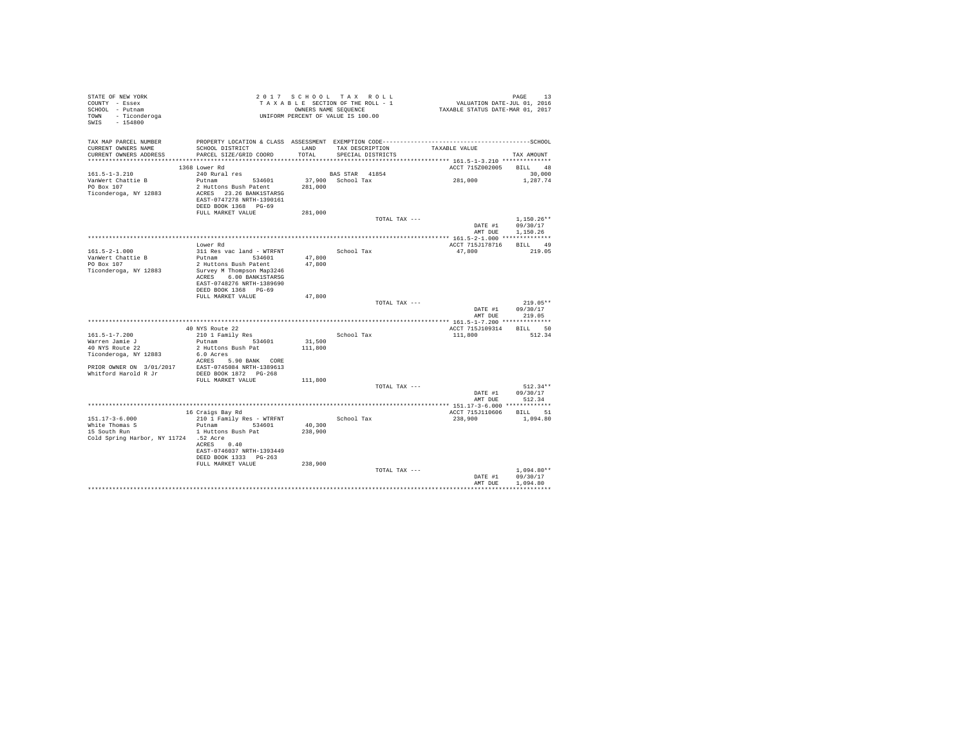| STATE OF NEW YORK<br>COUNTY - Essex<br>SCHOOL - Putnam<br>TOWN - Ticonderoga<br>SWIS - 154800 |                                                                                                          |         | 2017 SCHOOL TAX ROLL<br>TAXABLE SECTION OF THE ROLL - 1<br>OWNERS NAME SEQUENCE<br>UNIFORM PERCENT OF VALUE IS 100.00 | PAGE 13<br>VALUATION DATE-JUL 01, 2016<br>TAXABLE STATUS DATE-MAR 01, 2017 |                                      |
|-----------------------------------------------------------------------------------------------|----------------------------------------------------------------------------------------------------------|---------|-----------------------------------------------------------------------------------------------------------------------|----------------------------------------------------------------------------|--------------------------------------|
| TAX MAP PARCEL NUMBER<br>CURRENT OWNERS NAME                                                  | SCHOOL DISTRICT                                                                                          |         | LAND TAX DESCRIPTION                                                                                                  | TAXABLE VALUE                                                              |                                      |
| CURRENT OWNERS ADDRESS                                                                        | PARCEL SIZE/GRID COORD                                                                                   | TOTAL   | SPECIAL DISTRICTS                                                                                                     |                                                                            | TAX AMOUNT                           |
|                                                                                               |                                                                                                          |         |                                                                                                                       |                                                                            |                                      |
|                                                                                               | 1368 Lower Rd                                                                                            |         |                                                                                                                       | ACCT 715Z002005                                                            | BILL 48                              |
| $161.5 - 1 - 3.210$                                                                           | 240 Rural res                                                                                            |         | BAS STAR 41854                                                                                                        |                                                                            | 30,000                               |
| VanWert Chattie B                                                                             | Putnam 534601                                                                                            |         | 37,900 School Tax                                                                                                     | 281,000                                                                    | 1,287.74                             |
| PO Box 107<br>Ticonderoga, NY 12883                                                           | 2 Huttons Bush Patent<br>ACRES 23.26 BANK1STARSG<br>EAST-0747278 NRTH-1390161                            | 281,000 |                                                                                                                       |                                                                            |                                      |
|                                                                                               | DEED BOOK 1368 PG-69                                                                                     |         |                                                                                                                       |                                                                            |                                      |
|                                                                                               | FULL MARKET VALUE                                                                                        | 281,000 |                                                                                                                       |                                                                            |                                      |
|                                                                                               |                                                                                                          |         | TOTAL TAX ---                                                                                                         |                                                                            | $1.150.26**$                         |
|                                                                                               |                                                                                                          |         |                                                                                                                       | DATE #1                                                                    | 09/30/17                             |
|                                                                                               |                                                                                                          |         |                                                                                                                       | AMT DUE                                                                    | 1,150.26                             |
|                                                                                               |                                                                                                          |         |                                                                                                                       | ACCT 715J178716                                                            | BILL 49                              |
| $161.5 - 2 - 1.000$                                                                           | Lower Rd<br>311 Res vac land - WTRFNT                                                                    |         | School Tax                                                                                                            | 47,800                                                                     | 219.05                               |
| VanWert Chattie B                                                                             | Putnam 534601                                                                                            | 47.800  |                                                                                                                       |                                                                            |                                      |
| $PO$ Box $107$                                                                                | 2 Huttons Bush Patent                                                                                    | 47,800  |                                                                                                                       |                                                                            |                                      |
| Ticonderoga, NY 12883                                                                         | Survey M Thompson Map3246<br>ACRES 6.00 BANK1STARSG<br>EAST-0748276 NRTH-1389690<br>DEED BOOK 1368 PG-69 |         |                                                                                                                       |                                                                            |                                      |
|                                                                                               | FULL MARKET VALUE                                                                                        | 47,800  |                                                                                                                       |                                                                            |                                      |
|                                                                                               |                                                                                                          |         | TOTAL TAX ---                                                                                                         | DATE #1                                                                    | $219.05**$<br>09/30/17               |
|                                                                                               |                                                                                                          |         |                                                                                                                       | AMT DUE                                                                    | 219.05                               |
|                                                                                               | 40 NYS Route 22                                                                                          |         |                                                                                                                       | ACCT 715J109314 BILL 50                                                    |                                      |
| $161.5 - 1 - 7.200$                                                                           | 210 1 Family Res                                                                                         |         | School Tax                                                                                                            | 111,800                                                                    | 512.34                               |
| Warren Jamie J                                                                                | Putnam 534601                                                                                            | 31,500  |                                                                                                                       |                                                                            |                                      |
| 40 NYS Route 22                                                                               | 2 Huttons Bush Pat                                                                                       | 111,800 |                                                                                                                       |                                                                            |                                      |
| Ticonderoga, NY 12883                                                                         | 6.0 Acres                                                                                                |         |                                                                                                                       |                                                                            |                                      |
|                                                                                               | ACRES 5.90 BANK CORE                                                                                     |         |                                                                                                                       |                                                                            |                                      |
| PRIOR OWNER ON 3/01/2017                                                                      | EAST-0745084 NRTH-1389613                                                                                |         |                                                                                                                       |                                                                            |                                      |
| Whitford Harold R Jr                                                                          | DEED BOOK 1872 PG-268<br>FULL MARKET VALUE                                                               | 111,800 |                                                                                                                       |                                                                            |                                      |
|                                                                                               |                                                                                                          |         | TOTAL TAX ---                                                                                                         |                                                                            | $512.34**$                           |
|                                                                                               |                                                                                                          |         |                                                                                                                       | DATE #1<br>AMT DUE                                                         | 09/30/17<br>512.34                   |
|                                                                                               |                                                                                                          |         |                                                                                                                       |                                                                            |                                      |
|                                                                                               | 16 Craigs Bay Rd                                                                                         |         |                                                                                                                       | ACCT 715J110606                                                            | BILL 51                              |
| $151.17 - 3 - 6.000$                                                                          | 210 1 Family Res - WTRFNT                                                                                |         | School Tax                                                                                                            | 238,900                                                                    | 1,094.80                             |
| White Thomas $S$                                                                              | Putnam 534601                                                                                            | 40,300  |                                                                                                                       |                                                                            |                                      |
| 15 South Run<br>Cold Spring Harbor, NY 11724 .52 Acre                                         | 1 Huttons Bush Pat                                                                                       | 238,900 |                                                                                                                       |                                                                            |                                      |
|                                                                                               | ACRES 0.40                                                                                               |         |                                                                                                                       |                                                                            |                                      |
|                                                                                               | EAST-0746037 NRTH-1393449<br>DEED BOOK 1333 PG-263                                                       |         |                                                                                                                       |                                                                            |                                      |
|                                                                                               | FULL MARKET VALUE                                                                                        | 238,900 |                                                                                                                       |                                                                            |                                      |
|                                                                                               |                                                                                                          |         | TOTAL TAX ---                                                                                                         | DATE #1<br>AMT DUE                                                         | $1.094.80**$<br>09/30/17<br>1,094.80 |
|                                                                                               |                                                                                                          |         |                                                                                                                       |                                                                            |                                      |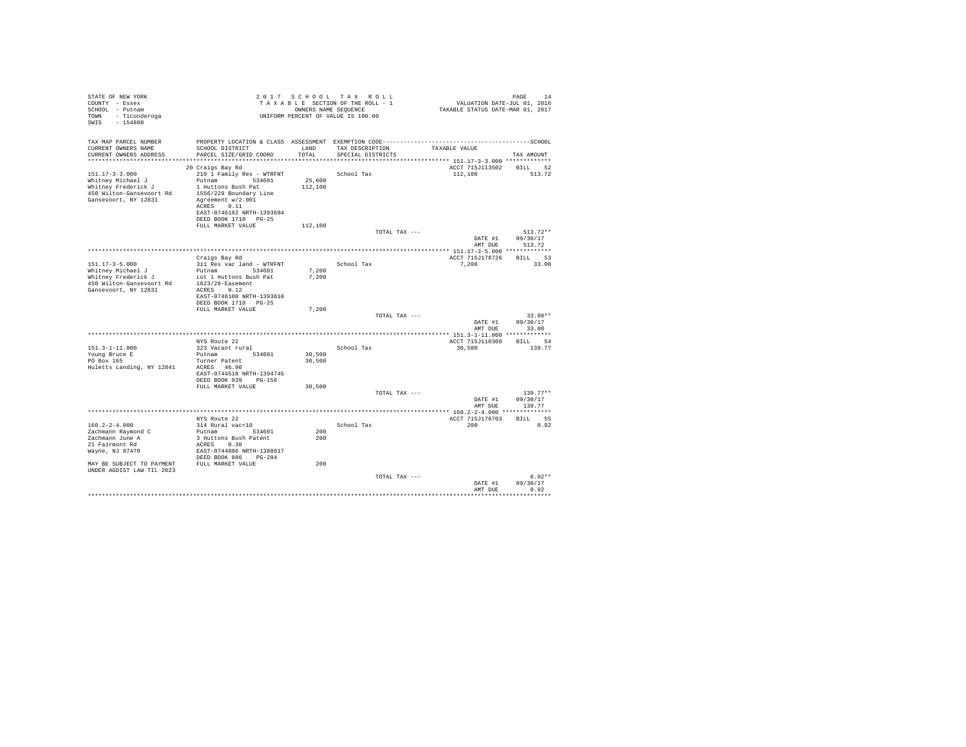| STATE OF NEW YORK<br>COUNTY - Essex<br>SCHOOL - Putnam<br>- Ticonderoga<br>TOWN<br>SWIS<br>$-154800$                                                        |                                                                                                                                                                                                        |                   | 2017 SCHOOL TAX ROLL<br>TAXABLE SECTION OF THE ROLL - 1<br>OWNERS NAME SEOUENCE<br>UNIFORM PERCENT OF VALUE IS 100.00 | VALUATION DATE-JUL 01, 2016<br>TAXABLE STATUS DATE-MAR 01, 2017 | PAGE<br>14                   |
|-------------------------------------------------------------------------------------------------------------------------------------------------------------|--------------------------------------------------------------------------------------------------------------------------------------------------------------------------------------------------------|-------------------|-----------------------------------------------------------------------------------------------------------------------|-----------------------------------------------------------------|------------------------------|
| TAX MAP PARCEL NUMBER<br>CURRENT OWNERS NAME<br>CURRENT OWNERS ADDRESS                                                                                      | SCHOOL DISTRICT<br>PARCEL SIZE/GRID COORD                                                                                                                                                              | LAND<br>TOTAL.    | TAX DESCRIPTION<br>SPECIAL DISTRICTS                                                                                  | TAXABLE VALUE                                                   | TAX AMOUNT                   |
| $151.17 - 3 - 3.000$<br>Whitney Michael J<br>Whitney Frederick J<br>450 Wilton-Gansevoort Rd<br>Gansevoort, NY 12831                                        | 20 Craigs Bay Rd<br>210 1 Family Res - WTRFNT<br>Putnam 534601<br>1 Huttons Bush Pat<br>1556/229 Boundary Line<br>Agreement w/2.001<br>ACRES 0.11<br>EAST-0746192 NRTH-1393694<br>DEED BOOK 1710 PG-25 | 25,600<br>112,100 | School Tax                                                                                                            | ACCT 715J113502 BILL 52<br>112,100                              | 513.72                       |
|                                                                                                                                                             | FULL MARKET VALUE                                                                                                                                                                                      | 112,100           | TOTAL TAX ---                                                                                                         | DATE #1                                                         | $513.72**$<br>09/30/17       |
|                                                                                                                                                             | Craigs Bay Rd                                                                                                                                                                                          |                   |                                                                                                                       | AMT DUE<br>ACCT 715J178726                                      | 513.72<br>BILL 53            |
| $151.17 - 3 - 5.000$<br>Whitney Michael J<br>Whitney Frederick J<br>450 Wilton-Gansevoort Rd<br>Gansevoort, NY 12831                                        | 311 Res vac land - WTRFNT<br>Putnam<br>534601<br>Lot 1 Huttons Bush Pat<br>$1623/26$ -Easement<br>ACRES 0.12<br>EAST-0746100 NRTH-1393610<br>DEED BOOK 1710 PG-25                                      | 7,200<br>7.200    | School Tax                                                                                                            | 7,200                                                           | 33.00                        |
|                                                                                                                                                             | FULL MARKET VALUE                                                                                                                                                                                      | 7.200             | TOTAL TAX ---                                                                                                         | DATE #1                                                         | $33.00**$<br>09/30/17        |
|                                                                                                                                                             |                                                                                                                                                                                                        |                   |                                                                                                                       | AMT DUE                                                         | 33.00                        |
| $151.3 - 1 - 11.000$<br>Young Bruce E<br>PO Box 165<br>Huletts Landing, NY 12841                                                                            | NYS Route 22<br>323 Vacant rural<br>Putnam 534601<br>Turner Patent<br>ACRES 46.90<br>EAST-0744518 NRTH-1394745                                                                                         | 30,500<br>30,500  | School Tax                                                                                                            | ACCT 715J110309<br>30,500                                       | BTLL 54<br>139.77            |
|                                                                                                                                                             | DEED BOOK 939 PG-156<br>FULL MARKET VALUE                                                                                                                                                              | 30,500            | TOTAL TAX ---                                                                                                         | DATE #1                                                         | $139.77**$<br>09/30/17       |
|                                                                                                                                                             |                                                                                                                                                                                                        |                   |                                                                                                                       | AMT DUE                                                         | 139.77                       |
| $160.2 - 2 - 4.000$<br>Zachmann Raymond C<br>Zachmann June A<br>21 Fairmont Rd<br>Wayne, NJ 07470<br>MAY BE SUBJECT TO PAYMENT<br>UNDER AGDIST LAW TIL 2023 | NYS Route 22<br>314 Rural vac<10<br>534601<br>Putnam<br>3 Huttons Bush Patent<br>ACRES 0.30<br>EAST-0744886 NRTH-1388617<br>DEED BOOK 886 PG-284<br>FULL MARKET VALUE                                  | 200<br>200<br>200 | School Tax                                                                                                            | ACCT 715J178703<br>200                                          | BTLL 55<br>0.92              |
|                                                                                                                                                             |                                                                                                                                                                                                        |                   | TOTAL TAX ---                                                                                                         | DATE #1<br>AMT DUE                                              | $0.92**$<br>09/30/17<br>0.92 |
|                                                                                                                                                             |                                                                                                                                                                                                        |                   |                                                                                                                       |                                                                 | ********                     |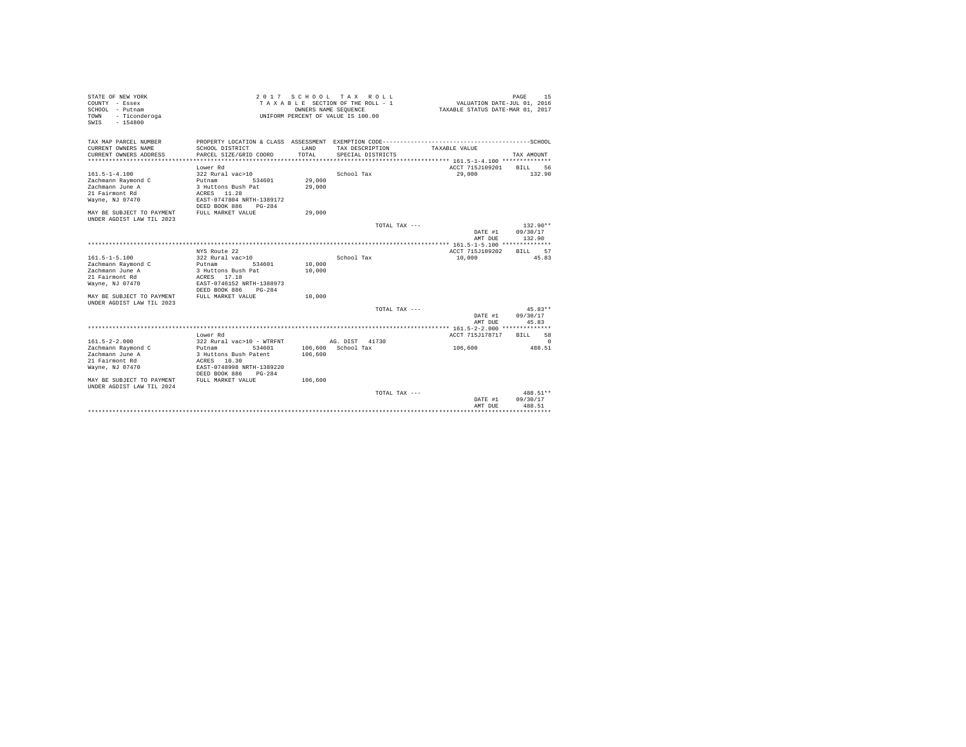| STATE OF NEW YORK<br>COUNTY - Essex<br>SCHOOL - Putnam<br>- Ticonderoga<br>TOWN<br>$-154800$<br>SWIS                                                                |                                                                                                                                                                                                                                 |                                                    | 2017 SCHOOL TAX ROLL<br>TAXABLE SECTION OF THE ROLL - 1<br>OWNERS NAME SEQUENCE<br>UNIFORM PERCENT OF VALUE IS 100.00 | VALUATION DATE-JUL 01, 2016<br>TAXABLE STATUS DATE-MAR 01, 2017                                             | 15<br>PAGE                                                      |
|---------------------------------------------------------------------------------------------------------------------------------------------------------------------|---------------------------------------------------------------------------------------------------------------------------------------------------------------------------------------------------------------------------------|----------------------------------------------------|-----------------------------------------------------------------------------------------------------------------------|-------------------------------------------------------------------------------------------------------------|-----------------------------------------------------------------|
| TAX MAP PARCEL NUMBER<br>CURRENT OWNERS NAME<br>CURRENT OWNERS ADDRESS<br>*************************<br>$161.5 - 1 - 4.100$<br>Zachmann Raymond C<br>Zachmann June A | PROPERTY LOCATION & CLASS ASSESSMENT EXEMPTION CODE---------------------<br>SCHOOL DISTRICT<br>PARCEL SIZE/GRID COORD<br>****************************<br>Lower Rd<br>322 Rural vac>10<br>Putnam<br>534601<br>3 Huttons Bush Pat | LAND<br>TOTAL<br>*************<br>29,000<br>29,000 | TAX DESCRIPTION<br>SPECIAL DISTRICTS<br>School Tax                                                                    | TAXABLE VALUE<br>******************************** 161.5-1-4.100 **************<br>ACCT 715J109201<br>29,000 | $---------SCHOOT.$<br>TAX AMOUNT<br>56<br><b>BILL</b><br>132.90 |
| 21 Fairmont Rd<br>Wayne, NJ 07470<br>MAY BE SUBJECT TO PAYMENT<br>UNDER AGDIST LAW TIL 2023                                                                         | ACRES 11.28<br>EAST-0747804 NRTH-1389172<br>DEED BOOK 886<br>$PG-284$<br>FULL MARKET VALUE                                                                                                                                      | 29,000                                             |                                                                                                                       |                                                                                                             |                                                                 |
|                                                                                                                                                                     |                                                                                                                                                                                                                                 |                                                    | TOTAL TAX ---                                                                                                         | DATE #1<br>AMT DUE                                                                                          | $132.90**$<br>09/30/17<br>132.90                                |
|                                                                                                                                                                     | NYS Route 22                                                                                                                                                                                                                    |                                                    |                                                                                                                       | ACCT 715J109202                                                                                             | 57<br><b>BILL</b>                                               |
| $161.5 - 1 - 5.100$<br>Zachmann Raymond C<br>Zachmann June A<br>21 Fairmont Rd<br>Wayne, NJ 07470<br>MAY BE SUBJECT TO PAYMENT<br>UNDER AGDIST LAW TIL 2023         | 322 Rural vac>10<br>534601<br>Putnam<br>3 Huttons Bush Pat<br>ACRES 17.18<br>EAST-0746152 NRTH-1388973<br>DEED BOOK 886<br>$PG-284$<br>FULL MARKET VALUE                                                                        | 10,000<br>10,000<br>10,000                         | School Tax                                                                                                            | 10,000                                                                                                      | 45.83                                                           |
|                                                                                                                                                                     |                                                                                                                                                                                                                                 |                                                    | TOTAL TAX ---                                                                                                         | DATE #1<br>AMT DUE                                                                                          | $45.83**$<br>09/30/17<br>45.83                                  |
|                                                                                                                                                                     |                                                                                                                                                                                                                                 |                                                    |                                                                                                                       |                                                                                                             |                                                                 |
| $161.5 - 2 - 2.000$<br>Zachmann Raymond C<br>Zachmann June A                                                                                                        | Lower Rd<br>322 Rural vac>10 - WTRFNT<br>534601<br>Putnam<br>3 Huttons Bush Patent                                                                                                                                              | 106,600                                            | AG. DIST 41730<br>106,600 School Tax                                                                                  | ACCT 715J178717<br>106,600                                                                                  | 58<br><b>BILL</b><br>$\Omega$<br>488.51                         |
| 21 Fairmont Rd<br>Wayne, NJ 07470<br>MAY BE SUBJECT TO PAYMENT                                                                                                      | ACRES 10.30<br>EAST-0748998 NRTH-1389220<br>DEED BOOK 886<br>$PG-284$<br>FULL MARKET VALUE                                                                                                                                      | 106,600                                            |                                                                                                                       |                                                                                                             |                                                                 |
| UNDER AGDIST LAW TIL 2024                                                                                                                                           |                                                                                                                                                                                                                                 |                                                    | TOTAL TAX ---                                                                                                         | DATE #1<br>AMT DUE                                                                                          | 488.51**<br>09/30/17<br>488.51                                  |
|                                                                                                                                                                     |                                                                                                                                                                                                                                 |                                                    |                                                                                                                       |                                                                                                             |                                                                 |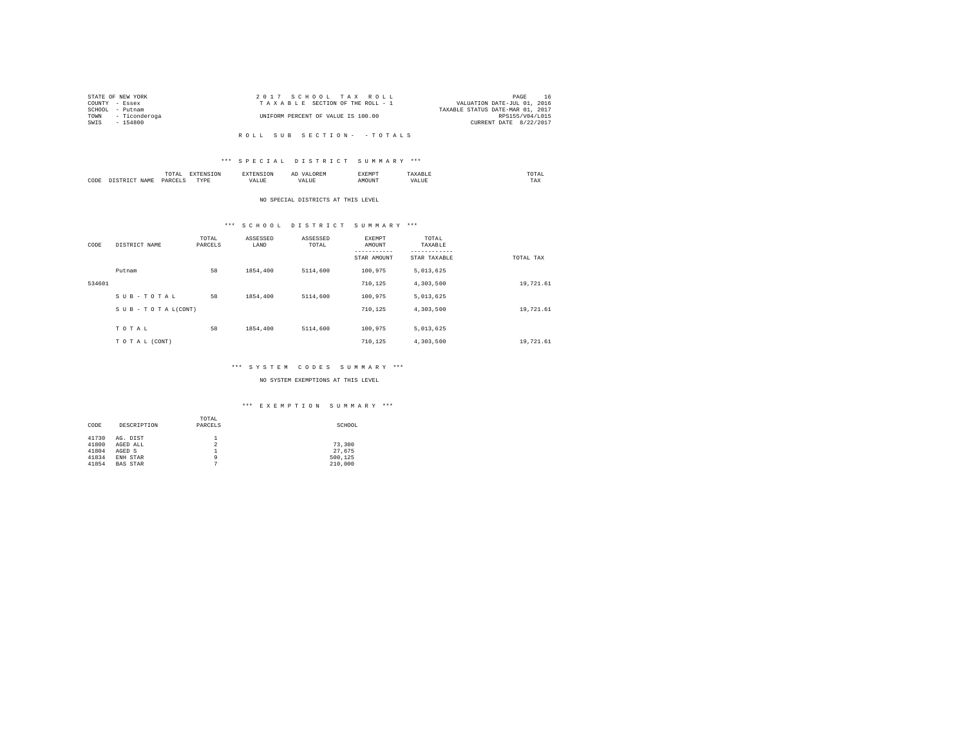|      | STATE OF NEW YORK  | 2017 SCHOOL TAX ROLL               | PAGE                             | -16 |
|------|--------------------|------------------------------------|----------------------------------|-----|
|      | COUNTY - Essex     | TAXABLE SECTION OF THE ROLL - 1    | VALUATION DATE-JUL 01, 2016      |     |
|      | SCHOOL - Putnam    |                                    | TAXABLE STATUS DATE-MAR 01, 2017 |     |
|      | TOWN - Ticonderoga | UNIFORM PERCENT OF VALUE IS 100.00 | RPS155/V04/L015                  |     |
| SWIS | - 154800           |                                    | CURRENT DATE 8/22/2017           |     |
|      |                    |                                    |                                  |     |

#### \*\*\* S P E C I A L D I S T R I C T S U M M A R Y \*\*\*

|      | $\cdots$<br>.<br>the contract of the contract of the contract of | the contract of the contract of the contract of the contract of the contract of |         | ▵<br>- |   | the contract of the contract of the contract of |  |
|------|------------------------------------------------------------------|---------------------------------------------------------------------------------|---------|--------|---|-------------------------------------------------|--|
| CODE | DARCEL.<br>.                                                     | $- - - -$<br>.                                                                  | ٠.<br>. |        | . | ----<br>1'A.X                                   |  |

#### NO SPECIAL DISTRICTS AT THIS LEVEL

# \*\*\* S C H O O L D I S T R I C T S U M M A R Y \*\*\*

| CODE   | DISTRICT NAME   | TOTAL<br>PARCELS | ASSESSED<br>LAND | ASSESSED<br>TOTAL | <b>EXEMPT</b><br>AMOUNT<br>--------<br>STAR AMOUNT | TOTAL<br>TAXABLE<br>---------<br>STAR TAXABLE | TOTAL TAX |
|--------|-----------------|------------------|------------------|-------------------|----------------------------------------------------|-----------------------------------------------|-----------|
|        | Putnam          | 58               | 1854,400         | 5114,600          | 100,975                                            | 5,013,625                                     |           |
| 534601 |                 |                  |                  |                   | 710.125                                            | 4.303.500                                     | 19,721.61 |
|        | SUB-TOTAL       | 58               | 1854,400         | 5114,600          | 100,975                                            | 5,013,625                                     |           |
|        | SUB-TOTAL(CONT) |                  |                  |                   | 710.125                                            | 4.303.500                                     | 19,721.61 |
|        | TOTAL           | 58               | 1854,400         | 5114,600          | 100,975                                            | 5,013,625                                     |           |
|        |                 |                  |                  |                   |                                                    |                                               |           |
|        | TO TAL (CONT)   |                  |                  |                   | 710.125                                            | 4,303,500                                     | 19,721.61 |

#### \*\*\* S Y S T E M C O D E S S U M M A R Y \*\*\*

#### NO SYSTEM EXEMPTIONS AT THIS LEVEL

|       |                 | TOTAL   |         |
|-------|-----------------|---------|---------|
| CODE  | DESCRIPTION     | PARCELS | SCHOOL  |
|       |                 |         |         |
| 41730 | AG. DIST        |         |         |
| 41800 | AGED ALL        | 2       | 73,300  |
| 41804 | AGED S          |         | 27.675  |
| 41834 | ENH STAR        | ٩       | 500.125 |
| 41854 | <b>BAS STAR</b> |         | 210,000 |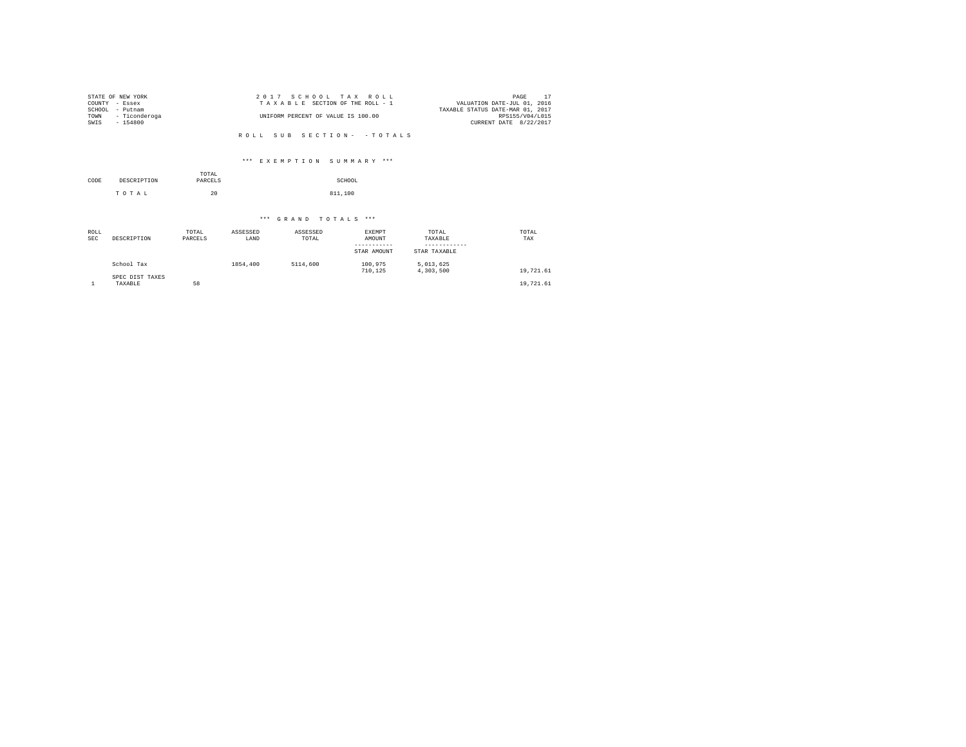|        | STATE OF NEW YORK | 2017 SCHOOL TAX ROLL               | PAGE                             |  |
|--------|-------------------|------------------------------------|----------------------------------|--|
|        | COUNTY - Essex    | TAXABLE SECTION OF THE ROLL - 1    | VALUATION DATE-JUL 01, 2016      |  |
| SCHOOL | - Putnam          |                                    | TAXABLE STATUS DATE-MAR 01, 2017 |  |
| TOWN   | - Ticonderoga     | UNIFORM PERCENT OF VALUE IS 100.00 | RPS155/V04/L015                  |  |
| SWIS   | $-154800$         |                                    | CURRENT DATE 8/22/2017           |  |
|        |                   |                                    |                                  |  |

#### \*\*\* E X E M P T I O N S U M M A R Y \*\*\*

|      |             | TOTAL   |         |
|------|-------------|---------|---------|
| CODE | DESCRIPTION | PARCELS | SCHOOL  |
|      | TOTAL       | 20      | 811,100 |

| ROLL<br><b>SEC</b> | DESCRIPTION                | TOTAL<br>PARCELS | ASSESSED<br>LAND | ASSESSED<br>TOTAL | EXEMPT<br>AMOUNT<br>STAR AMOUNT | TOTAL<br>TAXABLE<br>STAR TAXABLE | TOTAL<br>TAX |
|--------------------|----------------------------|------------------|------------------|-------------------|---------------------------------|----------------------------------|--------------|
|                    | School Tax                 |                  | 1854,400         | 5114,600          | 100.975<br>710.125              | 5.013.625<br>4,303,500           | 19,721.61    |
|                    | SPEC DIST TAXES<br>TAXABLE | 58               |                  |                   |                                 |                                  | 19,721.61    |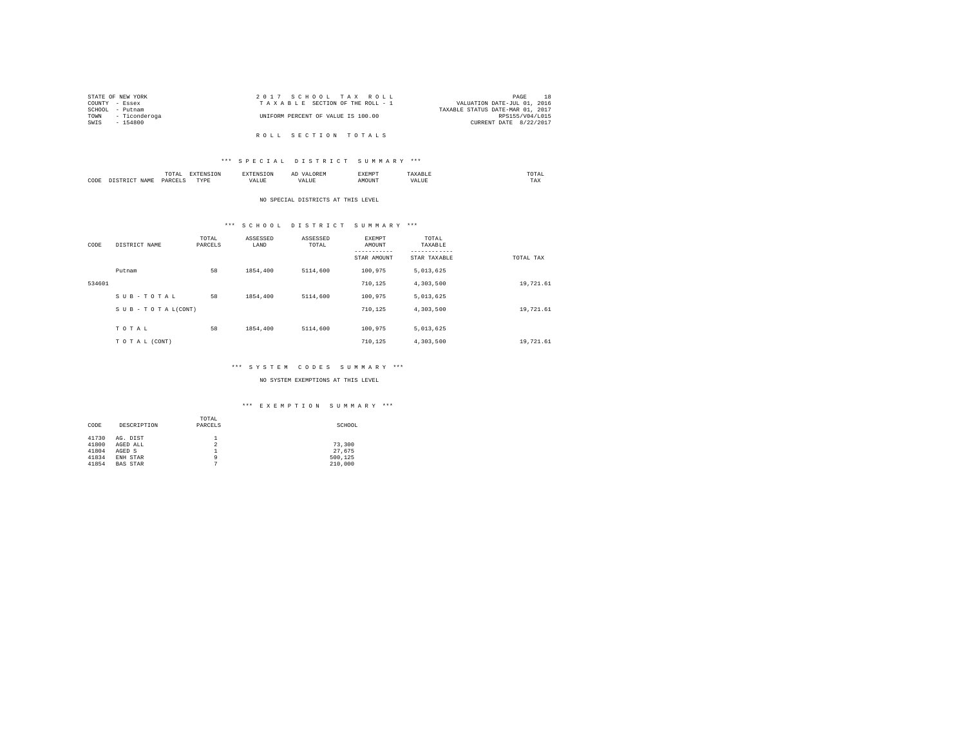|                | STATE OF NEW YORK | 2017 SCHOOL TAX ROLL               | PAGE                             |
|----------------|-------------------|------------------------------------|----------------------------------|
| COUNTY - Essex |                   | TAXABLE SECTION OF THE ROLL - 1    | VALUATION DATE-JUL 01, 2016      |
|                | SCHOOL - Putnam   |                                    | TAXABLE STATUS DATE-MAR 01, 2017 |
| TOWN           | - Ticonderoga     | UNIFORM PERCENT OF VALUE IS 100.00 | RPS155/V04/L015                  |
| SWIS           | - 154800          |                                    | CURRENT DATE 8/22/2017           |
|                |                   |                                    |                                  |
|                |                   | ROLL SECTION TOTALS                |                                  |

### \*\*\* S P E C I A L D I S T R I C T S U M M A R Y \*\*\*

|      | mome<br>n<br>.<br>the contract of the contract of the contract of | the contract of the contract of the contract of the contract of the contract of | АΙ | <b>************</b><br>ہ دے تا |   | the contract of the contract of the contract of |  |
|------|-------------------------------------------------------------------|---------------------------------------------------------------------------------|----|--------------------------------|---|-------------------------------------------------|--|
| CODE | PARCFT                                                            | $-$<br>ZD.<br>.                                                                 |    | ۱Т                             | n | 1 M.A                                           |  |

#### NO SPECIAL DISTRICTS AT THIS LEVEL

# \*\*\* S C H O O L D I S T R I C T S U M M A R Y \*\*\*

| CODE   | DISTRICT NAME   | TOTAL<br>PARCELS | ASSESSED<br>LAND | ASSESSED<br>TOTAL | EXEMPT<br>AMOUNT<br>---------<br>STAR AMOUNT | TOTAL<br>TAXABLE<br>---------<br>STAR TAXABLE | TOTAL TAX |
|--------|-----------------|------------------|------------------|-------------------|----------------------------------------------|-----------------------------------------------|-----------|
|        | Putnam          | 58               | 1854,400         | 5114,600          | 100.975                                      | 5.013.625                                     |           |
| 534601 |                 |                  |                  |                   | 710.125                                      | 4.303.500                                     | 19,721.61 |
|        | SUB-TOTAL       | 58               | 1854,400         | 5114,600          | 100.975                                      | 5,013,625                                     |           |
|        | SUB-TOTAL(CONT) |                  |                  |                   | 710.125                                      | 4.303.500                                     | 19,721.61 |
|        |                 |                  |                  |                   |                                              |                                               |           |
|        | TOTAL           | 58               | 1854,400         | 5114,600          | 100.975                                      | 5,013,625                                     |           |
|        | TO TAL (CONT)   |                  |                  |                   | 710.125                                      | 4,303,500                                     | 19,721.61 |

# \*\*\* S Y S T E M C O D E S S U M M A R Y \*\*\*

#### NO SYSTEM EXEMPTIONS AT THIS LEVEL

|       |                 | TOTAL   |         |
|-------|-----------------|---------|---------|
| CODE  | DESCRIPTION     | PARCELS | SCHOOL  |
|       |                 |         |         |
| 41730 | AG. DIST        |         |         |
| 41800 | AGED ALL        | 2       | 73,300  |
| 41804 | AGED S          |         | 27.675  |
| 41834 | ENH STAR        | ٩       | 500.125 |
| 41854 | <b>BAS STAR</b> | n       | 210,000 |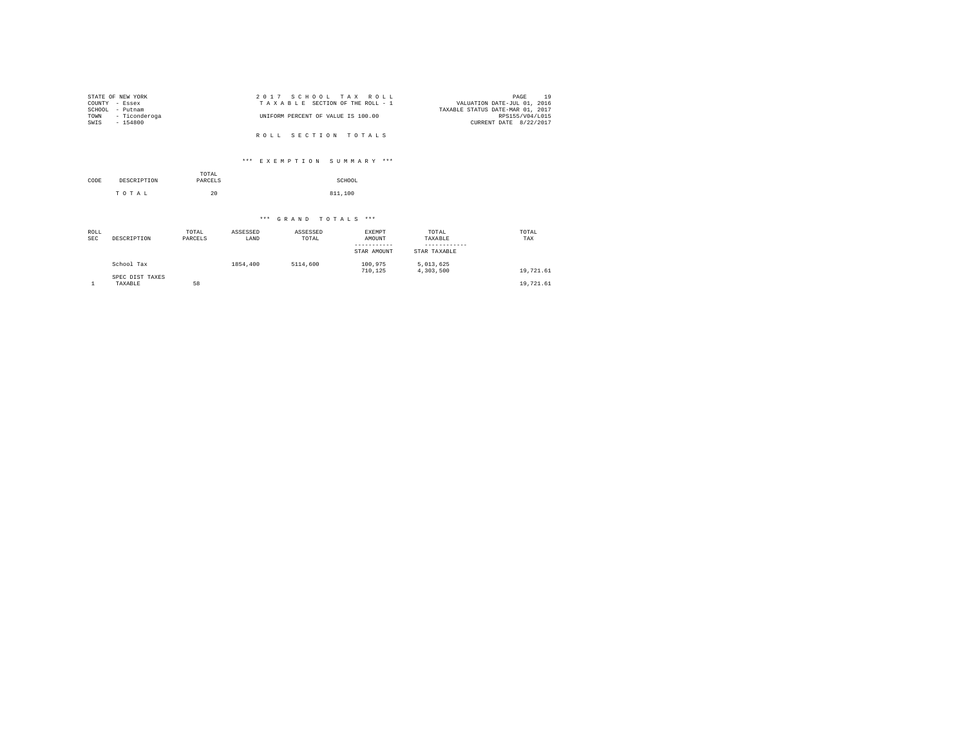| STATE OF NEW YORK  | 2017 SCHOOL TAX ROLL               | 19<br>PAGE                       |
|--------------------|------------------------------------|----------------------------------|
| COUNTY - Essex     | TAXABLE SECTION OF THE ROLL - 1    | VALUATION DATE-JUL 01, 2016      |
| SCHOOL<br>- Putnam |                                    | TAXABLE STATUS DATE-MAR 01, 2017 |
| TOWN - Ticonderoga | UNIFORM PERCENT OF VALUE IS 100.00 | RPS155/V04/L015                  |
| SWIS<br>$-154800$  |                                    | CURRENT DATE 8/22/2017           |
|                    |                                    |                                  |
|                    | ROLL SECTION TOTALS                |                                  |

# \*\*\* E X E M P T I O N S U M M A R Y \*\*\*

| CODE | DESCRIPTION | TOTAL<br>PARCELS | SCHOOL  |
|------|-------------|------------------|---------|
|      | TOTAL       | 20               | 811,100 |

| ROLL<br><b>SEC</b> | DESCRIPTION                | TOTAL<br>PARCELS | ASSESSED<br>LAND | ASSESSED<br>TOTAL | EXEMPT<br>AMOUNT<br>-----------<br>STAR AMOUNT | TOTAL<br>TAXABLE<br>STAR TAXABLE | TOTAL<br>TAX |
|--------------------|----------------------------|------------------|------------------|-------------------|------------------------------------------------|----------------------------------|--------------|
|                    | School Tax                 |                  | 1854,400         | 5114,600          | 100.975<br>710.125                             | 5.013.625<br>4,303,500           | 19,721.61    |
|                    | SPEC DIST TAXES<br>TAXABLE | 58               |                  |                   |                                                |                                  | 19,721.61    |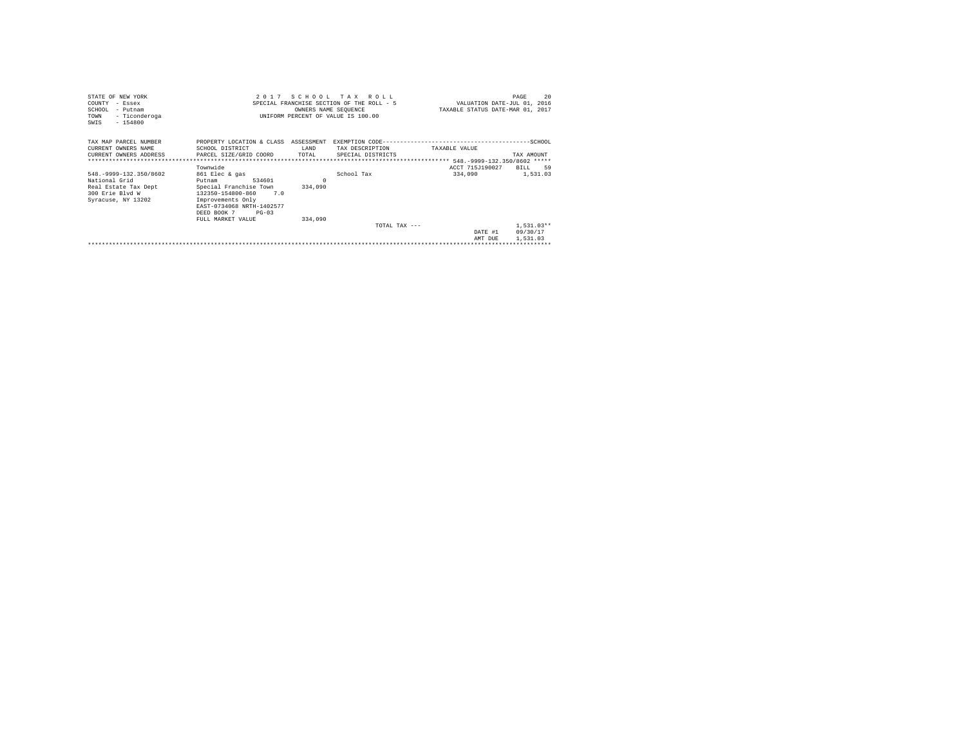| STATE OF NEW YORK                             |                                      |          | 2017 SCHOOL TAX ROLL                      |                                  | 20<br>PAGE                  |
|-----------------------------------------------|--------------------------------------|----------|-------------------------------------------|----------------------------------|-----------------------------|
| COUNTY - Essex                                |                                      |          | SPECIAL FRANCHISE SECTION OF THE ROLL - 5 |                                  | VALUATION DATE-JUL 01, 2016 |
| SCHOOL - Putnam                               |                                      |          | OWNERS NAME SEQUENCE                      | TAXABLE STATUS DATE-MAR 01, 2017 |                             |
| - Ticonderoga<br>TOWN                         |                                      |          | UNIFORM PERCENT OF VALUE IS 100.00        |                                  |                             |
| $-154800$<br>SWIS                             |                                      |          |                                           |                                  |                             |
|                                               |                                      |          |                                           |                                  |                             |
| TAX MAP PARCEL NUMBER                         | PROPERTY LOCATION & CLASS ASSESSMENT |          |                                           |                                  |                             |
|                                               |                                      |          |                                           |                                  |                             |
| CURRENT OWNERS NAME                           | SCHOOL DISTRICT                      | LAND     | TAX DESCRIPTION                           | TAXABLE VALUE                    |                             |
| CURRENT OWNERS ADDRESS PARCEL SIZE/GRID COORD |                                      | TOTAL    | SPECIAL DISTRICTS                         |                                  | TAX AMOUNT                  |
|                                               |                                      |          |                                           |                                  |                             |
|                                               | Townwide                             |          |                                           | ACCT 715J190027                  | BILL<br>59                  |
| 548. - 9999 - 132. 350/8602                   | 861 Elec & gas                       |          | School Tax                                | 334,090                          | 1,531.03                    |
| National Grid                                 | 534601<br>Putnam                     | $\Omega$ |                                           |                                  |                             |
| Real Estate Tax Dept                          | Special Franchise Town               | 334,090  |                                           |                                  |                             |
| 300 Erie Blyd W                               | 132350-154800-860 7.0                |          |                                           |                                  |                             |
| Syracuse, NY 13202                            | Improvements Only                    |          |                                           |                                  |                             |
|                                               | EAST-0734068 NRTH-1402577            |          |                                           |                                  |                             |
|                                               | DEED BOOK 7 PG-03                    |          |                                           |                                  |                             |
|                                               | FULL MARKET VALUE                    | 334,090  |                                           |                                  |                             |
|                                               |                                      |          | TOTAL TAX $---$                           |                                  | $1.531.03**$                |
|                                               |                                      |          |                                           | DATE #1                          | 09/30/17                    |
|                                               |                                      |          |                                           |                                  |                             |
|                                               |                                      |          |                                           | AMT DUR                          | 1,531.03                    |
|                                               |                                      |          |                                           |                                  |                             |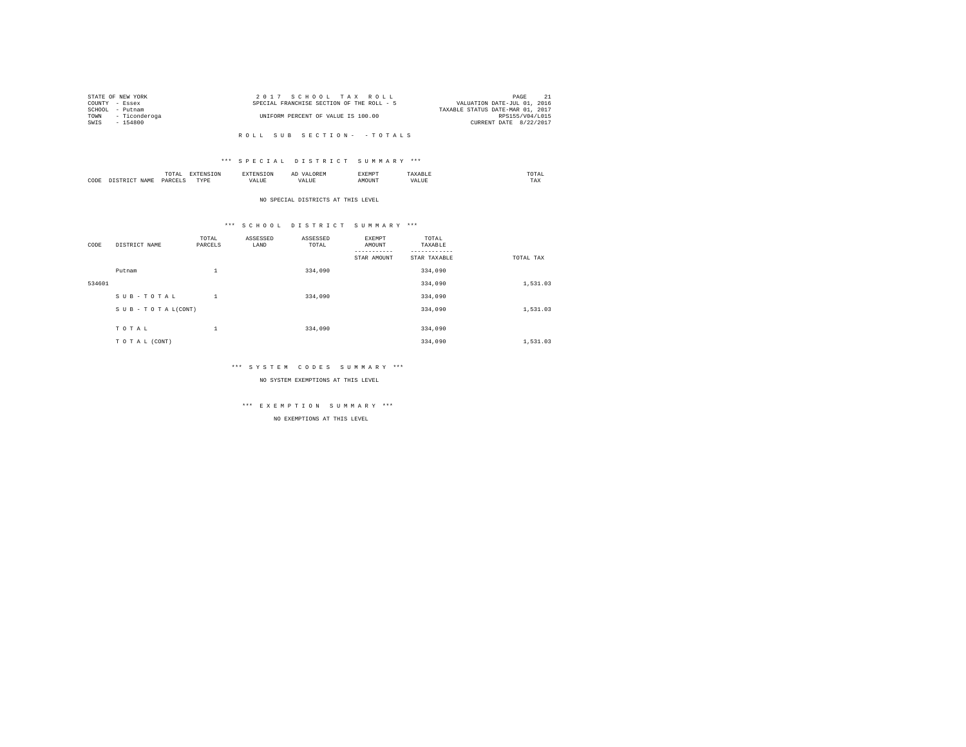| STATE OF NEW YORK |                    | 2017 SCHOOL TAX ROLL                      | PAGE                             |  |
|-------------------|--------------------|-------------------------------------------|----------------------------------|--|
| COUNTY - Essex    |                    | SPECIAL FRANCHISE SECTION OF THE ROLL - 5 | VALUATION DATE-JUL 01, 2016      |  |
| SCHOOL            | - Putnam           |                                           | TAXABLE STATUS DATE-MAR 01, 2017 |  |
|                   | TOWN - Ticonderoga | UNIFORM PERCENT OF VALUE IS 100.00        | RPS155/V04/L015                  |  |
| SWIS              | $-154800$          |                                           | CURRENT DATE 8/22/2017           |  |
|                   |                    |                                           |                                  |  |

#### \*\*\* S P E C I A L D I S T R I C T S U M M A R Y \*\*\*

|      | ----<br>TUTAI<br>the contract of the contract of the contract of | the contract of the contract of the contract of the contract of the contract of |      | ΑΙ | 4M*<br>. | $m \wedge m \wedge$<br>the contract of the contract of the contract of |  |
|------|------------------------------------------------------------------|---------------------------------------------------------------------------------|------|----|----------|------------------------------------------------------------------------|--|
| CODE | DAD/<br>.                                                        | $- - - -$<br>$\cdots$<br>.                                                      | 1741 |    |          | 1 A.A                                                                  |  |

NO SPECIAL DISTRICTS AT THIS LEVEL

#### \*\*\* S C H O O L D I S T R I C T S U M M A R Y \*\*\*

| CODE   | DISTRICT NAME      | TOTAL<br>PARCELS | ASSESSED<br>LAND | ASSESSED<br>TOTAL | <b>EXEMPT</b><br>AMOUNT | TOTAL<br>TAXABLE          |           |
|--------|--------------------|------------------|------------------|-------------------|-------------------------|---------------------------|-----------|
|        |                    |                  |                  |                   | STAR AMOUNT             | ---------<br>STAR TAXABLE | TOTAL TAX |
|        | Putnam             | $\mathbf{1}$     |                  | 334,090           |                         | 334,090                   |           |
| 534601 |                    |                  |                  |                   |                         | 334,090                   | 1,531.03  |
|        | SUB-TOTAL          | $\mathbf{1}$     |                  | 334,090           |                         | 334,090                   |           |
|        | SUB - TO TAL(CONT) |                  |                  |                   |                         | 334,090                   | 1,531.03  |
|        |                    |                  |                  |                   |                         |                           |           |
|        | TOTAL              | $\mathbf{1}$     |                  | 334,090           |                         | 334,090                   |           |
|        | TO TAL (CONT)      |                  |                  |                   |                         | 334,090                   | 1,531.03  |

#### \*\*\* S Y S T E M C O D E S S U M M A R Y \*\*\*

NO SYSTEM EXEMPTIONS AT THIS LEVEL

# \*\*\* E X E M P T I O N S U M M A R Y \*\*\*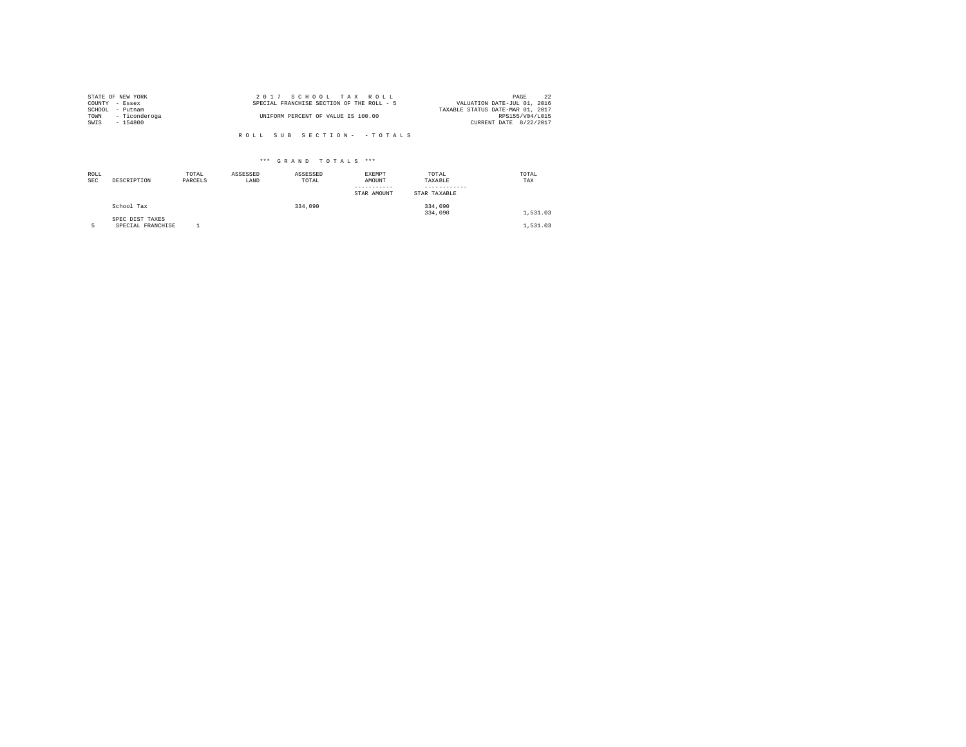|                | STATE OF NEW YORK | 2017 SCHOOL TAX ROLL                      | 22<br>PAGE                       |
|----------------|-------------------|-------------------------------------------|----------------------------------|
| COUNTY - Essex |                   | SPECIAL FRANCHISE SECTION OF THE ROLL - 5 | VALUATION DATE-JUL 01, 2016      |
| SCHOOL         | - Putnam          |                                           | TAXABLE STATUS DATE-MAR 01, 2017 |
| TOWN           | - Ticonderoga     | UNIFORM PERCENT OF VALUE IS 100.00        | RPS155/V04/L015                  |
| SWIS           | $-154800$         |                                           | CURRENT DATE 8/22/2017           |
|                |                   |                                           |                                  |
|                |                   | ROLL SUB SECTION- - TOTALS                |                                  |

| ROLL<br><b>SEC</b> | DESCRIPTION                          | TOTAL<br>PARCELS | ASSESSED<br>LAND | ASSESSED<br>TOTAL | <b>EXEMPT</b><br>AMOUNT<br>STAR AMOUNT | TOTAL<br>TAXABLE<br>STAR TAXABLE | TOTAL<br>TAX |
|--------------------|--------------------------------------|------------------|------------------|-------------------|----------------------------------------|----------------------------------|--------------|
|                    | School Tax                           |                  |                  | 334,090           |                                        | 334,090<br>334,090               | 1,531.03     |
|                    | SPEC DIST TAXES<br>SPECIAL FRANCHISE |                  |                  |                   |                                        |                                  | 1,531.03     |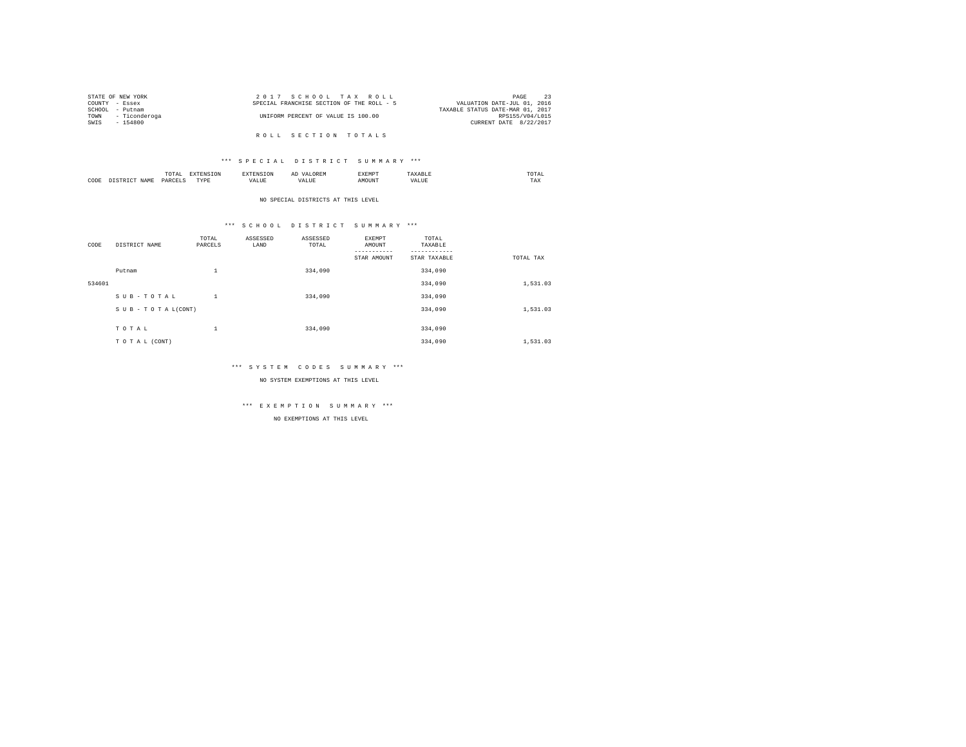|                | STATE OF NEW YORK  | 2017 SCHOOL TAX ROLL                      | PAGE                             |
|----------------|--------------------|-------------------------------------------|----------------------------------|
| COUNTY - Essex |                    | SPECIAL FRANCHISE SECTION OF THE ROLL - 5 | VALUATION DATE-JUL 01, 2016      |
| SCHOOL         | - Putnam           |                                           | TAXABLE STATUS DATE-MAR 01, 2017 |
|                | TOWN - Ticonderoga | UNIFORM PERCENT OF VALUE IS 100.00        | RPS155/V04/L015                  |
| SWIS           | $-154800$          |                                           | CURRENT DATE 8/22/2017           |
|                |                    |                                           |                                  |

R O L L S E C T I O N T O T A L S

#### \*\*\* S P E C I A L D I S T R I C T S U M M A R Y \*\*\*

|      | $\cdots$<br>.<br>the contract of the contract of the contract of | the contract of the contract of the contract of the contract of the contract of |         | ▵<br>- |   | the contract of the contract of the contract of |  |
|------|------------------------------------------------------------------|---------------------------------------------------------------------------------|---------|--------|---|-------------------------------------------------|--|
| CODE | DARCEL.<br>.                                                     | $- - - -$<br>.                                                                  | ٠.<br>. |        | . | ----<br>1'A.X                                   |  |

NO SPECIAL DISTRICTS AT THIS LEVEL

# \*\*\* S C H O O L D I S T R I C T S U M M A R Y \*\*\*

| CODE   | DISTRICT NAME   | TOTAL<br>PARCELS | ASSESSED<br>LAND | ASSESSED<br>TOTAL | <b>EXEMPT</b><br>AMOUNT<br>STAR AMOUNT | TOTAL<br>TAXABLE<br>STAR TAXABLE | TOTAL TAX |
|--------|-----------------|------------------|------------------|-------------------|----------------------------------------|----------------------------------|-----------|
|        | Putnam          | $\mathbf{1}$     |                  | 334,090           |                                        | 334,090                          |           |
| 534601 |                 |                  |                  |                   |                                        | 334,090                          | 1,531.03  |
|        | SUB-TOTAL       | $\mathbf{1}$     |                  | 334,090           |                                        | 334,090                          |           |
|        | SUB-TOTAL(CONT) |                  |                  |                   |                                        | 334,090                          | 1,531.03  |
|        | TOTAL           | $\mathbf{1}$     |                  | 334,090           |                                        | 334,090                          |           |
|        | TO TAL (CONT)   |                  |                  |                   |                                        | 334,090                          | 1,531.03  |

#### \*\*\* S Y S T E M C O D E S S U M M A R Y \*\*\*

NO SYSTEM EXEMPTIONS AT THIS LEVEL

# \*\*\* E X E M P T I O N S U M M A R Y \*\*\*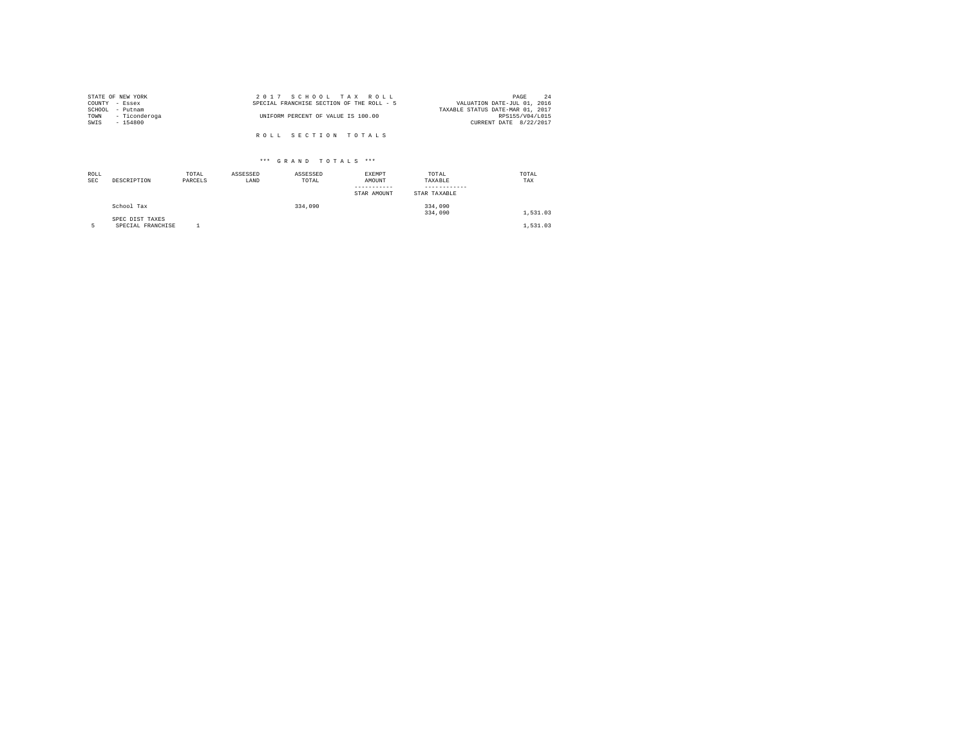|                | STATE OF NEW YORK | 2017 SCHOOL TAX ROLL                      | PAGE                        | 24 |
|----------------|-------------------|-------------------------------------------|-----------------------------|----|
| COUNTY - Essex |                   | SPECIAL FRANCHISE SECTION OF THE ROLL - 5 | VALUATION DATE-JUL 01, 2016 |    |
|                | SCHOOL - Putnam   | TAXABLE STATUS DATE-MAR 01, 2017          |                             |    |
| TOWN           | - Ticonderoga     | UNIFORM PERCENT OF VALUE IS 100.00        | RPS155/V04/L015             |    |
| SWIS           | $-154800$         |                                           | CURRENT DATE 8/22/2017      |    |
|                |                   |                                           |                             |    |
|                |                   | ROLL SECTION TOTALS                       |                             |    |

| ROLL<br><b>SEC</b> | DESCRIPTION                          | TOTAL<br>PARCELS | ASSESSED<br>LAND | ASSESSED<br>TOTAL | EXEMPT<br>AMOUNT<br>-----------<br>STAR AMOUNT | TOTAL<br>TAXABLE<br>STAR TAXABLE | TOTAL<br>TAX |
|--------------------|--------------------------------------|------------------|------------------|-------------------|------------------------------------------------|----------------------------------|--------------|
|                    | School Tax                           |                  |                  | 334,090           |                                                | 334,090<br>334,090               | 1,531.03     |
|                    | SPEC DIST TAXES<br>SPECIAL FRANCHISE |                  |                  |                   |                                                |                                  | 1,531.03     |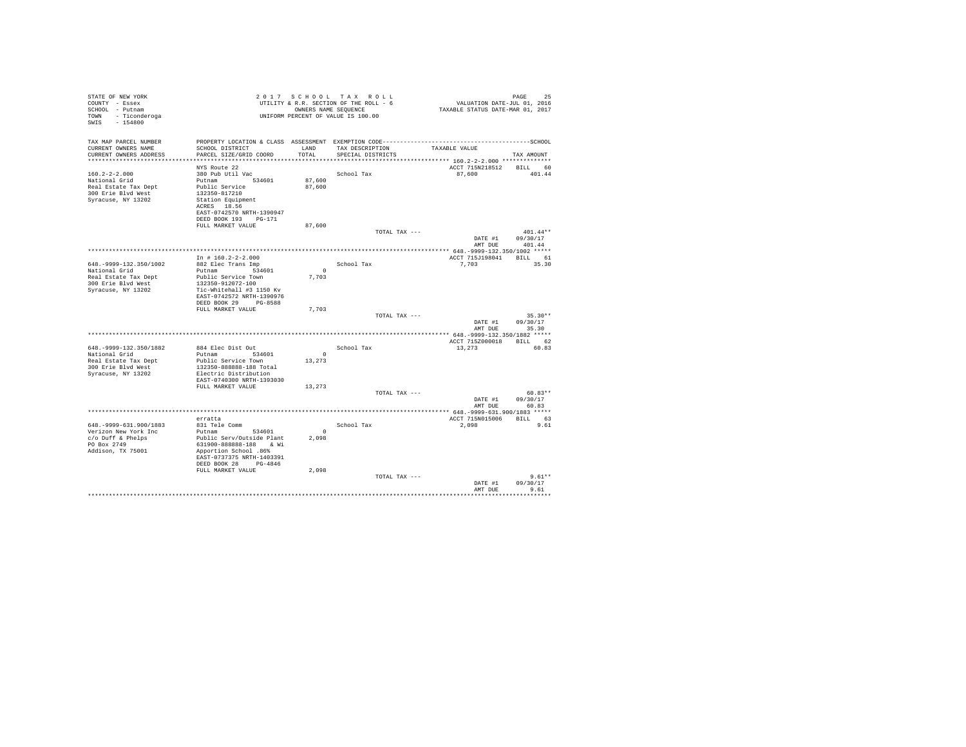| STATE OF NEW YORK<br>COUNTY - Essex<br>SCHOOL - Putnam<br>TOWN - Ticonderoga<br>$-154800$<br>SWIS                |                                                                                                                                                                                                        |                              | 2017 SCHOOL TAX ROLL<br>UTILITY & R.R. SECTION OF THE ROLL - 6<br>OWNERS NAME SEQUENCE<br>UNIFORM PERCENT OF VALUE IS 100.00 | PAGE 25<br>VALUATION DATE-JUL 01, 2016<br>TAXABLE STATUS DATE-MAR 01, 2017 | PAGE<br>25                       |
|------------------------------------------------------------------------------------------------------------------|--------------------------------------------------------------------------------------------------------------------------------------------------------------------------------------------------------|------------------------------|------------------------------------------------------------------------------------------------------------------------------|----------------------------------------------------------------------------|----------------------------------|
| TAX MAP PARCEL NUMBER<br>CURRENT OWNERS NAME<br>CURRENT OWNERS ADDRESS                                           | SCHOOL DISTRICT<br>PARCEL SIZE/GRID COORD                                                                                                                                                              | LAND<br>TOTAL                | TAX DESCRIPTION<br>SPECIAL DISTRICTS                                                                                         | TAXABLE VALUE<br>******************* 160.2-2-2.000 **************          | TAX AMOUNT                       |
| $160.2 - 2 - 2.000$<br>National Grid<br>Real Estate Tax Dept<br>300 Erie Blvd West<br>Syracuse, NY 13202         | NYS Route 22<br>380 Pub Util Vac<br>Putnam 534601<br>Public Service<br>132350-817210<br>Station Equipment<br>ACRES 18.56<br>EAST-0742570 NRTH-1390947<br>DEED BOOK 193 PG-171                          | 87,600<br>87,600             | School Tax                                                                                                                   | ACCT 715N218512<br>87,600                                                  | BILL 60<br>401.44                |
|                                                                                                                  | FULL MARKET VALUE                                                                                                                                                                                      | 87,600                       | TOTAL TAX ---                                                                                                                | DATE #1<br>AMT DUE                                                         | $401.44**$<br>09/30/17<br>401.44 |
|                                                                                                                  |                                                                                                                                                                                                        |                              |                                                                                                                              |                                                                            |                                  |
| 648. - 9999 - 132. 350/1002<br>National Grid<br>Real Estate Tax Dept<br>300 Erie Blvd West<br>Syracuse, NY 13202 | In # $160.2 - 2 - 2.000$<br>882 Elec Trans Imp<br>Putnam 534601<br>Public Service Town<br>132350-912072-100<br>Tic-Whitehall #3 1150 Kv                                                                | $\sim$ 0<br>7,703            | School Tax                                                                                                                   | ACCT 715J198041 BILL 61<br>7,703                                           | 35.30                            |
|                                                                                                                  | EAST-0742572 NRTH-1390976<br>DEED BOOK 29 PG-8588<br>FULL MARKET VALUE                                                                                                                                 | 7,703                        | TOTAL TAX ---                                                                                                                | DATE #1                                                                    | $35.30**$<br>09/30/17<br>35.30   |
|                                                                                                                  |                                                                                                                                                                                                        |                              |                                                                                                                              | AMT DUE                                                                    |                                  |
| 648. - 9999-132. 350/1882<br>National Grid<br>Real Estate Tax Dept<br>300 Erie Blyd West<br>Syracuse, NY 13202   | 884 Elec Dist Out<br>Putnam 534601<br>Public Service Town<br>132350-888888-188 Total<br>Electric Distribution                                                                                          | $\sim$<br>13,273             | School Tax                                                                                                                   | ACCT 715Z000018 BILL 62<br>13,273                                          | 60.83                            |
|                                                                                                                  | EAST-0740300 NRTH-1393030<br>FULL MARKET VALUE                                                                                                                                                         | 13,273                       | TOTAL TAX ---                                                                                                                | DATE #1<br>AMT DUE                                                         | $60.83**$<br>09/30/17<br>60.83   |
|                                                                                                                  |                                                                                                                                                                                                        |                              |                                                                                                                              |                                                                            |                                  |
| 648. - 9999-631.900/1883<br>Verizon New York Inc<br>$c$ /o Duff & Phelps<br>PO Box 2749<br>Addison, TX 75001     | erratta<br>831 Tele Comm<br>Putnam<br>534601<br>Public Serv/Outside Plant<br>631900-888888-188 & Wi<br>Apportion School .86%<br>EAST-0737375 NRTH-1403391<br>DEED BOOK 28 PG-4846<br>FULL MARKET VALUE | $^{\circ}$<br>2,098<br>2,098 | School Tax                                                                                                                   | ACCT 715N015006<br>2,098                                                   | BILL 63<br>9.61                  |
|                                                                                                                  |                                                                                                                                                                                                        |                              | TOTAL TAX ---                                                                                                                | DATE #1<br>AMT DUE                                                         | $9.61**$<br>09/30/17<br>9.61     |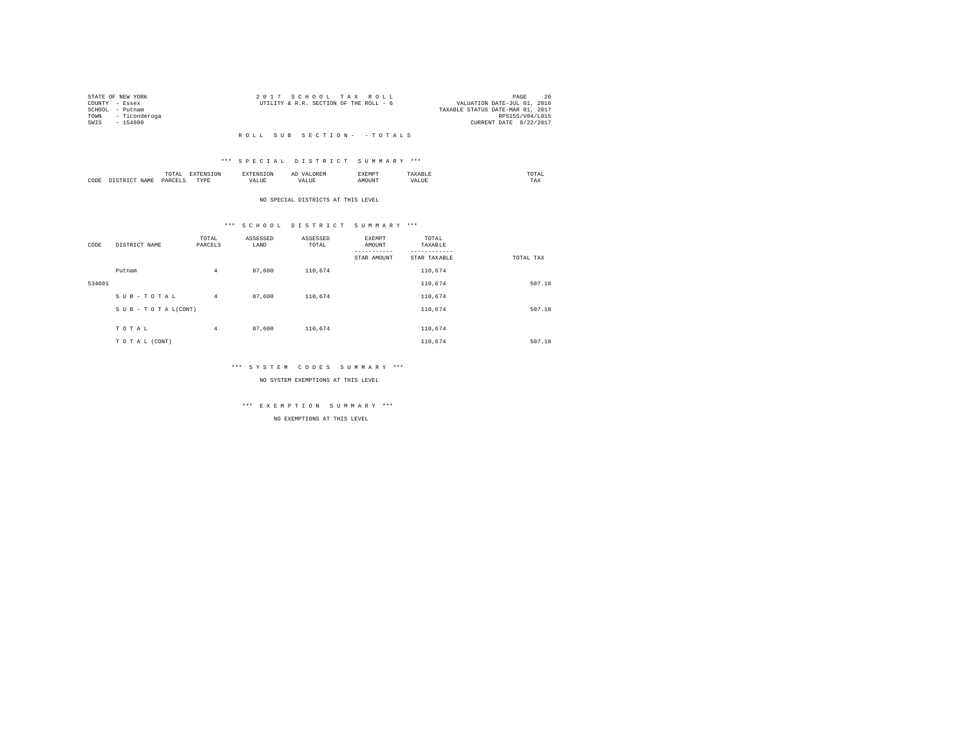|                 | STATE OF NEW YORK  | 2017 SCHOOL TAX ROLL                                                  | PAGE            | 26 |
|-----------------|--------------------|-----------------------------------------------------------------------|-----------------|----|
| COUNTY - Essex  |                    | VALUATION DATE-JUL 01, 2016<br>UTILITY & R.R. SECTION OF THE ROLL - 6 |                 |    |
| SCHOOL - Putnam |                    | TAXABLE STATUS DATE-MAR 01, 2017                                      |                 |    |
|                 | TOWN - Ticonderoga |                                                                       | RPS155/V04/L015 |    |
| SWTS            | - 154800           | CURRENT DATE 8/22/2017                                                |                 |    |
|                 |                    |                                                                       |                 |    |

#### \*\*\* S P E C I A L D I S T R I C T S U M M A R Y \*\*\*

|      |         | .<br>the contract of the contract of the contract of |          |    | --<br>しいじょ | 2 M L 21 |      | UIAL<br>the contract of the contract of the contract of |
|------|---------|------------------------------------------------------|----------|----|------------|----------|------|---------------------------------------------------------|
| CODE | 21 A An | OAR<br>$\sim$                                        | TVD<br>. | ,, |            |          | 1111 | 1 A.A                                                   |

#### NO SPECIAL DISTRICTS AT THIS LEVEL

#### \*\*\* S C H O O L D I S T R I C T S U M M A R Y \*\*\*

| CODE   | DISTRICT NAME   | TOTAL<br>PARCELS | ASSESSED<br>LAND | ASSESSED<br>TOTAL | <b>EXEMPT</b><br>AMOUNT<br>--------- | TOTAL<br>TAXABLE<br>-------- |           |
|--------|-----------------|------------------|------------------|-------------------|--------------------------------------|------------------------------|-----------|
|        |                 |                  |                  |                   | STAR AMOUNT                          | STAR TAXABLE                 | TOTAL TAX |
|        | Putnam          | $\overline{4}$   | 87,600           | 110.674           |                                      | 110,674                      |           |
| 534601 |                 |                  |                  |                   |                                      | 110.674                      | 507.18    |
|        | SUB-TOTAL       | $\overline{4}$   | 87,600           | 110,674           |                                      | 110,674                      |           |
|        | SUB-TOTAL(CONT) |                  |                  |                   |                                      | 110.674                      | 507.18    |
|        |                 |                  |                  |                   |                                      |                              |           |
|        | TOTAL           | $\overline{4}$   | 87,600           | 110.674           |                                      | 110.674                      |           |
|        | TO TAL (CONT)   |                  |                  |                   |                                      | 110,674                      | 507.18    |

#### \*\*\* S Y S T E M C O D E S S U M M A R Y \*\*\*

NO SYSTEM EXEMPTIONS AT THIS LEVEL

# \*\*\* E X E M P T I O N S U M M A R Y \*\*\*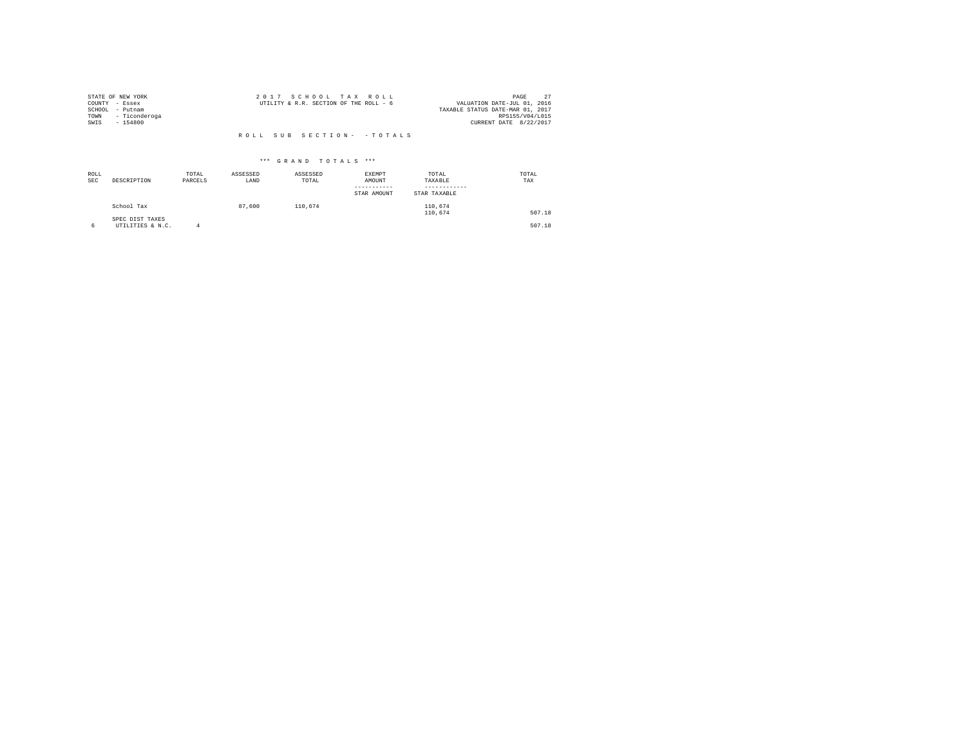| STATE OF NEW YORK |               | 2017 SCHOOL TAX ROLL                   |  |  |                                  |                        | PAGE |  |
|-------------------|---------------|----------------------------------------|--|--|----------------------------------|------------------------|------|--|
| COUNTY - Essex    |               | UTILITY & R.R. SECTION OF THE ROLL - 6 |  |  | VALUATION DATE-JUL 01, 2016      |                        |      |  |
| SCHOOL            | - Putnam      |                                        |  |  | TAXABLE STATUS DATE-MAR 01, 2017 |                        |      |  |
| TOWN              | - Ticonderoga |                                        |  |  |                                  | RPS155/V04/L015        |      |  |
| SWIS              | $-154800$     |                                        |  |  |                                  | CURRENT DATE 8/22/2017 |      |  |
|                   |               |                                        |  |  |                                  |                        |      |  |

| ROLL<br><b>SEC</b> | DESCRIPTION                         | TOTAL<br>PARCELS | ASSESSED<br>LAND | ASSESSED<br>TOTAL | <b>EXEMPT</b><br>AMOUNT<br>STAR AMOUNT | TOTAL<br>TAXABLE<br>STAR TAXABLE | TOTAL<br>TAX |
|--------------------|-------------------------------------|------------------|------------------|-------------------|----------------------------------------|----------------------------------|--------------|
|                    | School Tax                          |                  | 87,600           | 110.674           |                                        | 110.674<br>110,674               | 507.18       |
|                    | SPEC DIST TAXES<br>UTILITIES & N.C. |                  |                  |                   |                                        |                                  | 507.18       |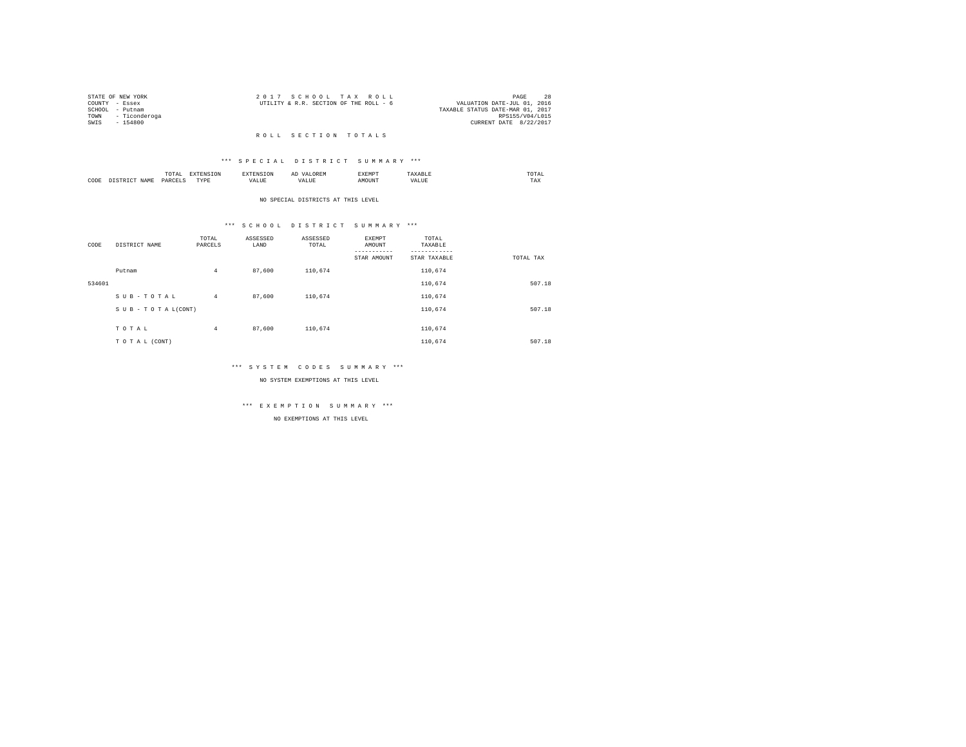|                 | STATE OF NEW YORK  | 2017 SCHOOL TAX ROLL                                                  | PAGE            | 28 |
|-----------------|--------------------|-----------------------------------------------------------------------|-----------------|----|
| COUNTY - Essex  |                    | VALUATION DATE-JUL 01, 2016<br>UTILITY & R.R. SECTION OF THE ROLL - 6 |                 |    |
| SCHOOL - Putnam |                    | TAXABLE STATUS DATE-MAR 01, 2017                                      |                 |    |
|                 | TOWN - Ticonderoga |                                                                       | RPS155/V04/L015 |    |
| SWTS            | - 154800           | CURRENT DATE 8/22/2017                                                |                 |    |
|                 |                    |                                                                       |                 |    |

#### R O L L S E C T I O N T O T A L S

#### \*\*\* S P E C I A L D I S T R I C T S U M M A R Y \*\*\*

|      | ----<br>۰д.<br>.<br>the contract of the contract of the contract of the contract of the contract of |           | ≖ | w n.  | mom <sub>3</sub><br>the contract of the contract of the contract of |  |
|------|-----------------------------------------------------------------------------------------------------|-----------|---|-------|---------------------------------------------------------------------|--|
| CODE | $0 \Delta E$                                                                                        | TVD'<br>. | . | MOUNT | $- - -$<br>1 A.A                                                    |  |

#### NO SPECIAL DISTRICTS AT THIS LEVEL

#### \*\*\* S C H O O L D I S T R I C T S U M M A R Y \*\*\*

| CODE   | DISTRICT NAME   | TOTAL<br>PARCELS | ASSESSED<br>LAND | ASSESSED<br>TOTAL | EXEMPT<br>AMOUNT<br>STAR AMOUNT | TOTAL<br>TAXABLE<br>---------<br>STAR TAXABLE | TOTAL TAX |
|--------|-----------------|------------------|------------------|-------------------|---------------------------------|-----------------------------------------------|-----------|
|        | Putnam          | $\overline{4}$   | 87,600           | 110,674           |                                 | 110,674                                       |           |
| 534601 |                 |                  |                  |                   |                                 | 110,674                                       | 507.18    |
|        | SUB-TOTAL       | $4^{\circ}$      | 87,600           | 110,674           |                                 | 110,674                                       |           |
|        | SUB-TOTAL(CONT) |                  |                  |                   |                                 | 110,674                                       | 507.18    |
|        | TOTAL           | $\overline{4}$   | 87,600           | 110,674           |                                 | 110,674                                       |           |
|        | TO TAL (CONT)   |                  |                  |                   |                                 | 110,674                                       | 507.18    |

#### \*\*\* S Y S T E M C O D E S S U M M A R Y \*\*\*

NO SYSTEM EXEMPTIONS AT THIS LEVEL

# \*\*\* E X E M P T I O N S U M M A R Y \*\*\*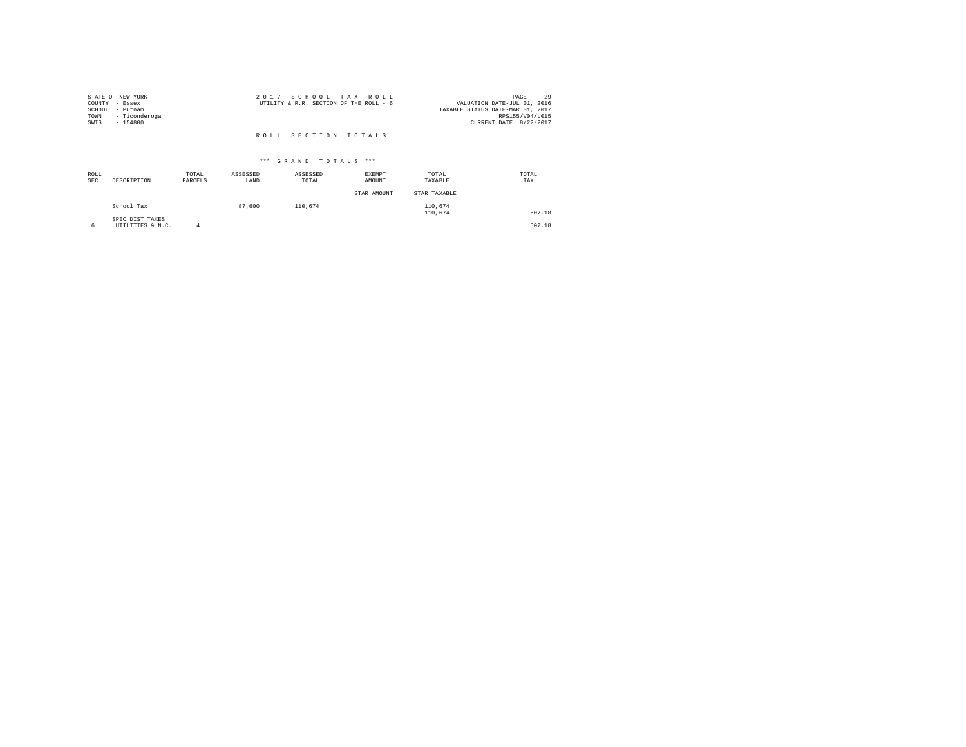| STATE OF NEW YORK     | 2017 SCHOOL TAX ROLL                   | 29<br>PAGE                       |
|-----------------------|----------------------------------------|----------------------------------|
| COUNTY - Essex        | UTILITY & R.R. SECTION OF THE ROLL - 6 | VALUATION DATE-JUL 01, 2016      |
| SCHOOL<br>- Putnam    |                                        | TAXABLE STATUS DATE-MAR 01, 2017 |
| - Ticonderoga<br>TOWN |                                        | RPS155/V04/L015                  |
| SWIS<br>$-154800$     |                                        | CURRENT DATE 8/22/2017           |
|                       | ROLL SECTION TOTALS                    |                                  |

| ROLL<br><b>SEC</b> | DESCRIPTION                         | TOTAL<br>PARCELS | ASSESSED<br>LAND | ASSESSED<br>TOTAL | EXEMPT<br>AMOUNT<br>STAR AMOUNT | TOTAL<br>TAXABLE<br>STAR TAXABLE | TOTAL<br>TAX |
|--------------------|-------------------------------------|------------------|------------------|-------------------|---------------------------------|----------------------------------|--------------|
|                    | School Tax                          |                  | 87,600           | 110.674           |                                 | 110,674<br>110,674               | 507.18       |
|                    | SPEC DIST TAXES<br>UTILITIES & N.C. | Δ                |                  |                   |                                 |                                  | 507.18       |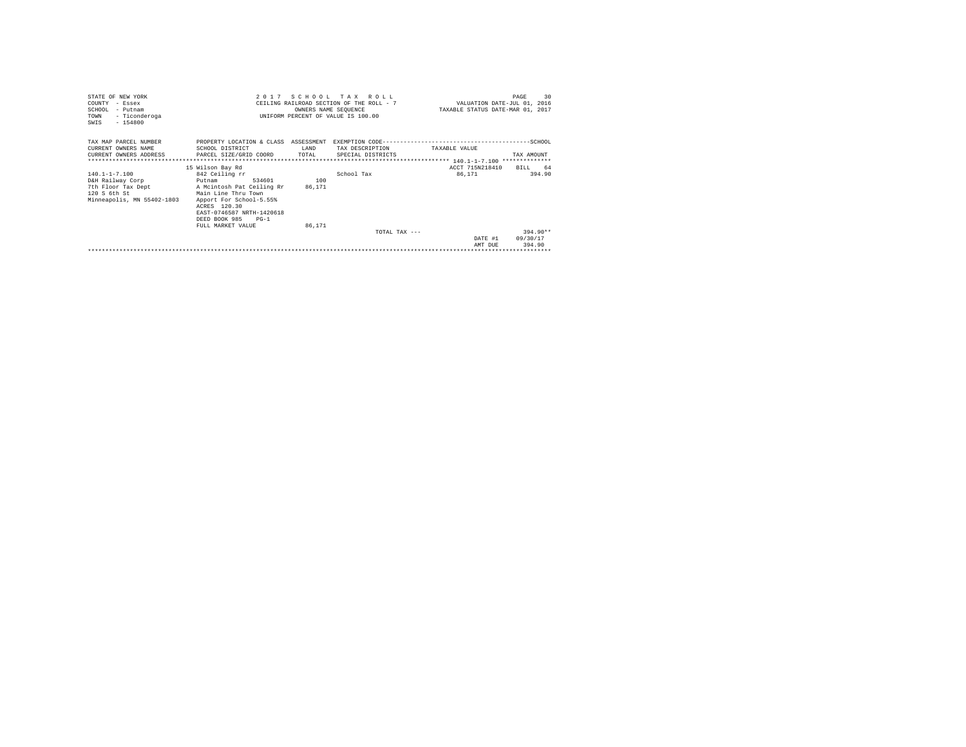| STATE OF NEW YORK<br>COUNTY - Essex<br>SCHOOL - Putnam<br>- Ticonderoga<br>TOWN<br>$-154800$<br>SWIS  | 2017 SCHOOL TAX ROLL<br>CEILING RAILROAD SECTION OF THE ROLL - 7<br>UNIFORM PERCENT OF VALUE IS 100.00                                                                                                                             | VALUATION DATE-JUL 01, 2016<br>TAXABLE STATUS DATE-MAR 01, 2017 | 30<br>PAGE                           |                           |                                  |
|-------------------------------------------------------------------------------------------------------|------------------------------------------------------------------------------------------------------------------------------------------------------------------------------------------------------------------------------------|-----------------------------------------------------------------|--------------------------------------|---------------------------|----------------------------------|
| TAX MAP PARCEL NUMBER<br>CURRENT OWNERS NAME<br>**************************                            | PROPERTY LOCATION & CLASS ASSESSMENT<br>SCHOOL DISTRICT<br>CURRENT OWNERS ADDRESS PARCEL SIZE/GRID COORD                                                                                                                           | T.AND<br>TOTAL                                                  | TAX DESCRIPTION<br>SPECIAL DISTRICTS | TAXABLE VALUE             | TAX AMOUNT                       |
| 140.1-1-7.100<br>D&H Railway Corp<br>7th Floor Tax Dept<br>120 S 6th St<br>Minneapolis, MN 55402-1803 | 15 Wilson Bay Rd<br>842 Ceiling rr<br>534601<br>Putnam<br>A Mcintosh Pat Ceiling Rr<br>Main Line Thru Town<br>Apport For School-5.55%<br>ACRES 120.30<br>EAST-0746587 NRTH-1420618<br>DEED BOOK 985<br>$PG-1$<br>FULL MARKET VALUE | 100<br>86.171<br>86.171                                         | School Tax                           | ACCT 715N218410<br>86.171 | 64<br>BTLL.<br>394.90            |
|                                                                                                       |                                                                                                                                                                                                                                    |                                                                 | TOTAL TAX $---$                      | DATE #1<br>AMT DUE        | $394.90**$<br>09/30/17<br>394.90 |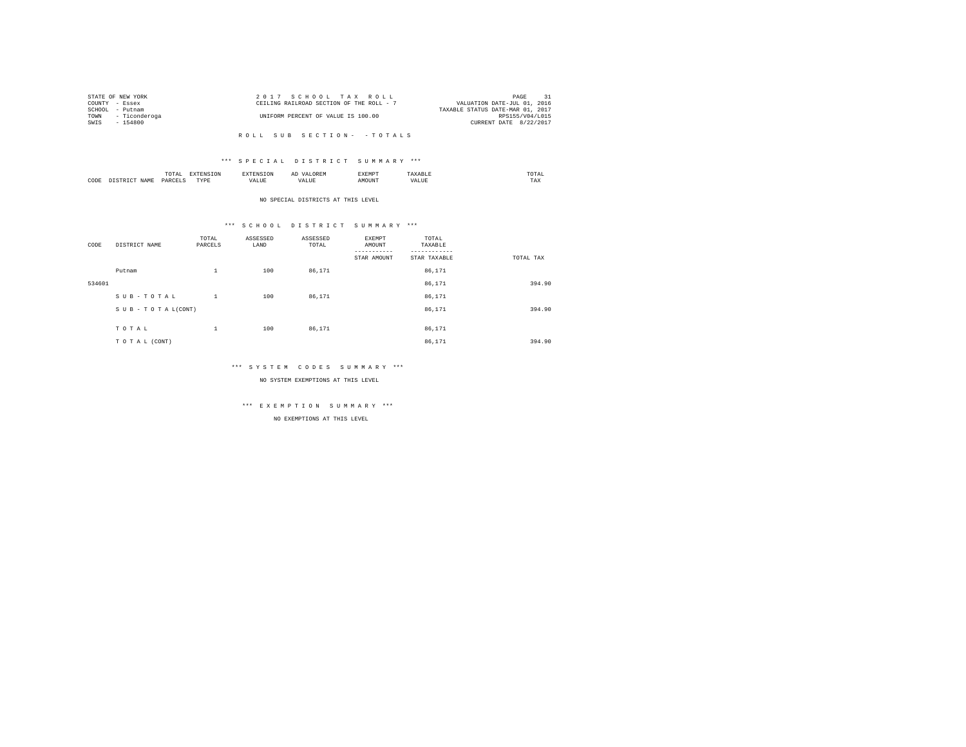|      | STATE OF NEW YORK | 2017 SCHOOL TAX ROLL                     | PAGE                        | 31 |
|------|-------------------|------------------------------------------|-----------------------------|----|
|      | COUNTY - Essex    | CEILING RAILROAD SECTION OF THE ROLL - 7 | VALUATION DATE-JUL 01, 2016 |    |
|      | SCHOOL - Putnam   | TAXABLE STATUS DATE-MAR 01, 2017         |                             |    |
| TOWN | - Ticonderoga     | UNIFORM PERCENT OF VALUE IS 100.00       | RPS155/V04/L015             |    |
| SWIS | - 154800          |                                          | CURRENT DATE 8/22/2017      |    |
|      |                   |                                          |                             |    |

#### \*\*\* S P E C I A L D I S T R I C T S U M M A R Y \*\*\*

|      | $\cdots$<br>.<br>the contract of the contract of the contract of | the contract of the contract of the contract of the contract of the contract of |         | ▵<br>- |   | the contract of the contract of the contract of |  |
|------|------------------------------------------------------------------|---------------------------------------------------------------------------------|---------|--------|---|-------------------------------------------------|--|
| CODE | DARCEL.<br>.                                                     | $- - - -$<br>.                                                                  | ٠.<br>. |        | . | ----<br>1'A.X                                   |  |

NO SPECIAL DISTRICTS AT THIS LEVEL

#### \*\*\* S C H O O L D I S T R I C T S U M M A R Y \*\*\*

| CODE   | DISTRICT NAME   | TOTAL<br>PARCELS | ASSESSED<br>LAND | ASSESSED<br>TOTAL | EXEMPT<br>AMOUNT<br>STAR AMOUNT | TOTAL<br>TAXABLE<br>STAR TAXABLE | TOTAL TAX |
|--------|-----------------|------------------|------------------|-------------------|---------------------------------|----------------------------------|-----------|
|        | Putnam          | $\mathbf{1}$     | 100              | 86,171            |                                 | 86,171                           |           |
| 534601 |                 |                  |                  |                   |                                 | 86,171                           | 394.90    |
|        | SUB-TOTAL       | $\mathbf{1}$     | 100              | 86,171            |                                 | 86,171                           |           |
|        | SUB-TOTAL(CONT) |                  |                  |                   |                                 | 86,171                           | 394.90    |
|        | TOTAL           | $\mathbf{1}$     | 100              | 86,171            |                                 | 86,171                           |           |
|        | TO TAL (CONT)   |                  |                  |                   |                                 | 86,171                           | 394.90    |

#### \*\*\* S Y S T E M C O D E S S U M M A R Y \*\*\*

NO SYSTEM EXEMPTIONS AT THIS LEVEL

# \*\*\* E X E M P T I O N S U M M A R Y \*\*\*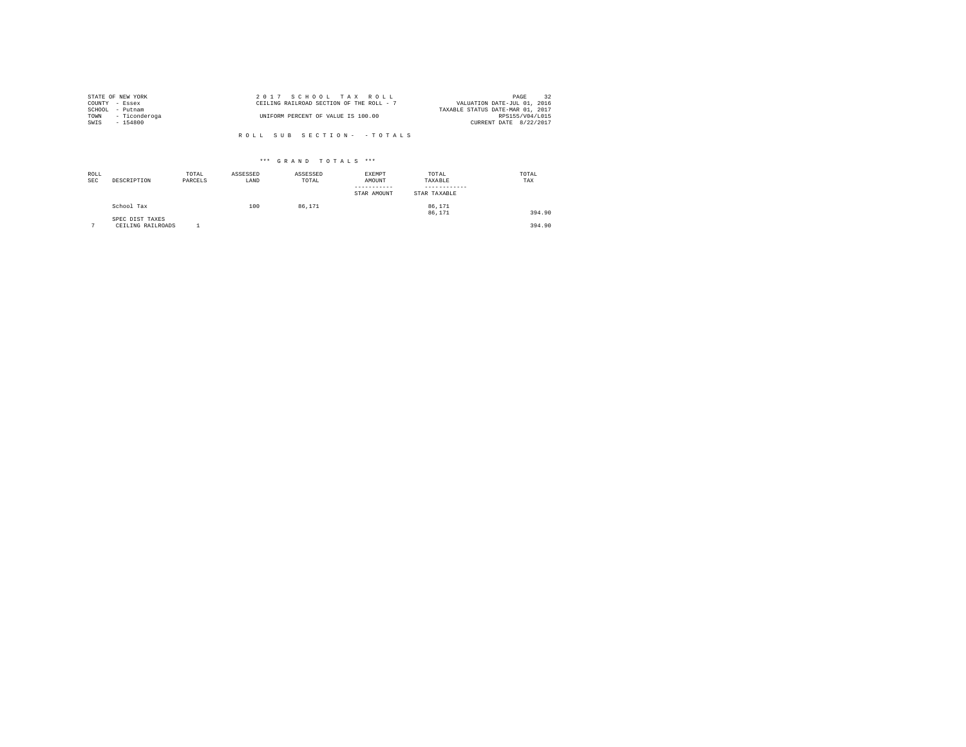| STATE OF NEW YORK     | 2017 SCHOOL TAX ROLL                     | 32<br>PAGE                       |
|-----------------------|------------------------------------------|----------------------------------|
| COUNTY - Essex        | CEILING RAILROAD SECTION OF THE ROLL - 7 | VALUATION DATE-JUL 01, 2016      |
| SCHOOL - Putnam       |                                          | TAXABLE STATUS DATE-MAR 01, 2017 |
| - Ticonderoga<br>TOWN | UNIFORM PERCENT OF VALUE IS 100.00       | RPS155/V04/L015                  |
| SWIS<br>- 154800      |                                          | CURRENT DATE 8/22/2017           |
|                       |                                          |                                  |
|                       | ROLL SUB SECTION- - TOTALS               |                                  |

| ROLL<br><b>SEC</b> | DESCRIPTION                          | TOTAL<br>PARCELS | ASSESSED<br>LAND | ASSESSED<br>TOTAL | EXEMPT<br>AMOUNT<br>-----------<br>STAR AMOUNT | TOTAL<br>TAXABLE<br>STAR TAXABLE | TOTAL<br>TAX |
|--------------------|--------------------------------------|------------------|------------------|-------------------|------------------------------------------------|----------------------------------|--------------|
|                    | School Tax                           |                  | 100              | 86,171            |                                                | 86.171<br>86,171                 | 394.90       |
| $\sim$             | SPEC DIST TAXES<br>CEILING RAILROADS |                  |                  |                   |                                                |                                  | 394.90       |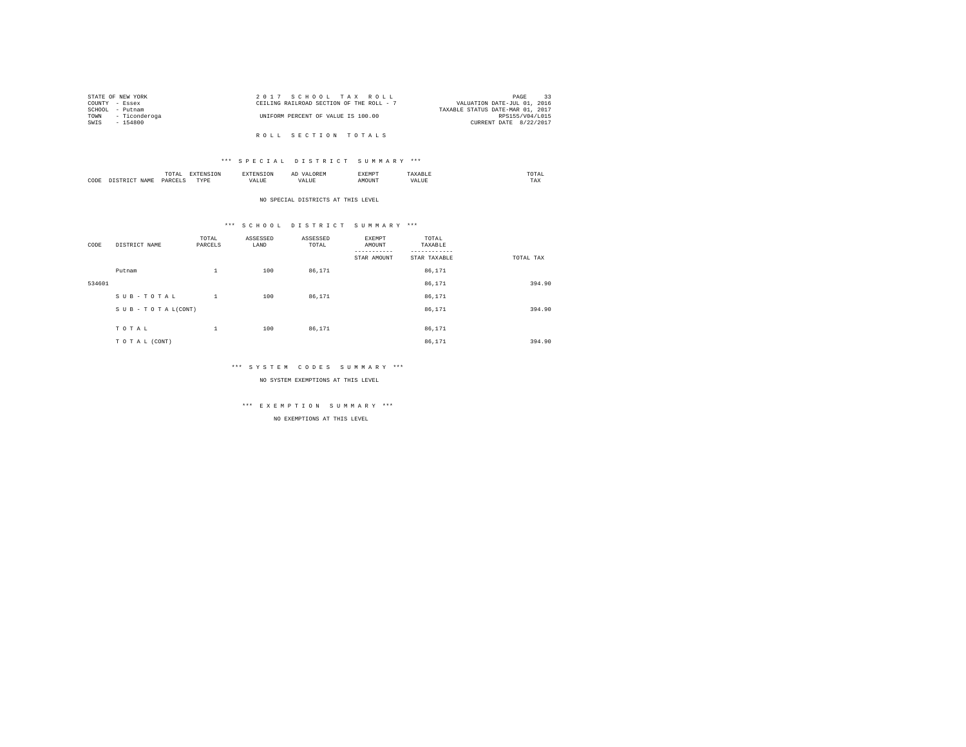| STATE OF NEW YORK |                    | 2017 SCHOOL TAX ROLL                     |  |  | 33<br>PAGE                       |
|-------------------|--------------------|------------------------------------------|--|--|----------------------------------|
| COUNTY - Essex    |                    | CEILING RAILROAD SECTION OF THE ROLL - 7 |  |  | VALUATION DATE-JUL 01, 2016      |
| SCHOOL            | - Putnam           |                                          |  |  | TAXABLE STATUS DATE-MAR 01, 2017 |
|                   | TOWN - Ticonderoga | UNIFORM PERCENT OF VALUE IS 100.00       |  |  | RPS155/V04/L015                  |
| SWIS              | - 154800           |                                          |  |  | CURRENT DATE 8/22/2017           |
|                   |                    |                                          |  |  |                                  |
|                   |                    | ROLL SECTION TOTALS                      |  |  |                                  |

### \*\*\* S P E C I A L D I S T R I C T S U M M A R Y \*\*\*

|      | mome<br>n<br>.<br>the contract of the contract of the contract of | the contract of the contract of the contract of the contract of the contract of | АΙ | <b>************</b><br>ہ دے تا |   | the contract of the contract of the contract of |  |
|------|-------------------------------------------------------------------|---------------------------------------------------------------------------------|----|--------------------------------|---|-------------------------------------------------|--|
| CODE | PARCFT                                                            | $-$<br>ZD.<br>.                                                                 |    | ۱Т                             | n | 1 M.A                                           |  |

NO SPECIAL DISTRICTS AT THIS LEVEL

# \*\*\* S C H O O L D I S T R I C T S U M M A R Y \*\*\*

| CODE   | DISTRICT NAME   | TOTAL<br>PARCELS | ASSESSED<br>LAND | ASSESSED<br>TOTAL | EXEMPT<br>AMOUNT | TOTAL<br>TAXABLE |           |
|--------|-----------------|------------------|------------------|-------------------|------------------|------------------|-----------|
|        |                 |                  |                  |                   | STAR AMOUNT      | STAR TAXABLE     | TOTAL TAX |
|        | Putnam          | $\mathbf{1}$     | 100              | 86,171            |                  | 86,171           |           |
| 534601 |                 |                  |                  |                   |                  | 86,171           | 394.90    |
|        | SUB-TOTAL       | $\mathbf{1}$     | 100              | 86,171            |                  | 86,171           |           |
|        | SUB-TOTAL(CONT) |                  |                  |                   |                  | 86,171           | 394.90    |
|        |                 |                  |                  |                   |                  |                  |           |
|        | TOTAL           | $\mathbf{1}$     | 100              | 86,171            |                  | 86,171           |           |
|        | TO TAL (CONT)   |                  |                  |                   |                  | 86.171           | 394.90    |

#### \*\*\* S Y S T E M C O D E S S U M M A R Y \*\*\*

NO SYSTEM EXEMPTIONS AT THIS LEVEL

# \*\*\* E X E M P T I O N S U M M A R Y \*\*\*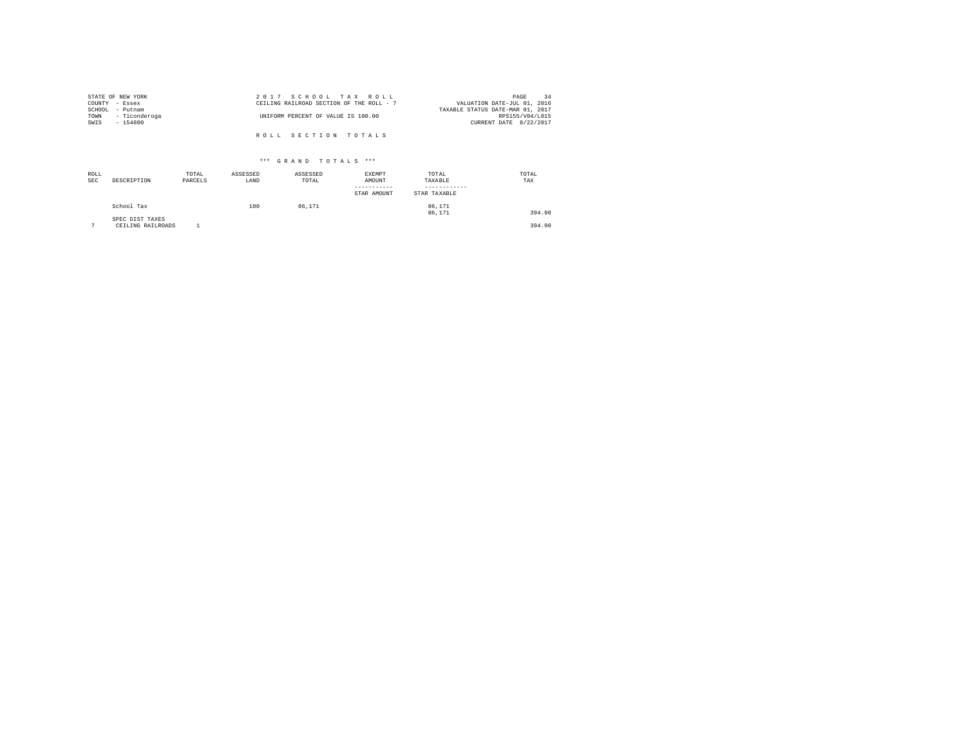|                 | STATE OF NEW YORK | 2017 SCHOOL TAX ROLL                                                    | PAGE            | -34 |
|-----------------|-------------------|-------------------------------------------------------------------------|-----------------|-----|
| COUNTY - Essex  |                   | CEILING RAILROAD SECTION OF THE ROLL - 7<br>VALUATION DATE-JUL 01, 2016 |                 |     |
| SCHOOL - Putnam |                   | TAXABLE STATUS DATE-MAR 01, 2017                                        |                 |     |
| TOWN            | - Ticonderoga     | UNIFORM PERCENT OF VALUE IS 100.00                                      | RPS155/V04/L015 |     |
| SWIS            | - 154800          | CURRENT DATE 8/22/2017                                                  |                 |     |
|                 |                   |                                                                         |                 |     |
|                 |                   | ROLL SECTION TOTALS                                                     |                 |     |

| ROLL<br><b>SEC</b> | DESCRIPTION                          | TOTAL<br>PARCELS | ASSESSED<br>LAND | ASSESSED<br>TOTAL | EXEMPT<br>AMOUNT<br>STAR AMOUNT | TOTAL<br>TAXABLE<br>STAR TAXABLE | TOTAL<br>TAX |
|--------------------|--------------------------------------|------------------|------------------|-------------------|---------------------------------|----------------------------------|--------------|
|                    | School Tax                           |                  | 100              | 86,171            |                                 | 86.171<br>86,171                 | 394.90       |
| $\sim$             | SPEC DIST TAXES<br>CEILING RAILROADS |                  |                  |                   |                                 |                                  | 394.90       |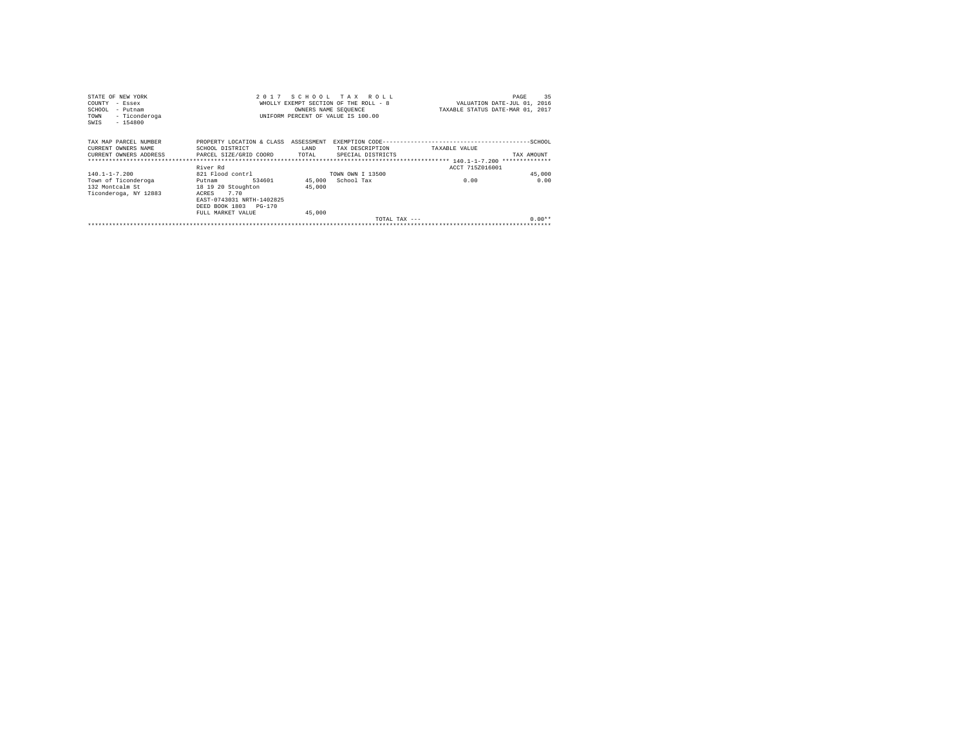| STATE OF NEW YORK                          | 2 0 1 7                      |                      | SCHOOL TAX ROLL                       |                                  | 35<br>PAGE                  |
|--------------------------------------------|------------------------------|----------------------|---------------------------------------|----------------------------------|-----------------------------|
| COUNTY<br>- Essex                          |                              |                      | WHOLLY EXEMPT SECTION OF THE ROLL - 8 |                                  | VALUATION DATE-JUL 01, 2016 |
| SCHOOL<br>- Putnam                         |                              | OWNERS NAME SEOUENCE |                                       | TAXABLE STATUS DATE-MAR 01, 2017 |                             |
| - Ticonderoga<br>TOWN<br>$-154800$<br>SWIS |                              |                      | UNIFORM PERCENT OF VALUE IS 100.00    |                                  |                             |
| TAX MAP PARCEL NUMBER                      | PROPERTY LOCATION & CLASS    | ASSESSMENT           |                                       |                                  |                             |
| CURRENT OWNERS NAME                        | SCHOOL DISTRICT              | LAND                 | TAX DESCRIPTION                       | TAXABLE VALUE                    |                             |
| CURRENT OWNERS ADDRESS                     | PARCEL SIZE/GRID COORD       | TOTAL                | SPECIAL DISTRICTS                     |                                  | TAX AMOUNT                  |
|                                            |                              |                      |                                       |                                  |                             |
|                                            | River Rd                     |                      |                                       | ACCT 715Z016001                  |                             |
| $140.1 - 1 - 7.200$                        | 821 Flood contrl             |                      | TOWN OWN I 13500                      |                                  | 45,000                      |
| Town of Ticonderoga                        | 534601<br>Putnam             |                      | 45,000 School Tax                     | 0.00                             | 0.00                        |
| 132 Montcalm St                            | 18 19 20 Stoughton           | 45,000               |                                       |                                  |                             |
| Ticonderoga, NY 12883                      | ACRES<br>7.70                |                      |                                       |                                  |                             |
|                                            | EAST-0743031 NRTH-1402825    |                      |                                       |                                  |                             |
|                                            | DEED BOOK 1803<br>$PG - 170$ |                      |                                       |                                  |                             |
|                                            | FULL MARKET VALUE            | 45,000               |                                       |                                  |                             |
|                                            |                              |                      |                                       | TOTAL TAX $---$                  | $0.00**$                    |
|                                            |                              |                      |                                       |                                  |                             |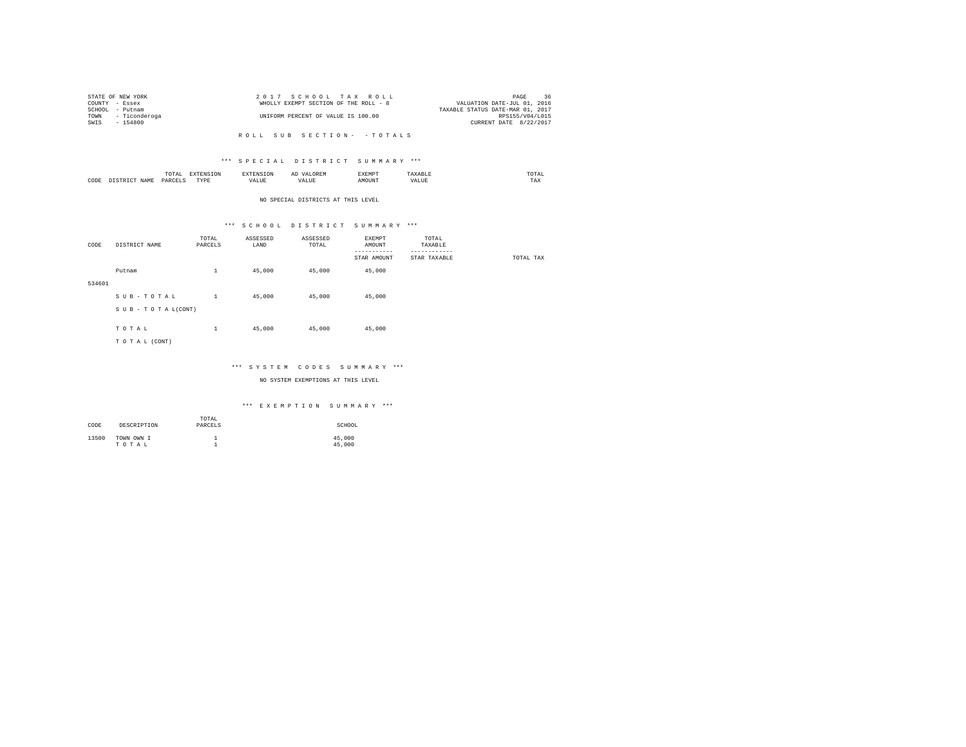|                 | STATE OF NEW YORK  | 2017 SCHOOL TAX ROLL                  |                             | PAGE            | 36 |
|-----------------|--------------------|---------------------------------------|-----------------------------|-----------------|----|
| COUNTY - Essex  |                    | WHOLLY EXEMPT SECTION OF THE ROLL - 8 | VALUATION DATE-JUL 01, 2016 |                 |    |
| SCHOOL - Putnam |                    | TAXABLE STATUS DATE-MAR 01, 2017      |                             |                 |    |
|                 | TOWN - Ticonderoga | UNIFORM PERCENT OF VALUE IS 100.00    |                             | RPS155/V04/L015 |    |
| SWIS            | $-154800$          |                                       | CURRENT DATE 8/22/2017      |                 |    |
|                 |                    |                                       |                             |                 |    |

#### \*\*\* S P E C I A L D I S T R I C T S U M M A R Y \*\*\*

|      |   | moms<br>TAI<br>the contract of the contract of the contract of | the contract of the contract of the contract of the contract of the contract of | SION  | д١ | <b>************</b><br>ہ دے تا | .      | the contract of the contract of the contract of |
|------|---|----------------------------------------------------------------|---------------------------------------------------------------------------------|-------|----|--------------------------------|--------|-------------------------------------------------|
| CODE | . | PARCEL                                                         | <b>TVDL</b><br>.                                                                | 'ALUL | .  | MOTIN'                         | $\sim$ | 1 M.A                                           |

#### NO SPECIAL DISTRICTS AT THIS LEVEL

#### \*\*\* S C H O O L D I S T R I C T S U M M A R Y \*\*\*

| CODE   | DISTRICT NAME   | TOTAL<br>PARCELS | ASSESSED<br>LAND | ASSESSED<br>TOTAL | EXEMPT<br>AMOUNT        | TOTAL<br>TAXABLE         |           |
|--------|-----------------|------------------|------------------|-------------------|-------------------------|--------------------------|-----------|
|        |                 |                  |                  |                   | --------<br>STAR AMOUNT | --------<br>STAR TAXABLE | TOTAL TAX |
|        | Putnam          | $\mathbf{1}$     | 45,000           | 45,000            | 45,000                  |                          |           |
| 534601 |                 |                  |                  |                   |                         |                          |           |
|        | SUB-TOTAL       | $\mathbf{1}$     | 45,000           | 45,000            | 45,000                  |                          |           |
|        | SUB-TOTAL(CONT) |                  |                  |                   |                         |                          |           |
|        | TOTAL           | $\mathbf{1}$     | 45,000           | 45,000            | 45,000                  |                          |           |
|        | TO TAL (CONT)   |                  |                  |                   |                         |                          |           |
|        |                 |                  |                  |                   |                         |                          |           |

#### \*\*\* S Y S T E M C O D E S S U M M A R Y \*\*\*

#### NO SYSTEM EXEMPTIONS AT THIS LEVEL

| CODE  | DESCRIPTION         | TOTAL<br>PARCELS | SCHOOL           |
|-------|---------------------|------------------|------------------|
| 13500 | TOWN OWN I<br>TOTAL |                  | 45,000<br>45,000 |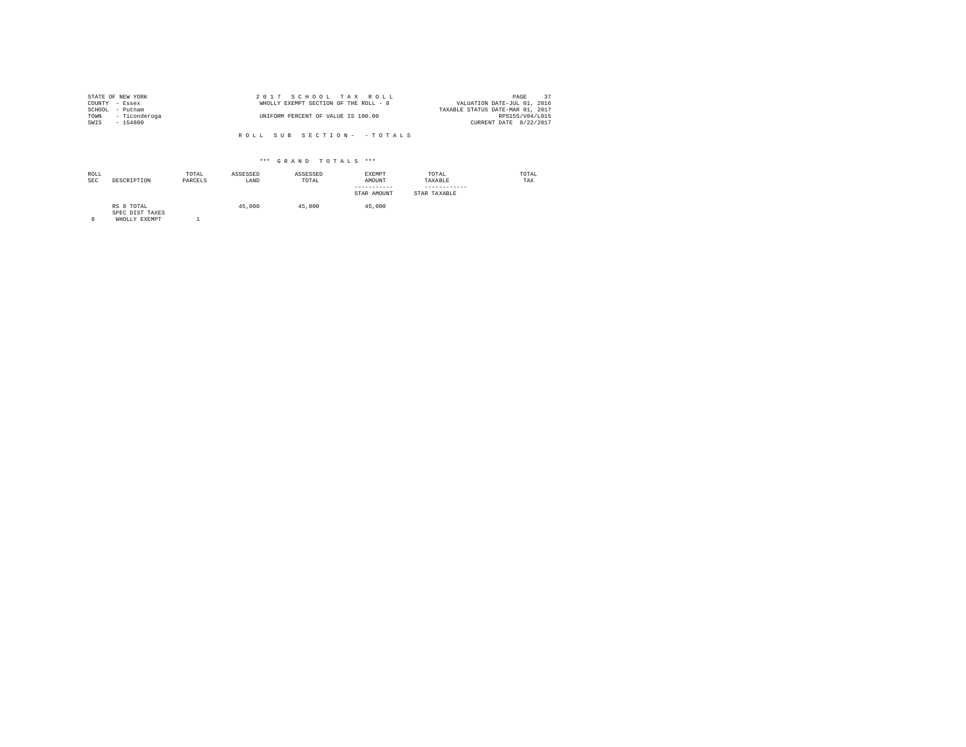|                | STATE OF NEW YORK  | 2017 SCHOOL TAX ROLL                  | 37<br>PAGE                       |
|----------------|--------------------|---------------------------------------|----------------------------------|
| COUNTY - Essex |                    | WHOLLY EXEMPT SECTION OF THE ROLL - 8 | VALUATION DATE-JUL 01, 2016      |
| SCHOOL         | - Putnam           |                                       | TAXABLE STATUS DATE-MAR 01, 2017 |
|                | TOWN - Ticonderoga | UNIFORM PERCENT OF VALUE IS 100.00    | RPS155/V04/L015                  |
| SWIS           | - 154800           |                                       | CURRENT DATE 8/22/2017           |

| ROLL<br><b>SEC</b> | DESCRIPTION                                    | TOTAL<br>PARCELS | ASSESSED<br>LAND | ASSESSED<br>TOTAL | <b>EXEMPT</b><br>AMOUNT<br>-----------<br>STAR AMOUNT | TOTAL<br>TAXABLE<br>STAR TAXABLE | TOTAL<br>TAX |
|--------------------|------------------------------------------------|------------------|------------------|-------------------|-------------------------------------------------------|----------------------------------|--------------|
| 8                  | RS 8 TOTAL<br>SPEC DIST TAXES<br>WHOLLY EXEMPT |                  | 45,000           | 45,000            | 45,000                                                |                                  |              |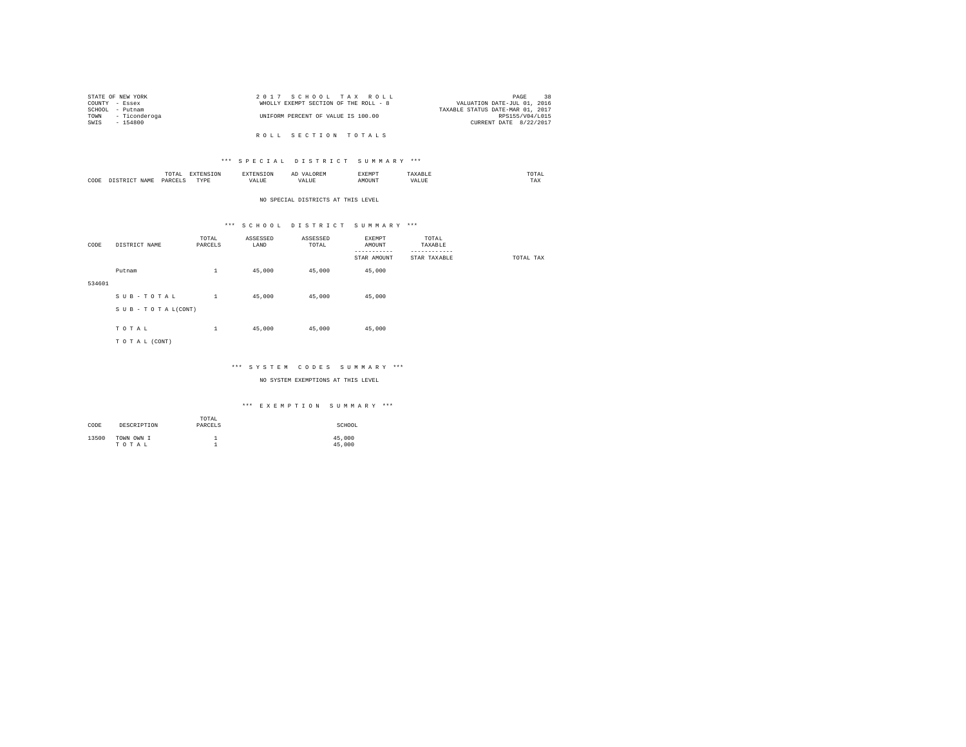|                | STATE OF NEW YORK  | 2017 SCHOOL TAX ROLL                  | 38<br>PAGE                       |
|----------------|--------------------|---------------------------------------|----------------------------------|
| COUNTY - Essex |                    | WHOLLY EXEMPT SECTION OF THE ROLL - 8 | VALUATION DATE-JUL 01, 2016      |
|                | SCHOOL - Putnam    |                                       | TAXABLE STATUS DATE-MAR 01, 2017 |
|                | TOWN - Ticonderoga | UNIFORM PERCENT OF VALUE IS 100.00    | RPS155/V04/L015                  |
| SWTS           | $-154800$          |                                       | CURRENT DATE 8/22/2017           |
|                |                    |                                       |                                  |

R O L L S E C T I O N T O T A L S

### \*\*\* S P E C I A L D I S T R I C T S U M M A R Y \*\*\*

|      | $m \wedge m$<br>.<br>the contract of the contract of the contract of | the contract of the contract of the contract of the contract of the contract of | $\cdots$<br>and the contract of the contract of the contract of the contract of the contract of the contract of the contract of the contract of the contract of the contract of the contract of the contract of the contract of the contra | . | , , , ,<br>the contract of the contract of the contract of |
|------|----------------------------------------------------------------------|---------------------------------------------------------------------------------|--------------------------------------------------------------------------------------------------------------------------------------------------------------------------------------------------------------------------------------------|---|------------------------------------------------------------|
| CODE | YAR                                                                  | <b>TVD</b><br>.                                                                 | uUi                                                                                                                                                                                                                                        |   | 77.3.37<br>⊥n∧                                             |

#### NO SPECIAL DISTRICTS AT THIS LEVEL

# \*\*\* S C H O O L D I S T R I C T S U M M A R Y \*\*\*

| CODE   | DISTRICT NAME      | TOTAL<br>PARCELS | ASSESSED<br>LAND | ASSESSED<br>TOTAL | EXEMPT<br>AMOUNT        | TOTAL<br>TAXABLE         |           |
|--------|--------------------|------------------|------------------|-------------------|-------------------------|--------------------------|-----------|
|        |                    |                  |                  |                   | --------<br>STAR AMOUNT | --------<br>STAR TAXABLE | TOTAL TAX |
|        | Putnam             | $\mathbf{1}$     | 45,000           | 45,000            | 45,000                  |                          |           |
| 534601 |                    |                  |                  |                   |                         |                          |           |
|        | SUB-TOTAL          | $\mathbf{1}$     | 45,000           | 45,000            | 45,000                  |                          |           |
|        | SUB - TO TAL(CONT) |                  |                  |                   |                         |                          |           |
|        | TOTAL              | $\mathbf{1}$     | 45,000           | 45,000            | 45,000                  |                          |           |
|        | TO TAL (CONT)      |                  |                  |                   |                         |                          |           |
|        |                    |                  |                  |                   |                         |                          |           |

#### \*\*\* S Y S T E M C O D E S S U M M A R Y \*\*\*

NO SYSTEM EXEMPTIONS AT THIS LEVEL

| CODE  | DESCRIPTION         | TOTAL<br>PARCELS | SCHOOL           |
|-------|---------------------|------------------|------------------|
| 13500 | TOWN OWN I<br>TOTAL | <b>.</b>         | 45,000<br>45,000 |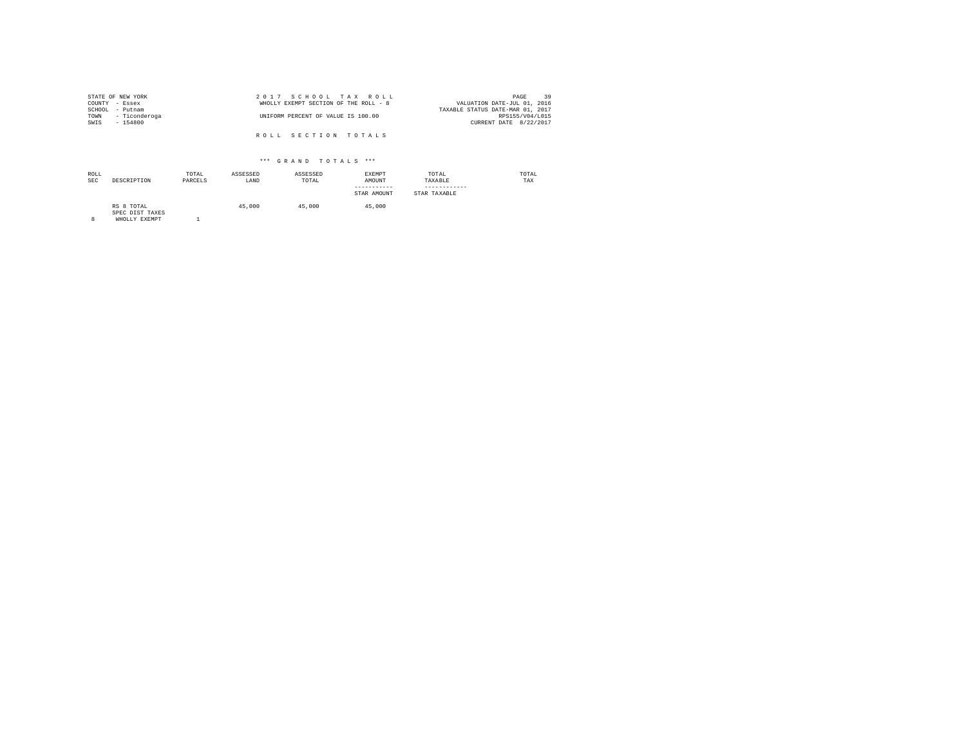| STATE OF NEW YORK     | 2017 SCHOOL TAX ROLL                  |                                  | PAGE            | 39 |
|-----------------------|---------------------------------------|----------------------------------|-----------------|----|
| COUNTY - Essex        | WHOLLY EXEMPT SECTION OF THE ROLL - 8 | VALUATION DATE-JUL 01, 2016      |                 |    |
| SCHOOL<br>- Putnam    |                                       | TAXABLE STATUS DATE-MAR 01, 2017 |                 |    |
| TOWN<br>- Ticonderoga | UNIFORM PERCENT OF VALUE IS 100.00    |                                  | RPS155/V04/L015 |    |
| SWIS<br>$-154800$     |                                       | CURRENT DATE 8/22/2017           |                 |    |
|                       |                                       |                                  |                 |    |
|                       | ROLL SECTION TOTALS                   |                                  |                 |    |

| ROLL<br><b>SEC</b> | DESCRIPTION                   | TOTAL<br>PARCELS | ASSESSED<br>LAND | ASSESSED<br>TOTAL | <b>EXEMPT</b><br>AMOUNT<br>-----------<br>STAR AMOUNT | TOTAL<br>TAXABLE<br>STAR TAXABLE | TOTAL<br>TAX |
|--------------------|-------------------------------|------------------|------------------|-------------------|-------------------------------------------------------|----------------------------------|--------------|
|                    | RS 8 TOTAL<br>SPEC DIST TAXES |                  | 45,000           | 45,000            | 45,000                                                |                                  |              |

SPEC DIST TAXES 8 WHOLLY EXEMPT 1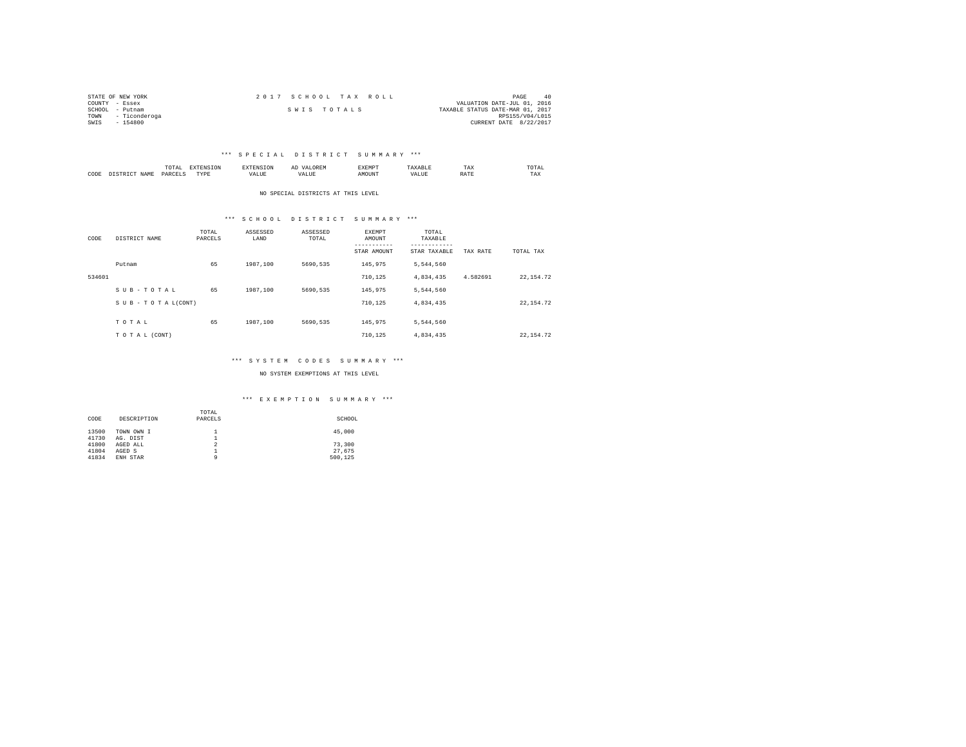| STATE OF NEW YORK     | 2017 SCHOOL TAX ROLL | PAGE<br>40                       |
|-----------------------|----------------------|----------------------------------|
| COUNTY - Essex        |                      | VALUATION DATE-JUL 01, 2016      |
| SCHOOL<br>- Putnam    | SWIS TOTALS          | TAXABLE STATUS DATE-MAR 01, 2017 |
| - Ticonderoga<br>TOWN |                      | RPS155/V04/L015                  |
| SWIS<br>$-154800$     |                      | CURRENT DATE 8/22/2017           |

#### \*\*\* S P E C I A L D I S T R I C T S U M M A R Y \*\*\*

|           |                    | LUTAI<br>the contract of the contract of the contract of | $- - - -$ |      | <br>,,,,,,,,,<br>. |     | TAX         | <b>TOTAL</b><br>the contract of the contract of the contract of |
|-----------|--------------------|----------------------------------------------------------|-----------|------|--------------------|-----|-------------|-----------------------------------------------------------------|
| CODE<br>. | <b>ATMP</b><br>--- | D∆R                                                      | "VDE<br>. | ALUE | DUN.               | . . | .<br>RA I I | TAX                                                             |

NO SPECIAL DISTRICTS AT THIS LEVEL

#### \*\*\* S C H O O L D I S T R I C T S U M M A R Y \*\*\*

| CODE   | DISTRICT NAME      | TOTAL<br>PARCELS | ASSESSED<br>LAND | ASSESSED<br>TOTAL | <b>EXEMPT</b><br>AMOUNT<br>-----------<br>STAR AMOUNT | TOTAL<br>TAXABLE<br>---------<br>STAR TAXABLE | TAX RATE | TOTAL TAX  |
|--------|--------------------|------------------|------------------|-------------------|-------------------------------------------------------|-----------------------------------------------|----------|------------|
|        | Putnam             | 65               | 1987.100         | 5690.535          | 145.975                                               | 5.544.560                                     |          |            |
| 534601 |                    |                  |                  |                   | 710.125                                               | 4,834,435                                     | 4.582691 | 22, 154.72 |
|        | SUB-TOTAL          | 65               | 1987.100         | 5690.535          | 145.975                                               | 5.544.560                                     |          |            |
|        | SUB - TO TAL(CONT) |                  |                  |                   | 710.125                                               | 4,834,435                                     |          | 22, 154.72 |
|        | TOTAL              | 65               | 1987.100         | 5690.535          | 145.975                                               | 5.544.560                                     |          |            |
|        | TO TAL (CONT)      |                  |                  |                   | 710.125                                               | 4.834.435                                     |          | 22.154.72  |

#### \*\*\* S Y S T E M C O D E S S U M M A R Y \*\*\*

NO SYSTEM EXEMPTIONS AT THIS LEVEL

|       |             | TOTAL          |         |
|-------|-------------|----------------|---------|
| CODE  | DESCRIPTION | PARCELS        | SCHOOL  |
|       |             |                |         |
| 13500 | TOWN OWN I  | <b>.</b>       | 45,000  |
| 41730 | AG. DIST    | 1<br><b>.</b>  |         |
| 41800 | AGED ALL    | $\overline{2}$ | 73,300  |
| 41804 | AGED S      | <b>.</b>       | 27.675  |
| 41834 | ENH STAR    |                | 500.125 |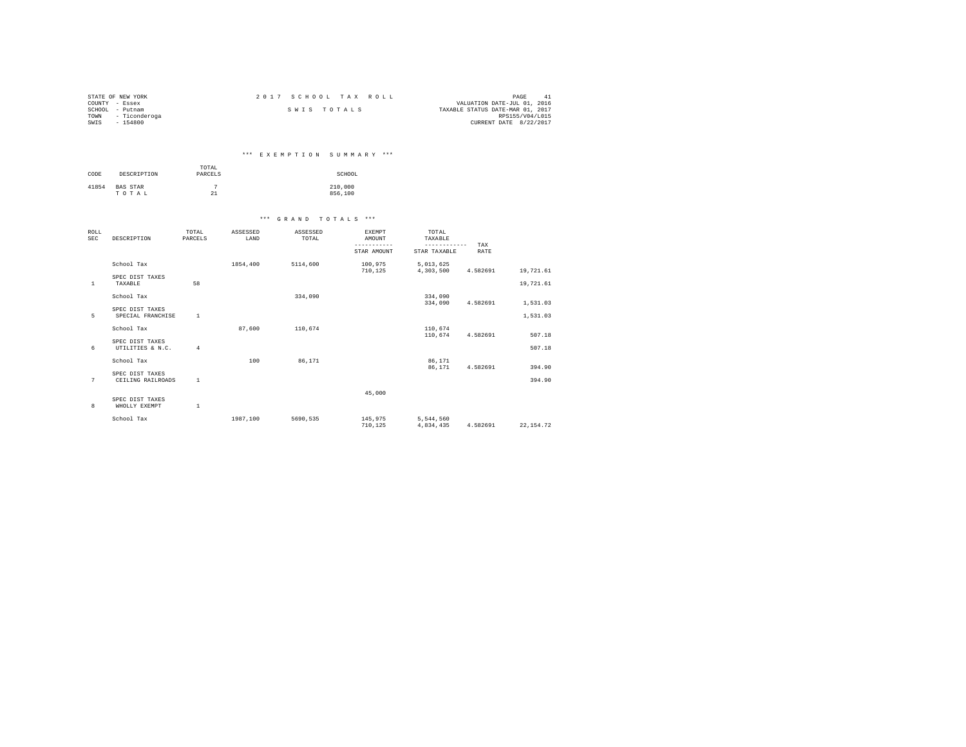| STATE OF NEW YORK     | 2017 SCHOOL TAX ROLL | PAGE<br>41                       |
|-----------------------|----------------------|----------------------------------|
| COUNTY - Essex        |                      | VALUATION DATE-JUL 01, 2016      |
| SCHOOL<br>- Putnam    | SWIS TOTALS          | TAXABLE STATUS DATE-MAR 01, 2017 |
| - Ticonderoga<br>TOWN |                      | RPS155/V04/L015                  |
| SWIS<br>$-154800$     |                      | CURRENT DATE 8/22/2017           |

# \*\*\* E X E M P T I O N S U M M A R Y \*\*\*

| CODE  | DESCRIPTION              | TOTAL<br>PARCELS | SCHOOL             |
|-------|--------------------------|------------------|--------------------|
| 41854 | <b>BAS STAR</b><br>TOTAL | 21               | 210,000<br>856,100 |

| ROLL<br><b>SEC</b> | DESCRIPTION                          | TOTAL<br>PARCELS | ASSESSED<br>LAND | ASSESSED<br>TOTAL | <b>EXEMPT</b><br>AMOUNT<br>----------- | TOTAL<br>TAXABLE<br>------------ | TAX      |           |  |
|--------------------|--------------------------------------|------------------|------------------|-------------------|----------------------------------------|----------------------------------|----------|-----------|--|
|                    |                                      |                  |                  |                   | STAR AMOUNT                            | STAR TAXABLE                     | RATE     |           |  |
|                    | School Tax                           |                  | 1854,400         | 5114,600          | 100,975<br>710.125                     | 5,013,625<br>4,303,500           | 4.582691 | 19,721.61 |  |
| $\mathbf{1}$       | SPEC DIST TAXES<br>TAXABLE           | 58               |                  |                   |                                        |                                  |          | 19,721.61 |  |
|                    | School Tax                           |                  |                  | 334,090           |                                        | 334,090<br>334,090               | 4.582691 | 1,531.03  |  |
| 5                  | SPEC DIST TAXES<br>SPECIAL FRANCHISE | $\mathbf{1}$     |                  |                   |                                        |                                  |          | 1,531.03  |  |
|                    | School Tax                           |                  | 87.600           | 110,674           |                                        | 110,674<br>110,674               | 4.582691 | 507.18    |  |
| 6                  | SPEC DIST TAXES<br>UTILITIES & N.C.  | $\overline{4}$   |                  |                   |                                        |                                  |          | 507.18    |  |
|                    | School Tax                           |                  | 100              | 86,171            |                                        | 86,171<br>86.171                 | 4.582691 | 394.90    |  |
| 7                  | SPEC DIST TAXES<br>CEILING RAILROADS | $\mathbf{1}$     |                  |                   |                                        |                                  |          | 394.90    |  |
|                    |                                      |                  |                  |                   | 45,000                                 |                                  |          |           |  |
| 8                  | SPEC DIST TAXES<br>WHOLLY EXEMPT     | $\mathbf{1}$     |                  |                   |                                        |                                  |          |           |  |
|                    | School Tax                           |                  | 1987.100         | 5690.535          | 145,975<br>710.125                     | 5,544,560<br>4.834.435           | 4.582691 | 22.154.72 |  |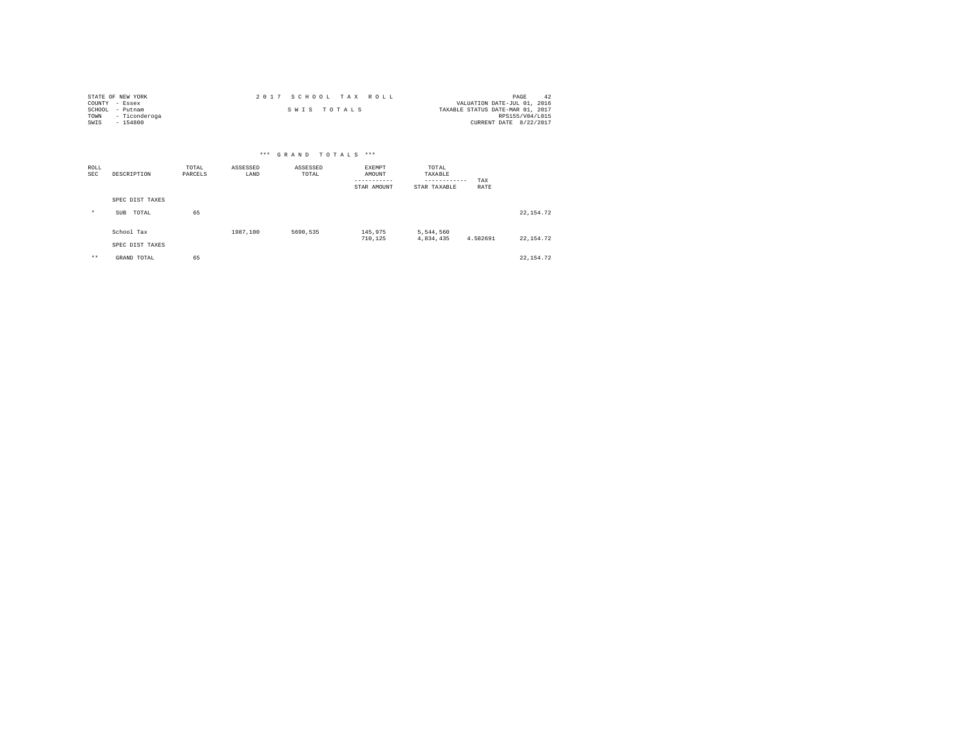| STATE OF NEW YORK     | 2017 SCHOOL TAX ROLL | PAGE<br>-42                      |
|-----------------------|----------------------|----------------------------------|
| COUNTY - Essex        |                      | VALUATION DATE-JUL 01, 2016      |
| SCHOOL<br>- Putnam    | SWIS TOTALS          | TAXABLE STATUS DATE-MAR 01, 2017 |
| - Ticonderoga<br>TOWN |                      | RPS155/V04/L015                  |
| SWIS<br>$-154800$     |                      | CURRENT DATE 8/22/2017           |

| *** GRAND TOTALS *** |                               |                  |                  |                   |                                                |                                                  |             |            |  |
|----------------------|-------------------------------|------------------|------------------|-------------------|------------------------------------------------|--------------------------------------------------|-------------|------------|--|
| ROLL<br>SEC          | DESCRIPTION                   | TOTAL<br>PARCELS | ASSESSED<br>LAND | ASSESSED<br>TOTAL | EXEMPT<br>AMOUNT<br>-----------<br>STAR AMOUNT | TOTAL<br>TAXABLE<br>------------<br>STAR TAXABLE | TAX<br>RATE |            |  |
|                      | SPEC DIST TAXES               |                  |                  |                   |                                                |                                                  |             |            |  |
| $\star$              | TOTAL<br>SUB                  | 65               |                  |                   |                                                |                                                  |             | 22, 154.72 |  |
|                      | School Tax<br>SPEC DIST TAXES |                  | 1987.100         | 5690,535          | 145,975<br>710,125                             | 5,544,560<br>4,834,435                           | 4.582691    | 22, 154.72 |  |
| $***$                | GRAND TOTAL                   | 65               |                  |                   |                                                |                                                  |             | 22, 154.72 |  |
|                      |                               |                  |                  |                   |                                                |                                                  |             |            |  |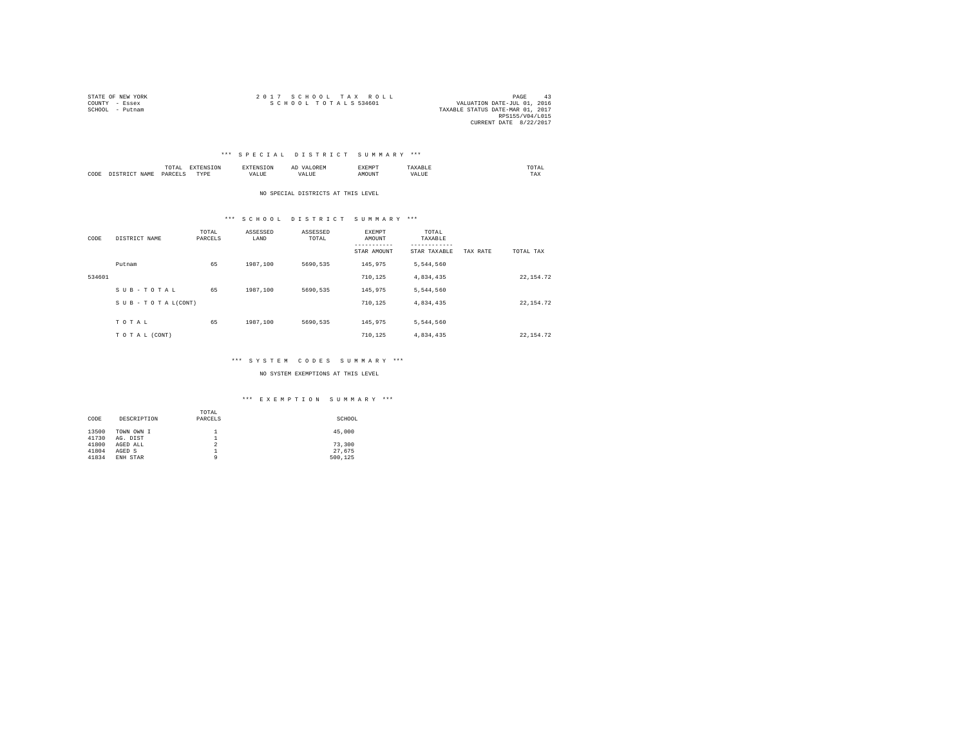| STATE OF NEW YORK | 2017 SCHOOL TAX ROLL                                | PAGE                   | 43 |
|-------------------|-----------------------------------------------------|------------------------|----|
| COUNTY - Essex    | SCHOOL TOTALS 534601<br>VALUATION DATE-JUL 01, 2016 |                        |    |
| SCHOOL - Putnam   | TAXABLE STATUS DATE-MAR 01, 2017                    |                        |    |
|                   |                                                     | RPS155/V04/L015        |    |
|                   |                                                     | CURRENT DATE 8/22/2017 |    |

#### \*\*\* S P E C I A L D I S T R I C T S U M M A R Y \*\*\*

|           |       | -<br><br>the contract of the contract of the contract of |      |           | <br>n<br>$1.001$ and $1.001$ | --------<br>2 M D<br>⊶∆DPir |      | TA.<br>the contract of the contract of the contract of |
|-----------|-------|----------------------------------------------------------|------|-----------|------------------------------|-----------------------------|------|--------------------------------------------------------|
| CODE<br>. | .7.14 | DARCE"<br>.                                              | TYPE | .<br>ALUE |                              | אנופי                       | ALU. | $- - - -$<br>1 A.A                                     |

NO SPECIAL DISTRICTS AT THIS LEVEL

#### \*\*\* S C H O O L D I S T R I C T S U M M A R Y \*\*\*

| CODE   | DISTRICT NAME      | TOTAL<br>PARCELS | ASSESSED<br>LAND | ASSESSED<br>TOTAL | EXEMPT<br>AMOUNT<br>-----------<br>STAR AMOUNT | TOTAL<br>TAXABLE<br>---------<br>STAR TAXABLE | TAX RATE | TOTAL TAX  |
|--------|--------------------|------------------|------------------|-------------------|------------------------------------------------|-----------------------------------------------|----------|------------|
|        | Putnam             | 65               | 1987.100         | 5690.535          | 145,975                                        | 5.544.560                                     |          |            |
| 534601 |                    |                  |                  |                   | 710.125                                        | 4,834,435                                     |          | 22, 154.72 |
|        | SUB-TOTAL          | 65               | 1987.100         | 5690.535          | 145,975                                        | 5.544.560                                     |          |            |
|        | SUB - TO TAL(CONT) |                  |                  |                   | 710.125                                        | 4,834,435                                     |          | 22, 154.72 |
|        | TOTAL              | 65               | 1987.100         | 5690.535          | 145,975                                        | 5.544.560                                     |          |            |
|        | TO TAL (CONT)      |                  |                  |                   | 710.125                                        | 4.834.435                                     |          | 22.154.72  |

#### \*\*\* S Y S T E M C O D E S S U M M A R Y \*\*\*

NO SYSTEM EXEMPTIONS AT THIS LEVEL

|       |             | TOTAL          |         |
|-------|-------------|----------------|---------|
| CODE  | DESCRIPTION | PARCELS        | SCHOOL  |
|       |             |                |         |
| 13500 | TOWN OWN I  | <b>.</b>       | 45,000  |
| 41730 | AG. DIST    | 1<br><b>.</b>  |         |
| 41800 | AGED ALL    | $\overline{2}$ | 73,300  |
| 41804 | AGED S      | <b>.</b>       | 27.675  |
| 41834 | ENH STAR    |                | 500.125 |